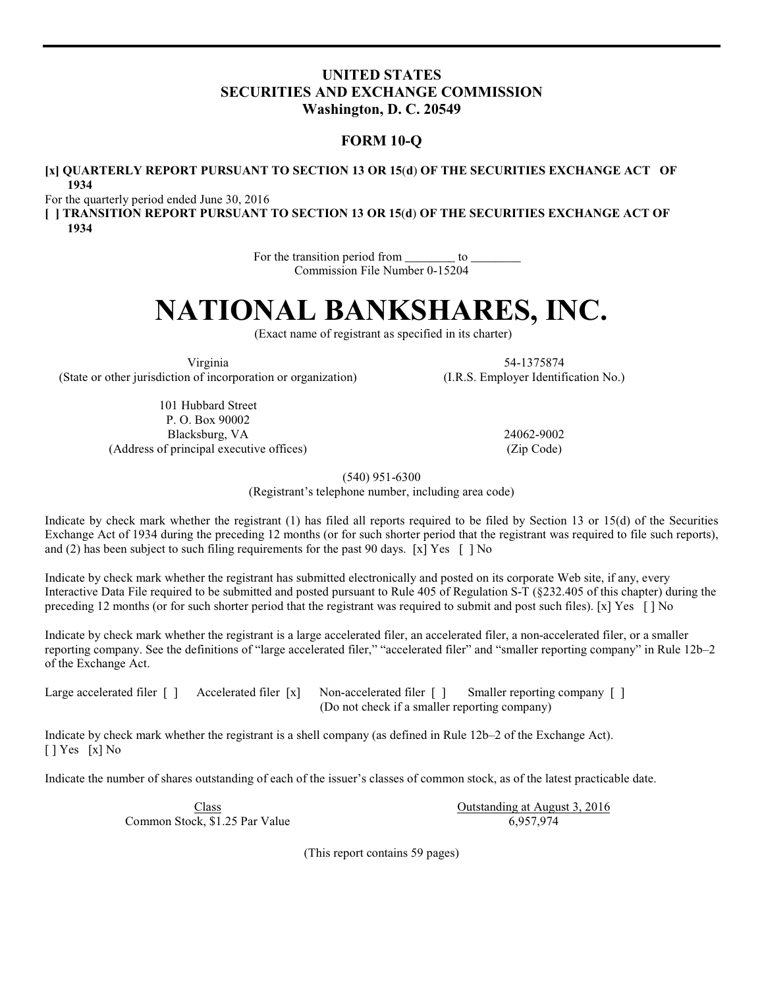# **UNITED STATES SECURITIES AND EXCHANGE COMMISSION Washington, D. C. 20549**

# **FORM 10-Q**

# **[x] QUARTERLY REPORT PURSUANT TO SECTION 13 OR 15**(**d**) **OF THE SECURITIES EXCHANGE ACT OF 1934**

For the quarterly period ended June 30, 2016

**[ ] TRANSITION REPORT PURSUANT TO SECTION 13 OR 15**(**d**) **OF THE SECURITIES EXCHANGE ACT OF 1934**

> For the transition period from \_\_\_\_\_\_\_\_\_ to Commission File Number 0-15204

# **NATIONAL BANKSHARES, INC.**

(Exact name of registrant as specified in its charter)

Virginia (State or other jurisdiction of incorporation or organization)

> 101 Hubbard Street P. O. Box 90002 Blacksburg, VA 24062-9002 (Address of principal executive offices) (Zip Code)

54-1375874 (I.R.S. Employer Identification No.)

(540) 951-6300

(Registrant's telephone number, including area code)

Indicate by check mark whether the registrant (1) has filed all reports required to be filed by Section 13 or 15(d) of the Securities Exchange Act of 1934 during the preceding 12 months (or for such shorter period that the registrant was required to file such reports), and (2) has been subject to such filing requirements for the past 90 days. [x] Yes [ ] No

Indicate by check mark whether the registrant has submitted electronically and posted on its corporate Web site, if any, every Interactive Data File required to be submitted and posted pursuant to Rule 405 of Regulation S-T (§232.405 of this chapter) during the preceding 12 months (or for such shorter period that the registrant was required to submit and post such files). [x] Yes [ ] No

Indicate by check mark whether the registrant is a large accelerated filer, an accelerated filer, a non-accelerated filer, or a smaller reporting company. See the definitions of "large accelerated filer," "accelerated filer" and "smaller reporting company" in Rule 12b–2 of the Exchange Act.

(This report contains 59 pages)

Large accelerated filer  $\lceil \cdot \rceil$  Accelerated filer  $\lceil x \rceil$  Non-accelerated filer  $\lceil \cdot \rceil$  Smaller reporting company  $\lceil \cdot \rceil$ (Do not check if a smaller reporting company)

Indicate by check mark whether the registrant is a shell company (as defined in Rule 12b–2 of the Exchange Act). [ ] Yes [x] No

Indicate the number of shares outstanding of each of the issuer's classes of common stock, as of the latest practicable date.

Class Common Stock, \$1.25 Par Value Outstanding at August 3, 2016 6,957,974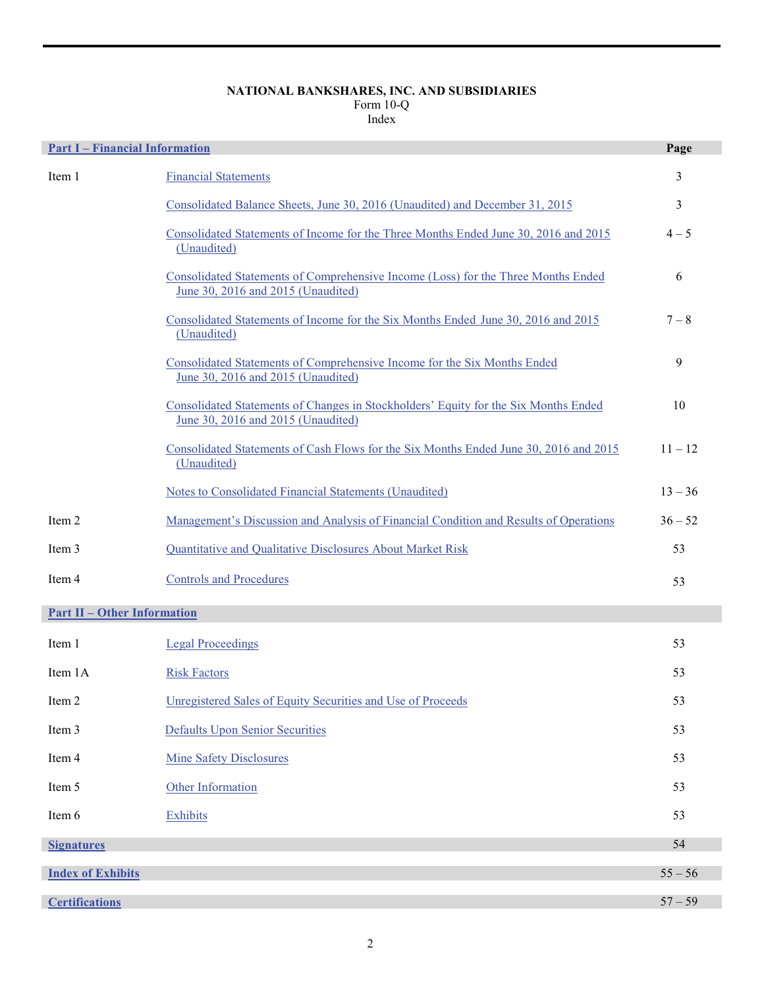# **NATIONAL BANKSHARES, INC. AND SUBSIDIARIES**

Form 10-Q Index

| <b>Part I - Financial Information</b> |                                                                                                                           | Page      |
|---------------------------------------|---------------------------------------------------------------------------------------------------------------------------|-----------|
| Item 1                                | <b>Financial Statements</b>                                                                                               | 3         |
|                                       | Consolidated Balance Sheets, June 30, 2016 (Unaudited) and December 31, 2015                                              | 3         |
|                                       | Consolidated Statements of Income for the Three Months Ended June 30, 2016 and 2015<br>(Unaudited)                        | $4 - 5$   |
|                                       | Consolidated Statements of Comprehensive Income (Loss) for the Three Months Ended<br>June 30, 2016 and 2015 (Unaudited)   | 6         |
|                                       | Consolidated Statements of Income for the Six Months Ended June 30, 2016 and 2015<br>(Unaudited)                          | $7 - 8$   |
|                                       | Consolidated Statements of Comprehensive Income for the Six Months Ended<br>June 30, 2016 and 2015 (Unaudited)            | 9         |
|                                       | Consolidated Statements of Changes in Stockholders' Equity for the Six Months Ended<br>June 30, 2016 and 2015 (Unaudited) | 10        |
|                                       | Consolidated Statements of Cash Flows for the Six Months Ended June 30, 2016 and 2015<br>(Unaudited)                      | $11 - 12$ |
|                                       | Notes to Consolidated Financial Statements (Unaudited)                                                                    | $13 - 36$ |
| Item 2                                | Management's Discussion and Analysis of Financial Condition and Results of Operations                                     | $36 - 52$ |
| Item 3                                | Quantitative and Qualitative Disclosures About Market Risk                                                                | 53        |
| Item 4                                | <b>Controls and Procedures</b>                                                                                            | 53        |
| <b>Part II - Other Information</b>    |                                                                                                                           |           |
| Item 1                                | <b>Legal Proceedings</b>                                                                                                  | 53        |
| Item 1A                               | <b>Risk Factors</b>                                                                                                       | 53        |
| Item 2                                | Unregistered Sales of Equity Securities and Use of Proceeds                                                               | 53        |
| Item 3                                | <b>Defaults Upon Senior Securities</b>                                                                                    | 53        |
| Item 4                                | <b>Mine Safety Disclosures</b>                                                                                            | 53        |
| Item 5                                | Other Information                                                                                                         | 53        |
| Item 6                                | <b>Exhibits</b>                                                                                                           | 53        |
| <b>Signatures</b>                     |                                                                                                                           | 54        |
| <b>Index of Exhibits</b>              |                                                                                                                           | $55 - 56$ |
| <b>Certifications</b>                 |                                                                                                                           | $57 - 59$ |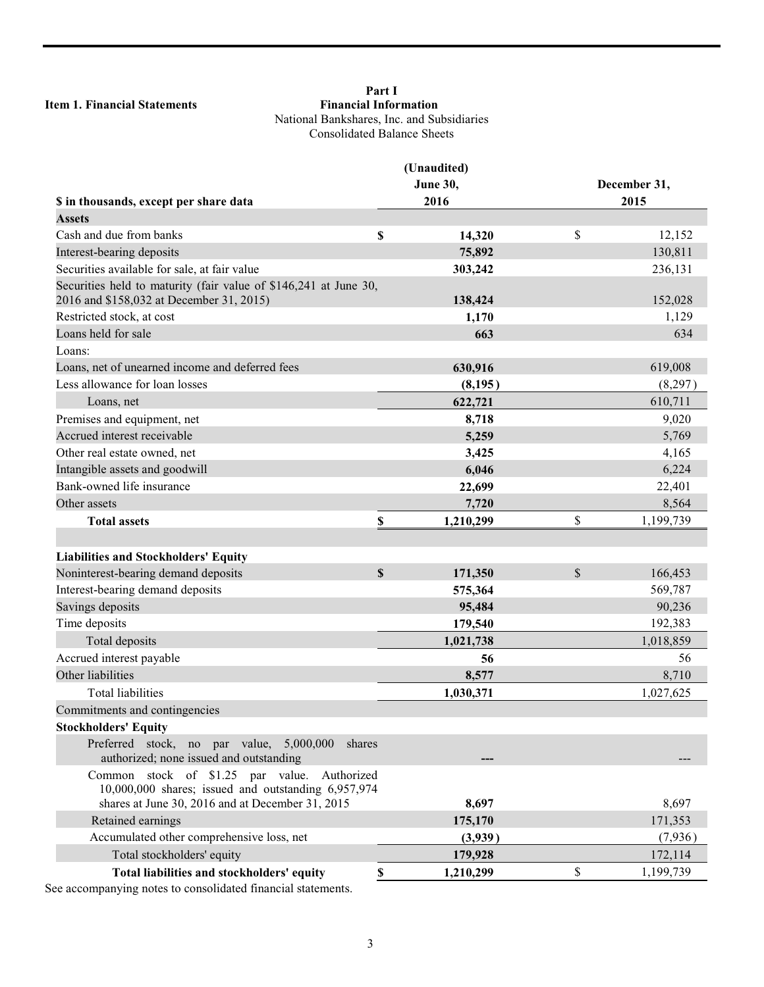# <span id="page-2-1"></span><span id="page-2-0"></span>**Item 1. Financial Statements**

# **Part I**<br>Financial Information National Bankshares, Inc. and Subsidiaries Consolidated Balance Sheets

|                                                                  | (Unaudited)            |                           |
|------------------------------------------------------------------|------------------------|---------------------------|
|                                                                  | <b>June 30,</b>        | December 31,              |
| \$ in thousands, except per share data                           | 2016                   | 2015                      |
| <b>Assets</b>                                                    |                        |                           |
| Cash and due from banks                                          | \$<br>14,320           | \$<br>12,152              |
| Interest-bearing deposits                                        | 75,892                 | 130,811                   |
| Securities available for sale, at fair value                     | 303,242                | 236,131                   |
| Securities held to maturity (fair value of \$146,241 at June 30, |                        |                           |
| 2016 and \$158,032 at December 31, 2015)                         | 138,424                | 152,028                   |
| Restricted stock, at cost                                        | 1,170                  | 1,129                     |
| Loans held for sale                                              | 663                    | 634                       |
| Loans:                                                           |                        |                           |
| Loans, net of unearned income and deferred fees                  | 630,916                | 619,008                   |
| Less allowance for loan losses                                   | (8, 195)               | (8,297)                   |
| Loans, net                                                       | 622,721                | 610,711                   |
| Premises and equipment, net                                      | 8,718                  | 9,020                     |
| Accrued interest receivable                                      | 5,259                  | 5,769                     |
| Other real estate owned, net                                     | 3,425                  | 4,165                     |
| Intangible assets and goodwill                                   | 6,046                  | 6,224                     |
| Bank-owned life insurance                                        | 22,699                 | 22,401                    |
| Other assets                                                     | 7,720                  | 8,564                     |
| <b>Total assets</b>                                              | \$<br>1,210,299        | \$<br>1,199,739           |
|                                                                  |                        |                           |
| <b>Liabilities and Stockholders' Equity</b>                      |                        |                           |
| Noninterest-bearing demand deposits                              | $\mathbf S$<br>171,350 | $\mathbb{S}$<br>166,453   |
| Interest-bearing demand deposits                                 | 575,364                | 569,787                   |
| Savings deposits                                                 | 95,484                 | 90,236                    |
| Time deposits                                                    | 179,540                | 192,383                   |
| Total deposits                                                   | 1,021,738              | 1,018,859                 |
| Accrued interest payable                                         | 56                     | 56                        |
| Other liabilities                                                | 8,577                  | 8,710                     |
| <b>Total liabilities</b>                                         | 1,030,371              | 1,027,625                 |
| Commitments and contingencies                                    |                        |                           |
| <b>Stockholders' Equity</b>                                      |                        |                           |
| Preferred stock, no par value, 5,000,000 shares                  |                        |                           |
| authorized; none issued and outstanding                          |                        |                           |
| Common stock of \$1.25 par value.<br>Authorized                  |                        |                           |
| 10,000,000 shares; issued and outstanding 6,957,974              |                        |                           |
| shares at June 30, 2016 and at December 31, 2015                 | 8,697                  | 8,697                     |
| Retained earnings                                                | 175,170                | 171,353                   |
| Accumulated other comprehensive loss, net                        | (3,939)                | (7,936)                   |
| Total stockholders' equity                                       | 179,928                | 172,114                   |
| Total liabilities and stockholders' equity                       | \$<br>1,210,299        | $\mathbb{S}$<br>1,199,739 |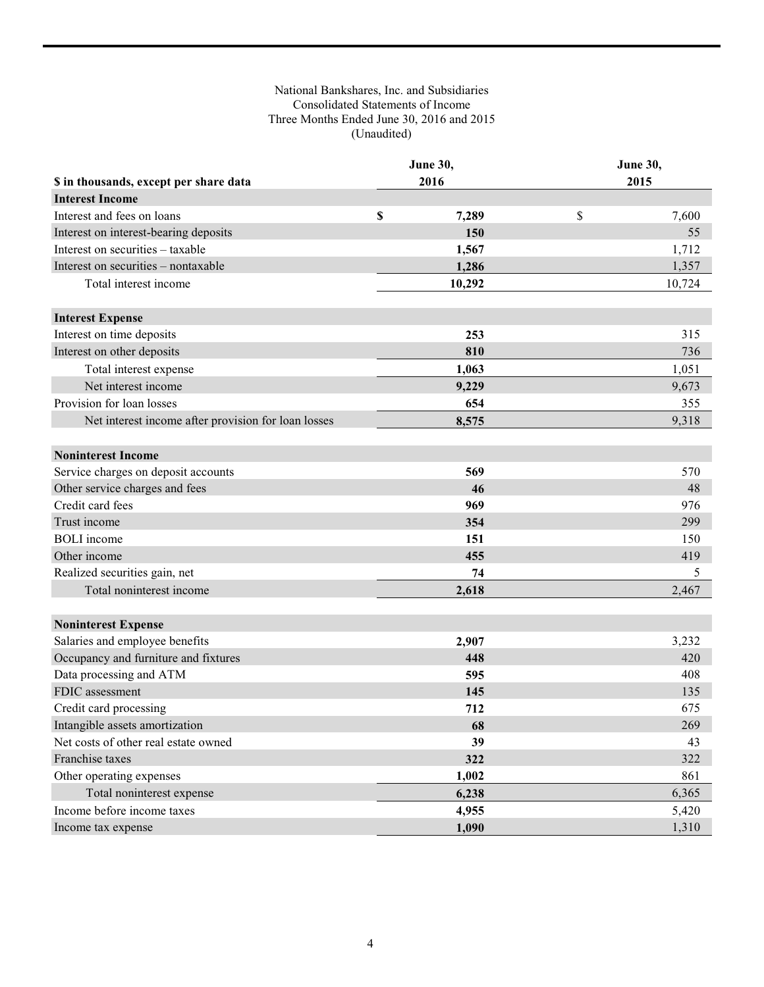# National Bankshares, Inc. and Subsidiaries Consolidated Statements of Income Three Months Ended June 30, 2016 and 2015 (Unaudited)

<span id="page-3-0"></span>

|                                                     | June 30,    | <b>June 30,</b> |  |  |
|-----------------------------------------------------|-------------|-----------------|--|--|
| \$ in thousands, except per share data              | 2016        | 2015            |  |  |
| <b>Interest Income</b>                              |             |                 |  |  |
| Interest and fees on loans                          | \$<br>7,289 | \$<br>7,600     |  |  |
| Interest on interest-bearing deposits               | 150         | 55              |  |  |
| Interest on securities - taxable                    | 1,567       | 1,712           |  |  |
| Interest on securities - nontaxable                 | 1,286       | 1,357           |  |  |
| Total interest income                               | 10,292      | 10,724          |  |  |
| <b>Interest Expense</b>                             |             |                 |  |  |
| Interest on time deposits                           | 253         | 315             |  |  |
| Interest on other deposits                          | 810         | 736             |  |  |
| Total interest expense                              | 1,063       | 1,051           |  |  |
| Net interest income                                 | 9,229       | 9,673           |  |  |
| Provision for loan losses                           | 654         | 355             |  |  |
| Net interest income after provision for loan losses | 8,575       | 9,318           |  |  |
| <b>Noninterest Income</b>                           |             |                 |  |  |
| Service charges on deposit accounts                 | 569         | 570             |  |  |
| Other service charges and fees                      | 46          | 48              |  |  |
| Credit card fees                                    | 969         | 976             |  |  |
| Trust income                                        | 354         | 299             |  |  |
| <b>BOLI</b> income                                  | 151         | 150             |  |  |
| Other income                                        | 455         | 419             |  |  |
| Realized securities gain, net                       | 74          | 5               |  |  |
| Total noninterest income                            | 2,618       | 2,467           |  |  |
| <b>Noninterest Expense</b>                          |             |                 |  |  |
| Salaries and employee benefits                      | 2,907       | 3,232           |  |  |
| Occupancy and furniture and fixtures                | 448         | 420             |  |  |
| Data processing and ATM                             | 595         | 408             |  |  |
| FDIC assessment                                     | 145         | 135             |  |  |
| Credit card processing                              | 712         | 675             |  |  |
| Intangible assets amortization                      | 68          | 269             |  |  |
| Net costs of other real estate owned                | 39          | 43              |  |  |
| Franchise taxes                                     | 322         | 322             |  |  |
| Other operating expenses                            | 1,002       | 861             |  |  |
| Total noninterest expense                           | 6,238       | 6,365           |  |  |
| Income before income taxes                          | 4,955       | 5,420           |  |  |
| Income tax expense                                  | 1,090       | 1,310           |  |  |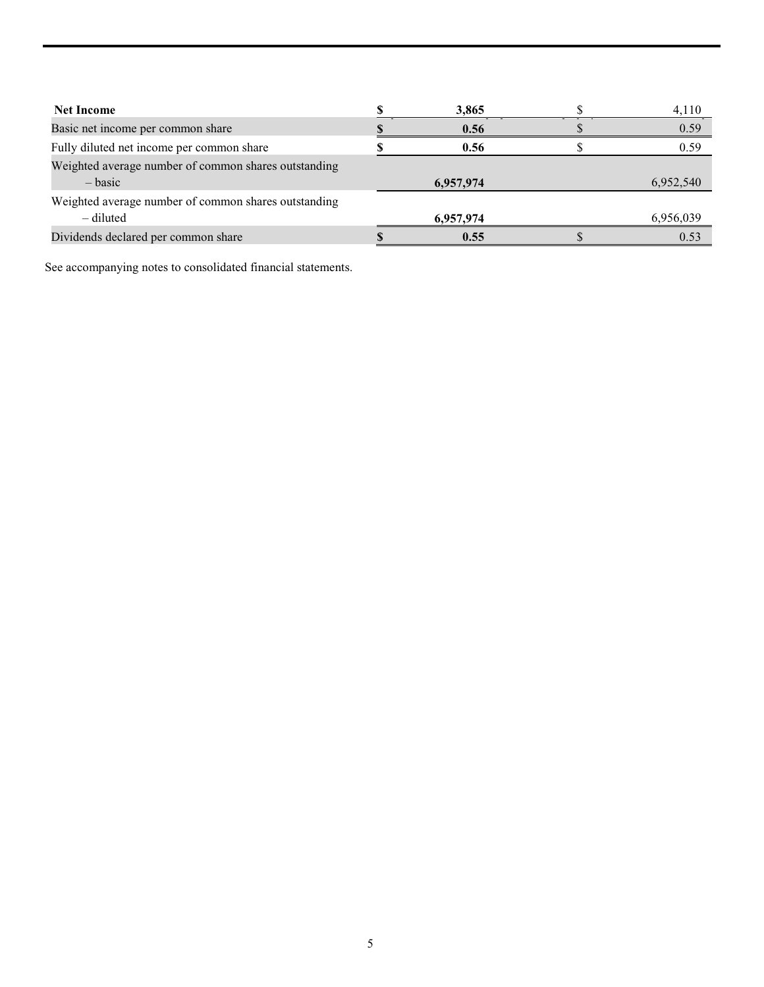| <b>Net Income</b>                                    | 3,865     | 4,110     |
|------------------------------------------------------|-----------|-----------|
| Basic net income per common share                    | 0.56      | 0.59      |
| Fully diluted net income per common share            | 0.56      | 0.59      |
| Weighted average number of common shares outstanding |           |           |
| $-basic$                                             | 6,957,974 | 6,952,540 |
| Weighted average number of common shares outstanding |           |           |
| – diluted                                            | 6,957,974 | 6,956,039 |
| Dividends declared per common share                  | 0.55      | 0.53      |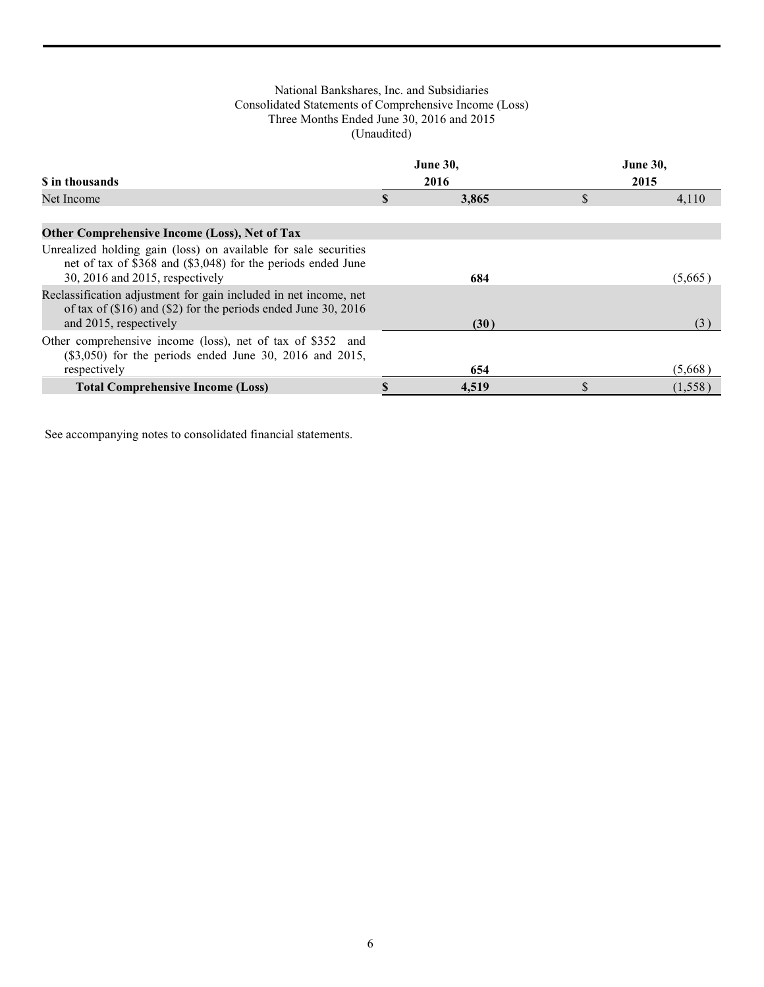# National Bankshares, Inc. and Subsidiaries Consolidated Statements of Comprehensive Income (Loss) Three Months Ended June 30, 2016 and 2015 (Unaudited)

<span id="page-5-0"></span>

|                                                                                                                                                                      |  | <b>June 30,</b> | <b>June 30,</b> |         |  |
|----------------------------------------------------------------------------------------------------------------------------------------------------------------------|--|-----------------|-----------------|---------|--|
| <b>S</b> in thousands                                                                                                                                                |  | 2016            |                 | 2015    |  |
| Net Income                                                                                                                                                           |  | 3,865           | \$              | 4.110   |  |
|                                                                                                                                                                      |  |                 |                 |         |  |
| Other Comprehensive Income (Loss), Net of Tax                                                                                                                        |  |                 |                 |         |  |
| Unrealized holding gain (loss) on available for sale securities<br>net of tax of \$368 and $(\$3,048)$ for the periods ended June<br>30, 2016 and 2015, respectively |  | 684             |                 | (5,665) |  |
| Reclassification adjustment for gain included in net income, net<br>of tax of $(\$16)$ and $(\$2)$ for the periods ended June 30, 2016<br>and 2015, respectively     |  | (30)            |                 | (3)     |  |
| Other comprehensive income (loss), net of tax of \$352 and<br>$(\$3,050)$ for the periods ended June 30, 2016 and 2015,                                              |  |                 |                 |         |  |
| respectively                                                                                                                                                         |  | 654             |                 | (5,668) |  |
| <b>Total Comprehensive Income (Loss)</b>                                                                                                                             |  | 4,519           |                 | (1,558) |  |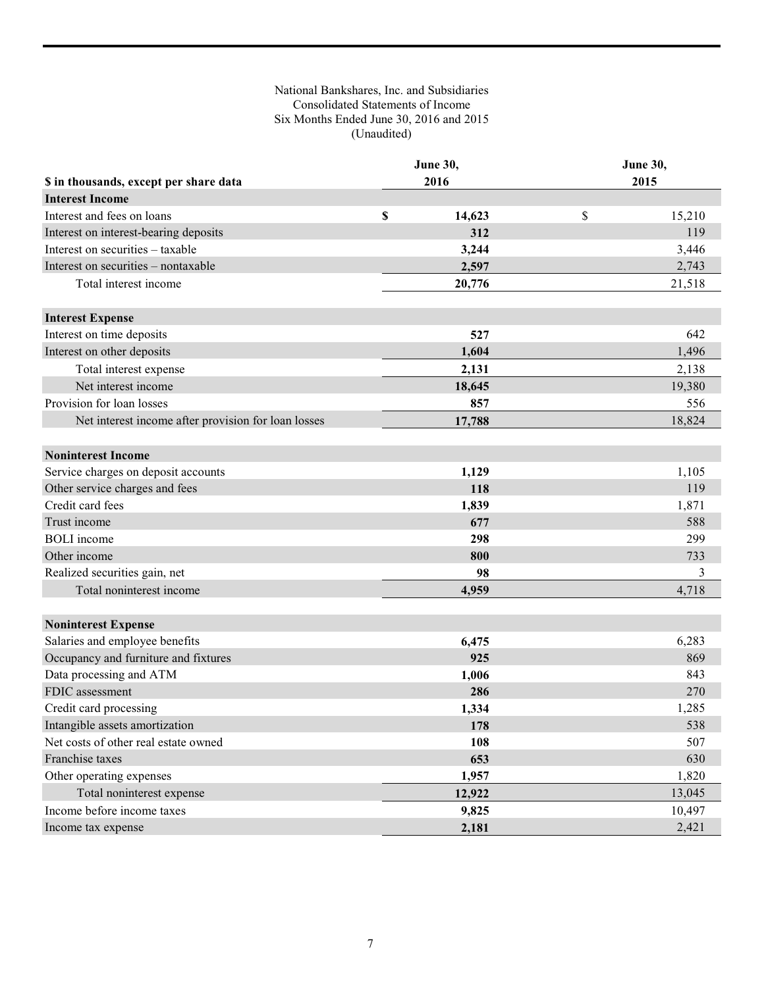# National Bankshares, Inc. and Subsidiaries Consolidated Statements of Income Six Months Ended June 30, 2016 and 2015 (Unaudited)

<span id="page-6-0"></span>

|                                                     | June 30,     | June 30,     |  |  |
|-----------------------------------------------------|--------------|--------------|--|--|
| \$ in thousands, except per share data              | 2016         | 2015         |  |  |
| <b>Interest Income</b>                              |              |              |  |  |
| Interest and fees on loans                          | \$<br>14,623 | \$<br>15,210 |  |  |
| Interest on interest-bearing deposits               | 312          | 119          |  |  |
| Interest on securities - taxable                    | 3,244        | 3,446        |  |  |
| Interest on securities - nontaxable                 | 2,597        | 2,743        |  |  |
| Total interest income                               | 20,776       | 21,518       |  |  |
| <b>Interest Expense</b>                             |              |              |  |  |
| Interest on time deposits                           | 527          | 642          |  |  |
| Interest on other deposits                          | 1,604        | 1,496        |  |  |
| Total interest expense                              | 2,131        | 2,138        |  |  |
| Net interest income                                 | 18,645       | 19,380       |  |  |
| Provision for loan losses                           | 857          | 556          |  |  |
| Net interest income after provision for loan losses | 17,788       | 18,824       |  |  |
| <b>Noninterest Income</b>                           |              |              |  |  |
| Service charges on deposit accounts                 | 1,129        | 1,105        |  |  |
| Other service charges and fees                      | 118          | 119          |  |  |
| Credit card fees                                    | 1,839        | 1,871        |  |  |
| Trust income                                        | 677          | 588          |  |  |
| <b>BOLI</b> income                                  | 298          | 299          |  |  |
| Other income                                        | 800          | 733          |  |  |
| Realized securities gain, net                       | 98           | 3            |  |  |
| Total noninterest income                            | 4,959        | 4,718        |  |  |
| <b>Noninterest Expense</b>                          |              |              |  |  |
| Salaries and employee benefits                      | 6,475        | 6,283        |  |  |
| Occupancy and furniture and fixtures                | 925          | 869          |  |  |
| Data processing and ATM                             | 1,006        | 843          |  |  |
| FDIC assessment                                     | 286          | 270          |  |  |
| Credit card processing                              | 1,334        | 1,285        |  |  |
| Intangible assets amortization                      | 178          | 538          |  |  |
| Net costs of other real estate owned                | 108          | 507          |  |  |
| Franchise taxes                                     | 653          | 630          |  |  |
| Other operating expenses                            | 1,957        | 1,820        |  |  |
| Total noninterest expense                           | 12,922       | 13,045       |  |  |
| Income before income taxes                          | 9,825        | 10,497       |  |  |
| Income tax expense                                  | 2,181        | 2,421        |  |  |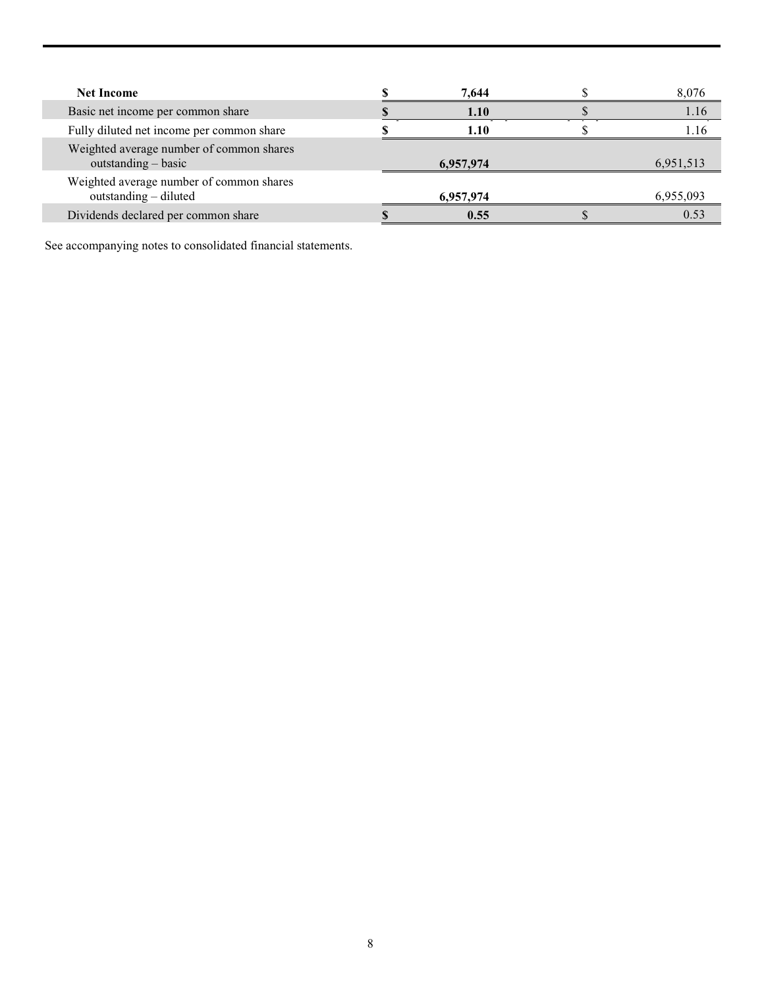| <b>Net Income</b>                                                 | 7.644     | 8,076     |
|-------------------------------------------------------------------|-----------|-----------|
| Basic net income per common share                                 | 1.10      | 1.16      |
| Fully diluted net income per common share                         | 1.10      | 1.16      |
| Weighted average number of common shares<br>outstanding - basic   | 6,957,974 | 6,951,513 |
| Weighted average number of common shares<br>outstanding – diluted | 6,957,974 | 6,955,093 |
| Dividends declared per common share                               | 0.55      | 0.53      |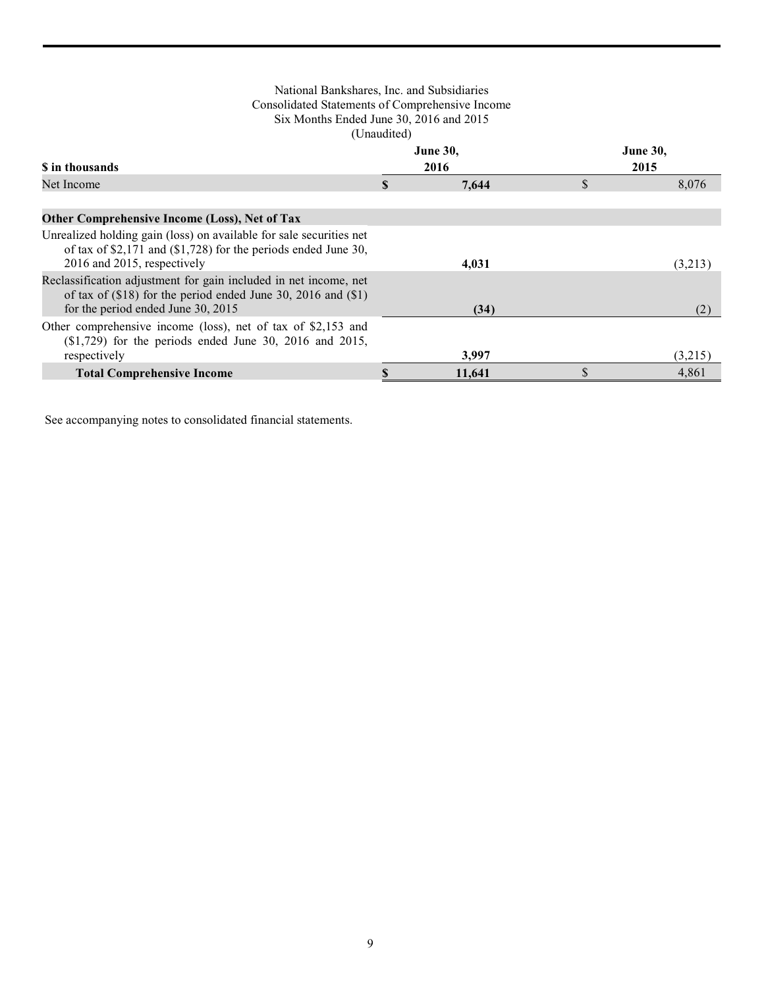# National Bankshares, Inc. and Subsidiaries Consolidated Statements of Comprehensive Income Six Months Ended June 30, 2016 and 2015 (Unaudited)

<span id="page-8-0"></span>

|                                                                                                                                                                             |  | <b>June 30,</b> | <b>June 30,</b> |         |  |
|-----------------------------------------------------------------------------------------------------------------------------------------------------------------------------|--|-----------------|-----------------|---------|--|
| <b>S</b> in thousands                                                                                                                                                       |  | 2016            |                 | 2015    |  |
| Net Income                                                                                                                                                                  |  | 7,644           | \$              | 8,076   |  |
| Other Comprehensive Income (Loss), Net of Tax                                                                                                                               |  |                 |                 |         |  |
| Unrealized holding gain (loss) on available for sale securities net<br>of tax of \$2,171 and $(\$1,728)$ for the periods ended June 30,<br>2016 and 2015, respectively      |  | 4,031           |                 | (3,213) |  |
| Reclassification adjustment for gain included in net income, net<br>of tax of $(\$18)$ for the period ended June 30, 2016 and $(\$1)$<br>for the period ended June 30, 2015 |  | (34)            |                 | (2)     |  |
| Other comprehensive income (loss), net of tax of \$2,153 and<br>$(1,729)$ for the periods ended June 30, 2016 and 2015,<br>respectively                                     |  | 3,997           |                 | (3,215) |  |
| <b>Total Comprehensive Income</b>                                                                                                                                           |  | 11.641          |                 | 4,861   |  |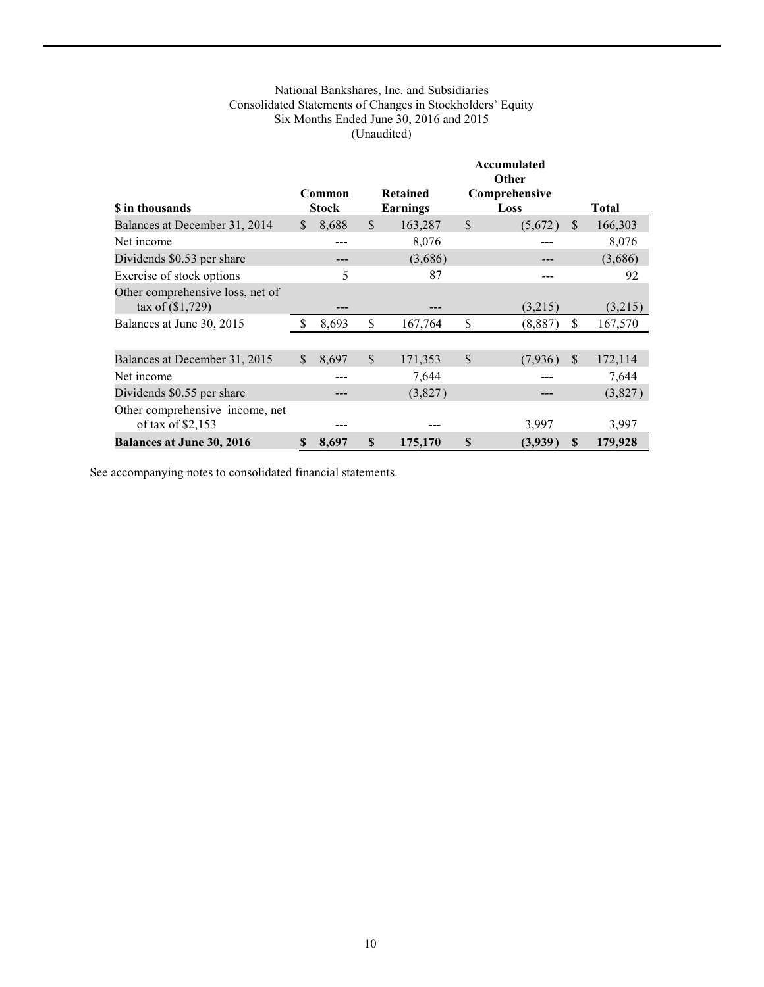# National Bankshares, Inc. and Subsidiaries Consolidated Statements of Changes in Stockholders' Equity Six Months Ended June 30, 2016 and 2015 (Unaudited)

<span id="page-9-0"></span>

|                                                                |                        |       |                             |         |                       | Accumulated<br>Other |               |         |
|----------------------------------------------------------------|------------------------|-------|-----------------------------|---------|-----------------------|----------------------|---------------|---------|
| <b>S</b> in thousands                                          | Common<br><b>Stock</b> |       | <b>Retained</b><br>Earnings |         | Comprehensive<br>Loss |                      |               | Total   |
| Balances at December 31, 2014                                  | <sup>\$</sup>          | 8,688 | $\mathcal{S}$               | 163,287 | \$                    | (5,672)              | \$            | 166,303 |
| Net income                                                     |                        | ---   |                             | 8,076   |                       |                      |               | 8,076   |
| Dividends \$0.53 per share                                     |                        |       |                             | (3,686) |                       |                      |               | (3,686) |
| Exercise of stock options                                      |                        | 5     |                             | 87      |                       |                      |               | 92      |
| Other comprehensive loss, net of<br>$\text{tax of } (\$1,729)$ |                        | ---   |                             |         |                       | (3,215)              |               | (3,215) |
| Balances at June 30, 2015                                      |                        | 8,693 | \$                          | 167,764 | \$                    | (8,887)              | \$            | 167,570 |
|                                                                |                        |       |                             |         |                       |                      |               |         |
| Balances at December 31, 2015                                  | $\mathbb{S}$           | 8,697 | $\mathbb{S}$                | 171,353 | $\mathcal{S}$         | (7,936)              | <sup>\$</sup> | 172,114 |
| Net income                                                     |                        |       |                             | 7,644   |                       |                      |               | 7,644   |
| Dividends \$0.55 per share                                     |                        |       |                             | (3,827) |                       |                      |               | (3,827) |
| Other comprehensive income, net<br>of tax of \$2,153           |                        |       |                             |         |                       | 3,997                |               | 3,997   |
| <b>Balances at June 30, 2016</b>                               | S                      | 8,697 | \$                          | 175,170 | \$                    | (3,939)              | $\mathbf{s}$  | 179,928 |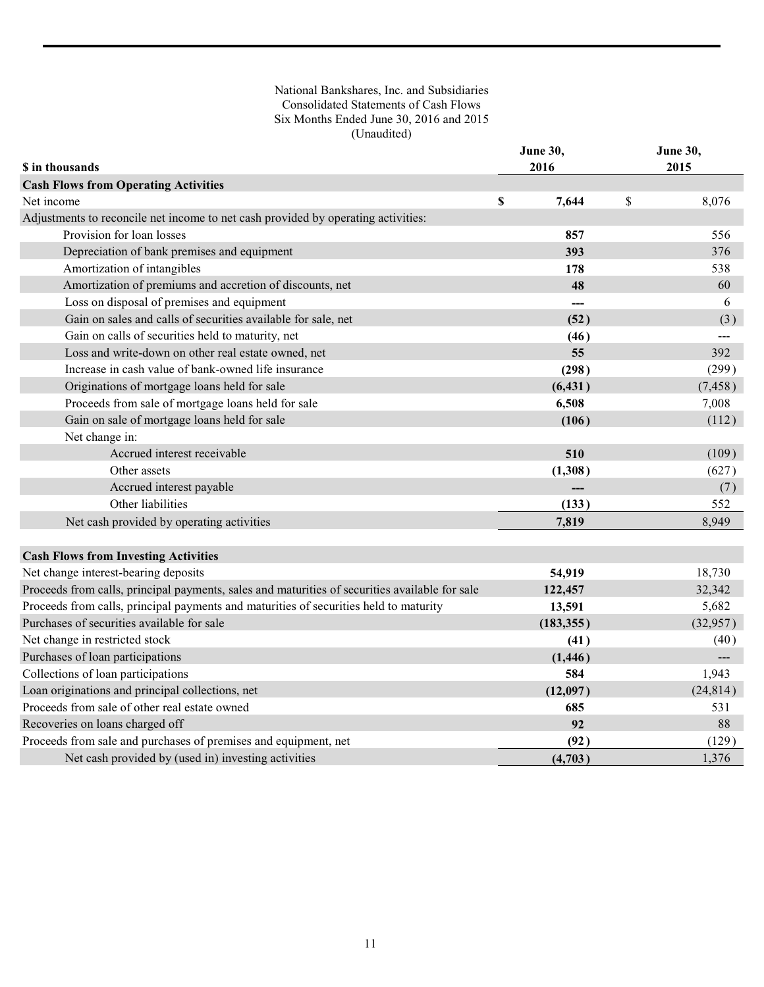# National Bankshares, Inc. and Subsidiaries Consolidated Statements of Cash Flows Six Months Ended June 30, 2016 and 2015 (Unaudited)

<span id="page-10-0"></span>

| \$ in thousands                                                                                |    | June 30,<br>2016 | <b>June 30,</b><br>2015 |  |
|------------------------------------------------------------------------------------------------|----|------------------|-------------------------|--|
| <b>Cash Flows from Operating Activities</b>                                                    |    |                  |                         |  |
| Net income                                                                                     | \$ | 7,644            | \$<br>8,076             |  |
| Adjustments to reconcile net income to net cash provided by operating activities:              |    |                  |                         |  |
| Provision for loan losses                                                                      |    | 857              | 556                     |  |
| Depreciation of bank premises and equipment                                                    |    | 393              | 376                     |  |
| Amortization of intangibles                                                                    |    | 178              | 538                     |  |
| Amortization of premiums and accretion of discounts, net                                       |    | 48               | 60                      |  |
| Loss on disposal of premises and equipment                                                     |    |                  | 6                       |  |
| Gain on sales and calls of securities available for sale, net                                  |    | (52)             | (3)                     |  |
| Gain on calls of securities held to maturity, net                                              |    | (46)             |                         |  |
| Loss and write-down on other real estate owned, net                                            |    | 55               | 392                     |  |
| Increase in cash value of bank-owned life insurance                                            |    | (298)            | (299)                   |  |
| Originations of mortgage loans held for sale                                                   |    | (6, 431)         | (7, 458)                |  |
| Proceeds from sale of mortgage loans held for sale                                             |    | 6,508            | 7,008                   |  |
| Gain on sale of mortgage loans held for sale                                                   |    | (106)            | (112)                   |  |
| Net change in:                                                                                 |    |                  |                         |  |
| Accrued interest receivable                                                                    |    | 510              | (109)                   |  |
| Other assets                                                                                   |    | (1,308)          | (627)                   |  |
| Accrued interest payable                                                                       |    |                  | (7)                     |  |
| Other liabilities                                                                              |    | (133)            | 552                     |  |
| Net cash provided by operating activities                                                      |    | 7,819            | 8,949                   |  |
| <b>Cash Flows from Investing Activities</b>                                                    |    |                  |                         |  |
| Net change interest-bearing deposits                                                           |    | 54,919           | 18,730                  |  |
| Proceeds from calls, principal payments, sales and maturities of securities available for sale |    | 122,457          | 32,342                  |  |
| Proceeds from calls, principal payments and maturities of securities held to maturity          |    | 13,591           | 5,682                   |  |
| Purchases of securities available for sale                                                     |    | (183, 355)       | (32,957)                |  |
| Net change in restricted stock                                                                 |    | (41)             | (40)                    |  |
| Purchases of loan participations                                                               |    | (1, 446)         |                         |  |
| Collections of loan participations                                                             |    | 584              | 1,943                   |  |
| Loan originations and principal collections, net                                               |    | (12,097)         | (24, 814)               |  |
| Proceeds from sale of other real estate owned                                                  |    | 685              | 531                     |  |
| Recoveries on loans charged off                                                                |    | 92               | 88                      |  |
| Proceeds from sale and purchases of premises and equipment, net                                |    | (92)             | (129)                   |  |
| Net cash provided by (used in) investing activities                                            |    | (4,703)          | 1,376                   |  |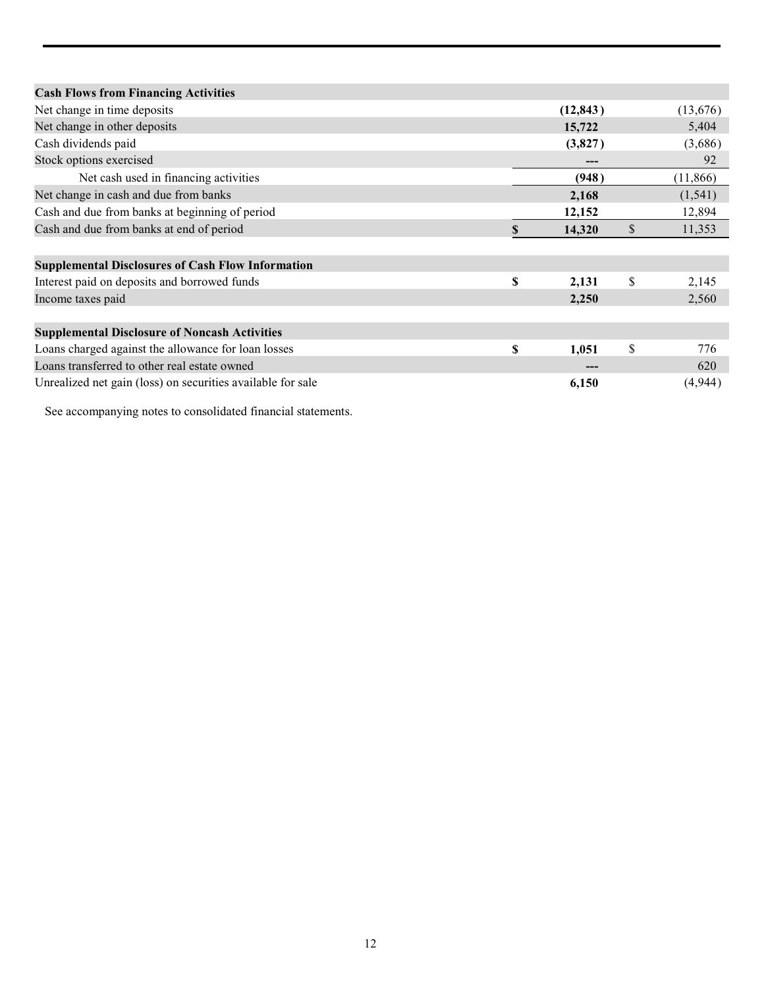| <b>Cash Flows from Financing Activities</b>                 |              |           |              |
|-------------------------------------------------------------|--------------|-----------|--------------|
| Net change in time deposits                                 |              | (12, 843) | (13,676)     |
| Net change in other deposits                                |              | 15,722    | 5,404        |
| Cash dividends paid                                         |              | (3,827)   | (3,686)      |
| Stock options exercised                                     |              |           | 92           |
| Net cash used in financing activities                       |              | (948)     | (11,866)     |
| Net change in cash and due from banks                       |              | 2,168     | (1, 541)     |
| Cash and due from banks at beginning of period              |              | 12,152    | 12,894       |
| Cash and due from banks at end of period                    | $\mathbf{S}$ | 14,320    | \$<br>11,353 |
|                                                             |              |           |              |
| <b>Supplemental Disclosures of Cash Flow Information</b>    |              |           |              |
| Interest paid on deposits and borrowed funds                | \$           | 2,131     | \$<br>2,145  |
| Income taxes paid                                           |              | 2,250     | 2,560        |
|                                                             |              |           |              |
| <b>Supplemental Disclosure of Noncash Activities</b>        |              |           |              |
| Loans charged against the allowance for loan losses         | \$           | 1,051     | \$<br>776    |
| Loans transferred to other real estate owned                |              |           | 620          |
| Unrealized net gain (loss) on securities available for sale |              | 6,150     | (4,944)      |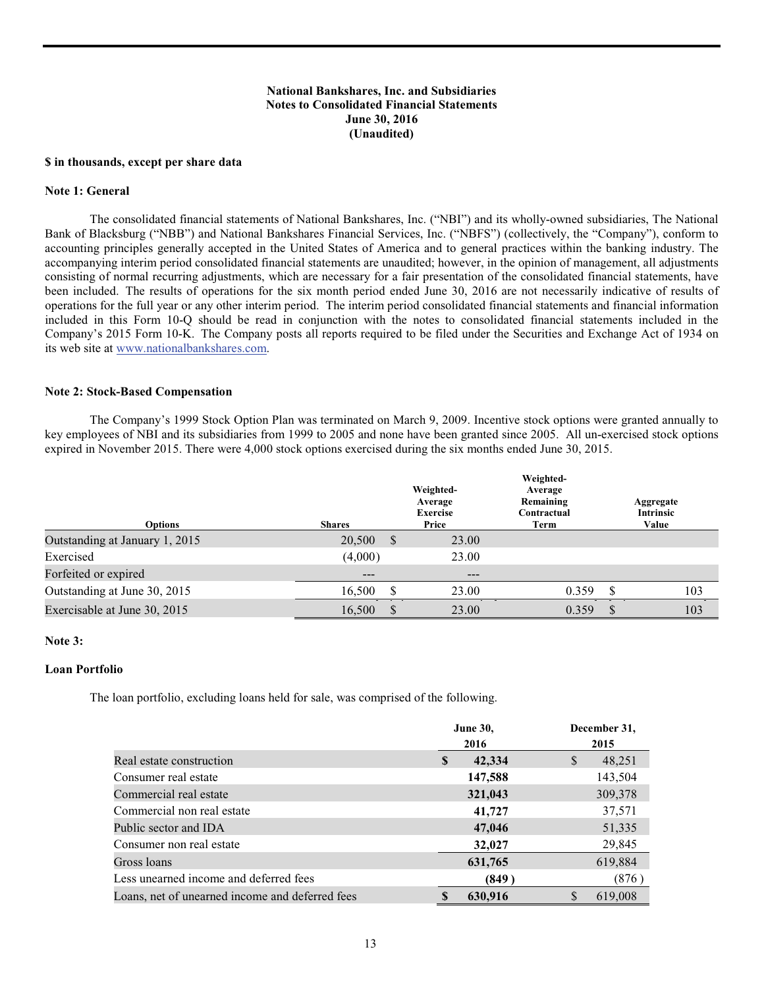# **National Bankshares, Inc. and Subsidiaries Notes to Consolidated Financial Statements June 30, 2016 (Unaudited)**

#### <span id="page-12-0"></span>**\$ in thousands, except per share data**

#### **Note 1: General**

The consolidated financial statements of National Bankshares, Inc. ("NBI") and its wholly-owned subsidiaries, The National Bank of Blacksburg ("NBB") and National Bankshares Financial Services, Inc. ("NBFS") (collectively, the "Company"), conform to accounting principles generally accepted in the United States of America and to general practices within the banking industry. The accompanying interim period consolidated financial statements are unaudited; however, in the opinion of management, all adjustments consisting of normal recurring adjustments, which are necessary for a fair presentation of the consolidated financial statements, have been included. The results of operations for the six month period ended June 30, 2016 are not necessarily indicative of results of operations for the full year or any other interim period. The interim period consolidated financial statements and financial information included in this Form 10-Q should be read in conjunction with the notes to consolidated financial statements included in the Company's 2015 Form 10-K. The Company posts all reports required to be filed under the Securities and Exchange Act of 1934 on its web site at [www.nationalbankshares.com.](http://www.nationalbankshares.com/)

#### **Note 2: Stock-Based Compensation**

The Company's 1999 Stock Option Plan was terminated on March 9, 2009. Incentive stock options were granted annually to key employees of NBI and its subsidiaries from 1999 to 2005 and none have been granted since 2005. All un-exercised stock options expired in November 2015. There were 4,000 stock options exercised during the six months ended June 30, 2015.

| <b>Options</b>                 | <b>Shares</b>              |              | Weighted-<br>Average<br>Exercise<br>Price | Weighted-<br>Average<br>Remaining<br>Contractual<br>Term | Aggregate<br>Intrinsic<br>Value |
|--------------------------------|----------------------------|--------------|-------------------------------------------|----------------------------------------------------------|---------------------------------|
| Outstanding at January 1, 2015 | 20,500                     | <sup>S</sup> | 23.00                                     |                                                          |                                 |
| Exercised                      | (4,000)                    |              | 23.00                                     |                                                          |                                 |
| Forfeited or expired           | $\qquad \qquad - \qquad -$ |              | $---$                                     |                                                          |                                 |
| Outstanding at June 30, 2015   | 16,500                     |              | 23.00                                     | 0.359                                                    | 103                             |
| Exercisable at June 30, 2015   | 16,500                     |              | 23.00                                     | 0.359                                                    | 103                             |

#### **Note 3:**

#### **Loan Portfolio**

The loan portfolio, excluding loans held for sale, was comprised of the following.

|                                                 | <b>June 30,</b>    | December 31. |
|-------------------------------------------------|--------------------|--------------|
|                                                 | 2016               | 2015         |
| Real estate construction                        | 42,334<br><b>S</b> | 48,251<br>S  |
| Consumer real estate                            | 147,588            | 143,504      |
| Commercial real estate                          | 321,043            | 309,378      |
| Commercial non real estate                      | 41,727             | 37,571       |
| Public sector and IDA                           | 47,046             | 51,335       |
| Consumer non real estate                        | 32,027             | 29,845       |
| Gross loans                                     | 631,765            | 619,884      |
| Less unearned income and deferred fees          | (849 )             | (876)        |
| Loans, net of unearned income and deferred fees | 630,916<br>S       | 619,008      |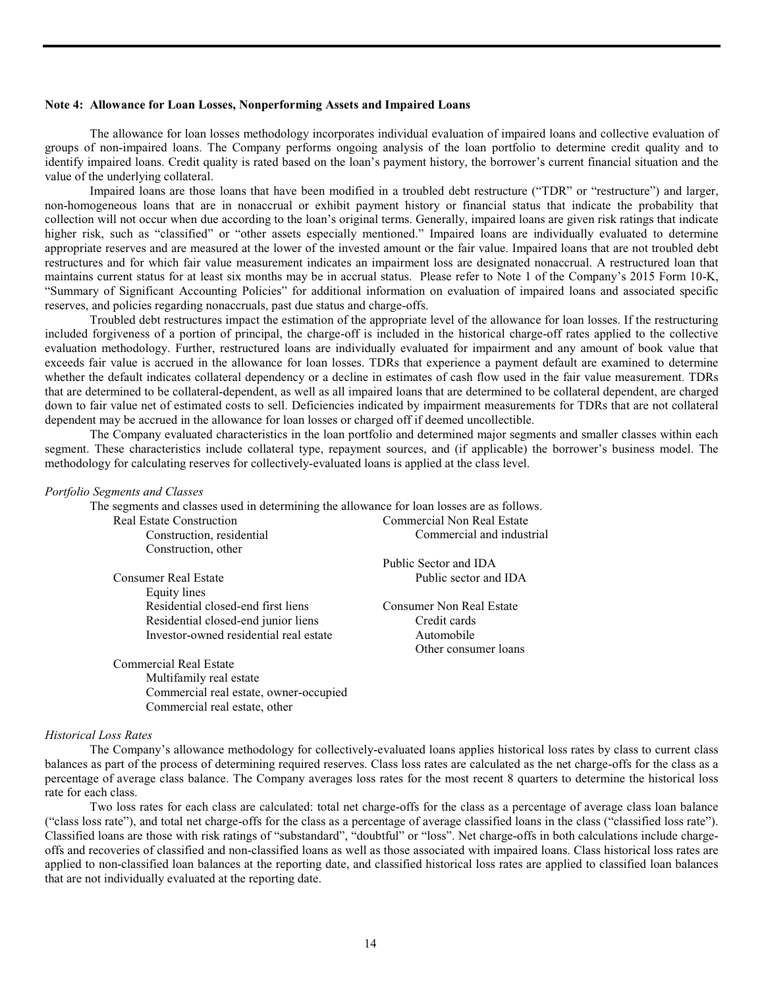#### **Note 4: Allowance for Loan Losses, Nonperforming Assets and Impaired Loans**

The allowance for loan losses methodology incorporates individual evaluation of impaired loans and collective evaluation of groups of non-impaired loans. The Company performs ongoing analysis of the loan portfolio to determine credit quality and to identify impaired loans. Credit quality is rated based on the loan's payment history, the borrower's current financial situation and the value of the underlying collateral.

Impaired loans are those loans that have been modified in a troubled debt restructure ("TDR" or "restructure") and larger, non-homogeneous loans that are in nonaccrual or exhibit payment history or financial status that indicate the probability that collection will not occur when due according to the loan's original terms. Generally, impaired loans are given risk ratings that indicate higher risk, such as "classified" or "other assets especially mentioned." Impaired loans are individually evaluated to determine appropriate reserves and are measured at the lower of the invested amount or the fair value. Impaired loans that are not troubled debt restructures and for which fair value measurement indicates an impairment loss are designated nonaccrual. A restructured loan that maintains current status for at least six months may be in accrual status. Please refer to Note 1 of the Company's 2015 Form 10-K, "Summary of Significant Accounting Policies" for additional information on evaluation of impaired loans and associated specific reserves, and policies regarding nonaccruals, past due status and charge-offs.

Troubled debt restructures impact the estimation of the appropriate level of the allowance for loan losses. If the restructuring included forgiveness of a portion of principal, the charge-off is included in the historical charge-off rates applied to the collective evaluation methodology. Further, restructured loans are individually evaluated for impairment and any amount of book value that exceeds fair value is accrued in the allowance for loan losses. TDRs that experience a payment default are examined to determine whether the default indicates collateral dependency or a decline in estimates of cash flow used in the fair value measurement. TDRs that are determined to be collateral-dependent, as well as all impaired loans that are determined to be collateral dependent, are charged down to fair value net of estimated costs to sell. Deficiencies indicated by impairment measurements for TDRs that are not collateral dependent may be accrued in the allowance for loan losses or charged off if deemed uncollectible.

The Company evaluated characteristics in the loan portfolio and determined major segments and smaller classes within each segment. These characteristics include collateral type, repayment sources, and (if applicable) the borrower's business model. The methodology for calculating reserves for collectively-evaluated loans is applied at the class level.

#### *Portfolio Segments and Classes*

The segments and classes used in determining the allowance for loan losses are as follows.

| Real Estate Construction               | Commercial Non Real Estate      |
|----------------------------------------|---------------------------------|
| Construction, residential              | Commercial and industrial       |
| Construction, other                    |                                 |
|                                        | Public Sector and IDA           |
| <b>Consumer Real Estate</b>            | Public sector and IDA           |
| Equity lines                           |                                 |
| Residential closed-end first liens     | <b>Consumer Non Real Estate</b> |
| Residential closed-end junior liens    | Credit cards                    |
| Investor-owned residential real estate | Automobile                      |
|                                        | Other consumer loans            |
| <b>Commercial Real Estate</b>          |                                 |

Commercial real estate, other

*Historical Loss Rates*

Multifamily real estate

Commercial real estate, owner-occupied

The Company's allowance methodology for collectively-evaluated loans applies historical loss rates by class to current class balances as part of the process of determining required reserves. Class loss rates are calculated as the net charge-offs for the class as a percentage of average class balance. The Company averages loss rates for the most recent 8 quarters to determine the historical loss rate for each class.

Two loss rates for each class are calculated: total net charge-offs for the class as a percentage of average class loan balance ("class loss rate"), and total net charge-offs for the class as a percentage of average classified loans in the class ("classified loss rate"). Classified loans are those with risk ratings of "substandard", "doubtful" or "loss". Net charge-offs in both calculations include chargeoffs and recoveries of classified and non-classified loans as well as those associated with impaired loans. Class historical loss rates are applied to non-classified loan balances at the reporting date, and classified historical loss rates are applied to classified loan balances that are not individually evaluated at the reporting date.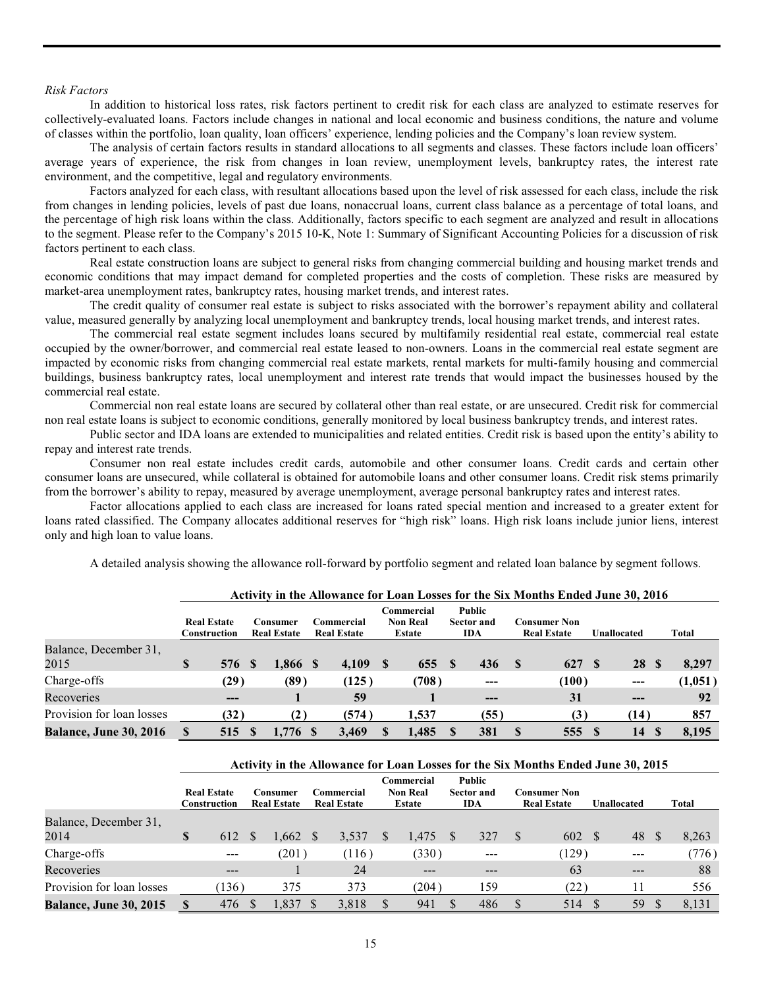#### *Risk Factors*

In addition to historical loss rates, risk factors pertinent to credit risk for each class are analyzed to estimate reserves for collectively-evaluated loans. Factors include changes in national and local economic and business conditions, the nature and volume of classes within the portfolio, loan quality, loan officers' experience, lending policies and the Company's loan review system.

The analysis of certain factors results in standard allocations to all segments and classes. These factors include loan officers' average years of experience, the risk from changes in loan review, unemployment levels, bankruptcy rates, the interest rate environment, and the competitive, legal and regulatory environments.

Factors analyzed for each class, with resultant allocations based upon the level of risk assessed for each class, include the risk from changes in lending policies, levels of past due loans, nonaccrual loans, current class balance as a percentage of total loans, and the percentage of high risk loans within the class. Additionally, factors specific to each segment are analyzed and result in allocations to the segment. Please refer to the Company's 2015 10-K, Note 1: Summary of Significant Accounting Policies for a discussion of risk factors pertinent to each class.

Real estate construction loans are subject to general risks from changing commercial building and housing market trends and economic conditions that may impact demand for completed properties and the costs of completion. These risks are measured by market-area unemployment rates, bankruptcy rates, housing market trends, and interest rates.

The credit quality of consumer real estate is subject to risks associated with the borrower's repayment ability and collateral value, measured generally by analyzing local unemployment and bankruptcy trends, local housing market trends, and interest rates.

The commercial real estate segment includes loans secured by multifamily residential real estate, commercial real estate occupied by the owner/borrower, and commercial real estate leased to non-owners. Loans in the commercial real estate segment are impacted by economic risks from changing commercial real estate markets, rental markets for multi-family housing and commercial buildings, business bankruptcy rates, local unemployment and interest rate trends that would impact the businesses housed by the commercial real estate.

Commercial non real estate loans are secured by collateral other than real estate, or are unsecured. Credit risk for commercial non real estate loans is subject to economic conditions, generally monitored by local business bankruptcy trends, and interest rates.

Public sector and IDA loans are extended to municipalities and related entities. Credit risk is based upon the entity's ability to repay and interest rate trends.

Consumer non real estate includes credit cards, automobile and other consumer loans. Credit cards and certain other consumer loans are unsecured, while collateral is obtained for automobile loans and other consumer loans. Credit risk stems primarily from the borrower's ability to repay, measured by average unemployment, average personal bankruptcy rates and interest rates.

Factor allocations applied to each class are increased for loans rated special mention and increased to a greater extent for loans rated classified. The Company allocates additional reserves for "high risk" loans. High risk loans include junior liens, interest only and high loan to value loans.

A detailed analysis showing the allowance roll-forward by portfolio segment and related loan balance by segment follows.

#### **Activity in the Allowance for Loan Losses for the Six Months Ended June 30, 2016 Real Estate Construction Consumer Real Estate Commercial Real Estate Commercial Non Real Estate Public Sector and IDA Consumer Non Real Estate Unallocated Total** Balance, December 31, 2015 **\$ 576 \$ 1,866 \$ 4,109 \$ 655 \$ 436 \$ 627 \$ 28 \$ 8,297** Charge-offs **(29 ) (89 ) (125 ) (708 ) --- (100 ) --- (1,051 )** Recoveries **--- 1 59 1 --- 31 --- 92** Provision for loan losses **(32 ) (2 ) (574 ) 1,537 (55 ) (3 ) (14 ) 857 Balance, June 30, 2016 \$ 515 \$ 1,776 \$ 3,469 \$ 1,485 \$ 381 \$ 555 \$ 14 \$ 8,195**

# **Activity in the Allowance for Loan Losses for the Six Months Ended June 30, 2015**

|                               |   | <b>Real Estate</b><br>Construction | Consumer<br><b>Real Estate</b> | Commercial<br><b>Real Estate</b> | Commercial<br><b>Non Real</b><br><b>Estate</b> | <b>Public</b><br><b>Sector and</b><br><b>IDA</b> |   | Consumer Non<br><b>Real Estate</b> | Unallocated                | Total |
|-------------------------------|---|------------------------------------|--------------------------------|----------------------------------|------------------------------------------------|--------------------------------------------------|---|------------------------------------|----------------------------|-------|
| Balance, December 31,         |   |                                    |                                |                                  |                                                |                                                  |   |                                    |                            |       |
| 2014                          | S | 612                                | 1.662                          | 3,537                            | 1,475                                          | 327                                              | S | 602                                | 48                         | 8,263 |
| Charge-offs                   |   | $- - -$                            | (201)                          | 116                              | (330)                                          | $- - -$                                          |   | (129)                              | $\qquad \qquad - \qquad -$ | (776) |
| Recoveries                    |   | $- - -$                            |                                | 24                               | ---                                            | ---                                              |   | 63                                 | $- - -$                    | 88    |
| Provision for loan losses     |   | (136)                              | 375                            | 373                              | (204)                                          | 159                                              |   | (22)                               |                            | 556   |
| <b>Balance, June 30, 2015</b> |   | 476                                | .837                           | 3.818                            | 941                                            | 486                                              | S | 514                                | 59                         | 8.131 |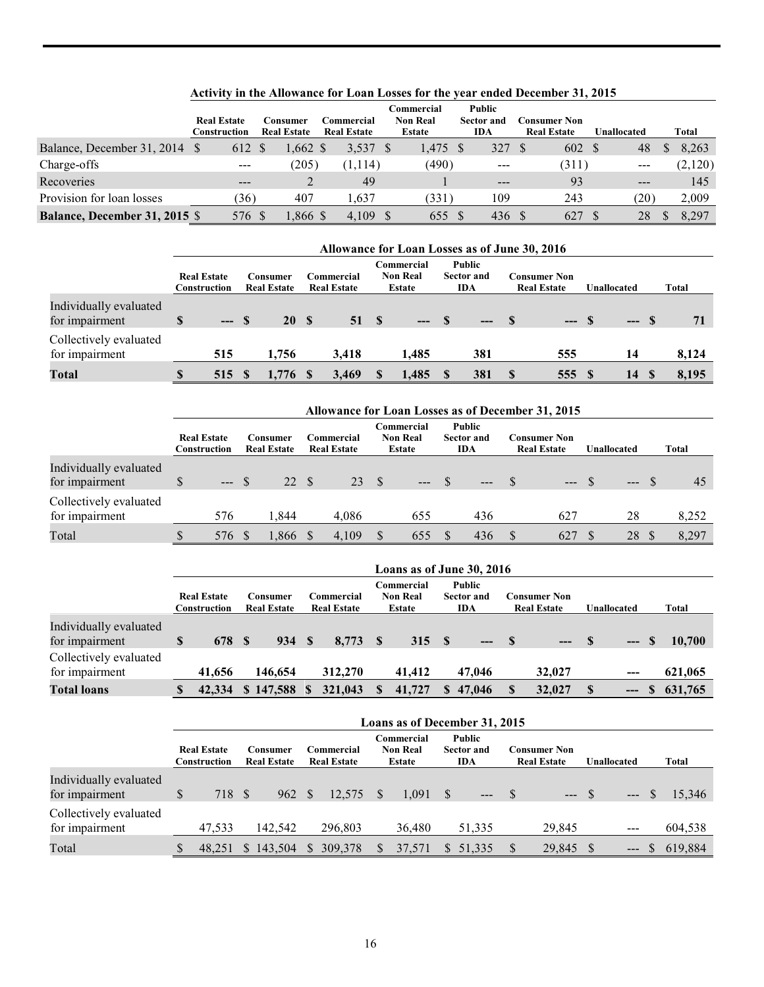|                                      | <b>Real Estate</b> |        | Consumer           | Commercial         | Commercial<br><b>Non Real</b> | <b>Public</b><br>Sector and | Consumer Non       |             |         |
|--------------------------------------|--------------------|--------|--------------------|--------------------|-------------------------------|-----------------------------|--------------------|-------------|---------|
|                                      | Construction       |        | <b>Real Estate</b> | <b>Real Estate</b> | Estate                        | <b>IDA</b>                  | <b>Real Estate</b> | Unallocated | Total   |
| Balance, December 31, 2014 \$        |                    | 612 \$ | $.662 \text{ s}$   | 3,537 \$           | $1,475$ \$                    | 327                         | 602                | 48          | 8,263   |
| Charge-offs                          | ---                |        | (205)              | (1,114)            | (490)                         | $---$                       | (311)              | $- - -$     | (2,120) |
| Recoveries                           | $- - -$            |        |                    | 49                 |                               | $- - -$                     | 93                 | $- - -$     | 145     |
| Provision for loan losses            |                    | (36)   | 407                | .637               | (331)                         | 109                         | 243                | (20)        | 2,009   |
| <b>Balance, December 31, 2015 \$</b> |                    | 576 \$ | .866 \$            | 4,109              | 655                           | 436 \$                      | 627                | 28          | 8.297   |

# **Activity in the Allowance for Loan Losses for the year ended December 31, 2015**

|                                          |   |                                    |                                |    | Allowance for Loan Losses as of June 30, 2016 |      |                                         |                                           |          |                                     |             |       |
|------------------------------------------|---|------------------------------------|--------------------------------|----|-----------------------------------------------|------|-----------------------------------------|-------------------------------------------|----------|-------------------------------------|-------------|-------|
|                                          |   | <b>Real Estate</b><br>Construction | Consumer<br><b>Real Estate</b> |    | Commercial<br><b>Real Estate</b>              |      | Commercial<br><b>Non Real</b><br>Estate | <b>Public</b><br>Sector and<br><b>IDA</b> |          | Consumer Non-<br><b>Real Estate</b> | Unallocated | Total |
| Individually evaluated<br>for impairment |   | $--$ \$                            | 20S                            |    | 51                                            | - \$ | $---$                                   | $---$                                     |          | $--$ \$                             | $--$ S      | 71    |
| Collectively evaluated<br>for impairment |   | 515                                | 1.756                          |    | 3,418                                         |      | 1.485                                   | 381                                       |          | 555                                 | 14          | 8,124 |
| Total                                    | S | 515 S                              | 1,776                          | -S | 3,469                                         |      | 1,485                                   | 381                                       | <b>S</b> | 555                                 | 14          | 8.195 |

|                                          |                                    |                                |    |                                  |     |                                         |                                    | Allowance for Loan Losses as of December 31, 2015 |             |       |
|------------------------------------------|------------------------------------|--------------------------------|----|----------------------------------|-----|-----------------------------------------|------------------------------------|---------------------------------------------------|-------------|-------|
|                                          | <b>Real Estate</b><br>Construction | Consumer<br><b>Real Estate</b> |    | Commercial<br><b>Real Estate</b> |     | Commercial<br><b>Non Real</b><br>Estate | <b>Public</b><br>Sector and<br>IDA | <b>Consumer Non</b><br><b>Real Estate</b>         | Unallocated | Total |
| Individually evaluated<br>for impairment | $--$ \$                            | 22 \$                          |    | 23                               | - S |                                         | $---$                              | $---$                                             | $---$       | 45    |
| Collectively evaluated<br>for impairment | 576                                | 1.844                          |    | 4.086                            |     | 655                                     | 436                                | 627                                               | 28          | 8,252 |
| Total                                    | 576 \$                             | 1,866                          | -S | 4,109                            |     | 655                                     | 436                                | 627                                               | 28          | 8.297 |

|                                          |   |                                    |                                |              |                                  |      | Loans as of June 30, 2016               |     |                                           |                                    |             |              |
|------------------------------------------|---|------------------------------------|--------------------------------|--------------|----------------------------------|------|-----------------------------------------|-----|-------------------------------------------|------------------------------------|-------------|--------------|
|                                          |   | <b>Real Estate</b><br>Construction | Consumer<br><b>Real Estate</b> |              | Commercial<br><b>Real Estate</b> |      | Commercial<br><b>Non Real</b><br>Estate |     | <b>Public</b><br>Sector and<br><b>IDA</b> | Consumer Non<br><b>Real Estate</b> | Unallocated | <b>Total</b> |
| Individually evaluated<br>for impairment | S | 678 \$                             | 934                            | - \$         | 8.773                            | - \$ | 315S                                    |     | $---$                                     | $---$                              | $--- S$     | 10,700       |
| Collectively evaluated<br>for impairment |   | 41,656                             | 146,654                        |              | 312,270                          |      | 41,412                                  |     | 47,046                                    | 32,027                             | ---         | 621,065      |
| <b>Total loans</b>                       |   | 42,334 \$147,588                   |                                | <sup>S</sup> | 321,043                          | S    | 41,727                                  | SS. | 47,046                                    | 32,027                             | ---         | \$631,765    |

|                                          |   |                                    |                                |    |                                  |               | Loans as of December 31, 2015           |                                                  |                                           |             |       |         |
|------------------------------------------|---|------------------------------------|--------------------------------|----|----------------------------------|---------------|-----------------------------------------|--------------------------------------------------|-------------------------------------------|-------------|-------|---------|
|                                          |   | <b>Real Estate</b><br>Construction | Consumer<br><b>Real Estate</b> |    | Commercial<br><b>Real Estate</b> |               | Commercial<br><b>Non Real</b><br>Estate | <b>Public</b><br><b>Sector and</b><br><b>IDA</b> | <b>Consumer Non</b><br><b>Real Estate</b> | Unallocated |       | Total   |
| Individually evaluated<br>for impairment | S | 718 \$                             | 962 \$                         |    | 12.575                           | <sup>\$</sup> | 1.091                                   | $--$ \$                                          | $--$ \$                                   | $---$       | $S^-$ | 15,346  |
| Collectively evaluated<br>for impairment |   | 47,533                             | 142,542                        |    | 296,803                          |               | 36,480                                  | 51,335                                           | 29,845                                    | $---$       |       | 604,538 |
| Total                                    |   | 48.251                             | \$143,504                      | -S | 309,378                          | S.            | 37.571                                  | \$ 51.335                                        | 29,845 \$                                 | $---$       | S     | 619,884 |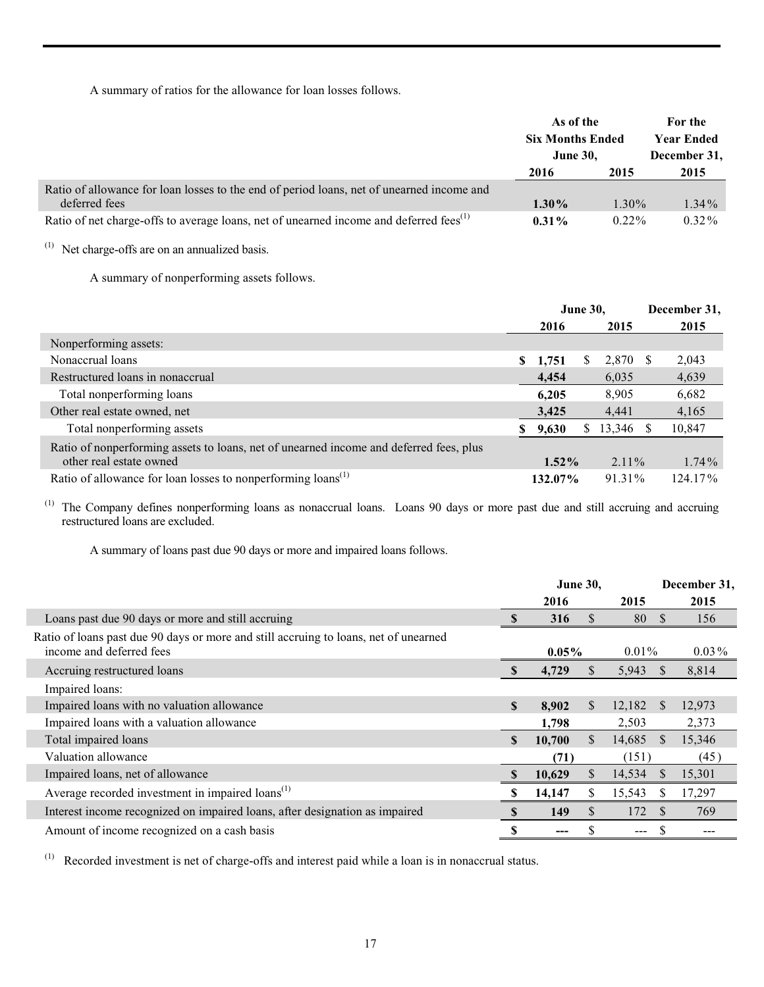A summary of ratios for the allowance for loan losses follows.

|                                                                                                    | As of the<br><b>Six Months Ended</b><br><b>June 30,</b> |          | For the<br><b>Year Ended</b><br>December 31, |
|----------------------------------------------------------------------------------------------------|---------------------------------------------------------|----------|----------------------------------------------|
|                                                                                                    | 2016                                                    | 2015     | 2015                                         |
| Ratio of allowance for loan losses to the end of period loans, net of unearned income and          |                                                         |          |                                              |
| deferred fees                                                                                      | $1.30\%$                                                | $1.30\%$ | 1.34%                                        |
| Ratio of net charge-offs to average loans, net of unearned income and deferred fees <sup>(1)</sup> | $0.31\%$                                                | $0.22\%$ | $0.32\%$                                     |

(1) Net charge-offs are on an annualized basis.

I ı

A summary of nonperforming assets follows.

|                                                                                        |    |          | <b>June 30,</b> |          |     | December 31, |
|----------------------------------------------------------------------------------------|----|----------|-----------------|----------|-----|--------------|
|                                                                                        |    | 2016     |                 | 2015     |     | 2015         |
| Nonperforming assets:                                                                  |    |          |                 |          |     |              |
| Nonaccrual loans                                                                       |    | \$1,751  | S               | 2,870    | - S | 2,043        |
| Restructured loans in nonaccrual                                                       |    | 4,454    |                 | 6,035    |     | 4,639        |
| Total nonperforming loans                                                              |    | 6,205    |                 | 8,905    |     | 6,682        |
| Other real estate owned, net                                                           |    | 3,425    |                 | 4,441    |     | 4,165        |
| Total nonperforming assets                                                             | S. | 9,630    |                 | \$13,346 |     | 10,847       |
| Ratio of nonperforming assets to loans, net of unearned income and deferred fees, plus |    |          |                 |          |     |              |
| other real estate owned                                                                |    | $1.52\%$ |                 | $2.11\%$ |     | $1.74\%$     |
| Ratio of allowance for loan losses to nonperforming loans <sup>(1)</sup>               |    | 132.07%  |                 | 91.31%   |     | $124.17\%$   |

(1) The Company defines nonperforming loans as nonaccrual loans. Loans 90 days or more past due and still accruing and accruing restructured loans are excluded.

A summary of loans past due 90 days or more and impaired loans follows.

|                                                                                                                  |     | <b>June 30,</b> |    |          |              | December 31, |
|------------------------------------------------------------------------------------------------------------------|-----|-----------------|----|----------|--------------|--------------|
|                                                                                                                  |     | 2016            |    | 2015     |              | 2015         |
| Loans past due 90 days or more and still accruing                                                                |     | 316             |    | 80       |              | 156          |
| Ratio of loans past due 90 days or more and still accruing to loans, net of unearned<br>income and deferred fees |     | $0.05\%$        |    | $0.01\%$ |              | $0.03\%$     |
| Accruing restructured loans                                                                                      |     | 4,729           |    | 5,943    |              | 8,814        |
| Impaired loans:                                                                                                  |     |                 |    |          |              |              |
| Impaired loans with no valuation allowance                                                                       | \$. | 8,902           | \$ | 12,182   | <sup>S</sup> | 12,973       |
| Impaired loans with a valuation allowance                                                                        |     | 1,798           |    | 2,503    |              | 2,373        |
| Total impaired loans                                                                                             | \$. | 10,700          | S. | 14,685   |              | 15,346       |
| Valuation allowance                                                                                              |     | (71)            |    | (151)    |              | (45)         |
| Impaired loans, net of allowance                                                                                 |     | 10,629          | S. | 14,534   | <b>S</b>     | 15,301       |
| Average recorded investment in impaired loans <sup>(1)</sup>                                                     |     | 14,147          | S. | 15,543   |              | 17,297       |
| Interest income recognized on impaired loans, after designation as impaired                                      |     | 149             | S. | 172      |              | 769          |
| Amount of income recognized on a cash basis                                                                      |     |                 |    | ---      |              |              |

(1) Recorded investment is net of charge-offs and interest paid while a loan is in nonaccrual status.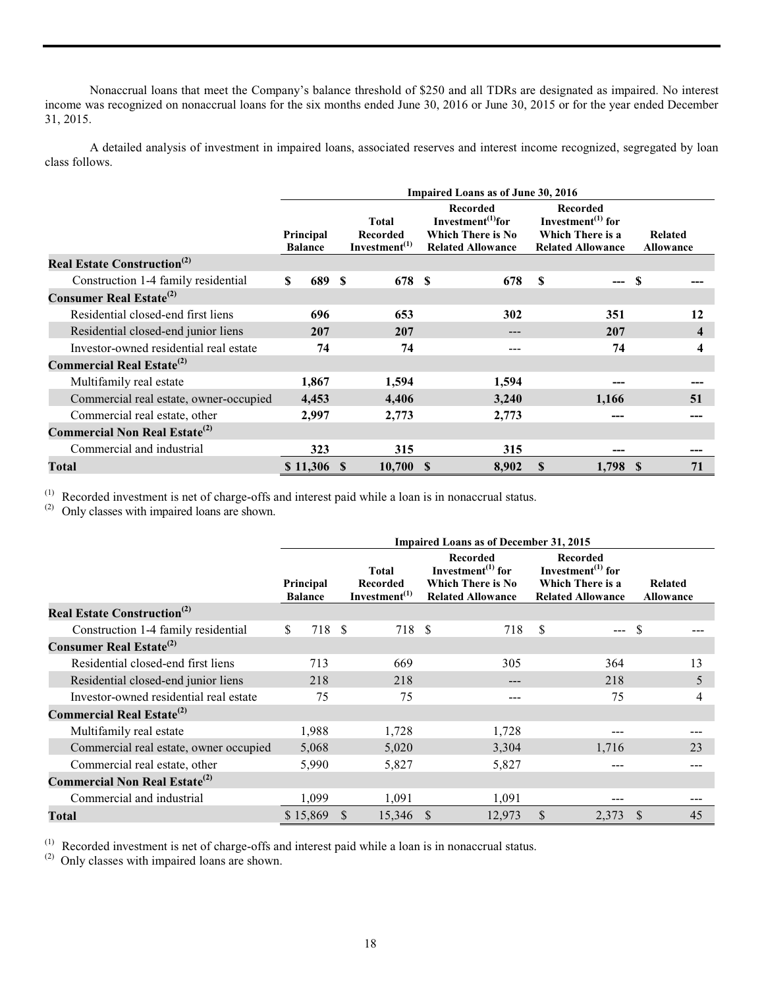Nonaccrual loans that meet the Company's balance threshold of \$250 and all TDRs are designated as impaired. No interest income was recognized on nonaccrual loans for the six months ended June 30, 2016 or June 30, 2015 or for the year ended December 31, 2015.

A detailed analysis of investment in impaired loans, associated reserves and interest income recognized, segregated by loan class follows.

|                                                |                             |    |                                                       |      | Impaired Loans as of June 30, 2016                                                          |             |                                                                                     |               |                      |
|------------------------------------------------|-----------------------------|----|-------------------------------------------------------|------|---------------------------------------------------------------------------------------------|-------------|-------------------------------------------------------------------------------------|---------------|----------------------|
|                                                | Principal<br><b>Balance</b> |    | <b>Total</b><br>Recorded<br>Investment <sup>(1)</sup> |      | Recorded<br>Investment $^{(1)}$ for<br><b>Which There is No</b><br><b>Related Allowance</b> |             | Recorded<br>Investment $^{(1)}$ for<br>Which There is a<br><b>Related Allowance</b> |               | Related<br>Allowance |
| <b>Real Estate Construction</b> <sup>(2)</sup> |                             |    |                                                       |      |                                                                                             |             |                                                                                     |               |                      |
| Construction 1-4 family residential            | 689<br>\$                   | -S | 678 \$                                                |      | 678                                                                                         | $\mathbf s$ |                                                                                     | <sup>\$</sup> |                      |
| <b>Consumer Real Estate</b> <sup>(2)</sup>     |                             |    |                                                       |      |                                                                                             |             |                                                                                     |               |                      |
| Residential closed-end first liens             | 696                         |    | 653                                                   |      | 302                                                                                         |             | 351                                                                                 |               | 12                   |
| Residential closed-end junior liens            | 207                         |    | 207                                                   |      | ---                                                                                         |             | 207                                                                                 |               | $\overline{\bf 4}$   |
| Investor-owned residential real estate         | 74                          |    | 74                                                    |      | $--$                                                                                        |             | 74                                                                                  |               | 4                    |
| Commercial Real Estate <sup>(2)</sup>          |                             |    |                                                       |      |                                                                                             |             |                                                                                     |               |                      |
| Multifamily real estate                        | 1,867                       |    | 1,594                                                 |      | 1,594                                                                                       |             |                                                                                     |               |                      |
| Commercial real estate, owner-occupied         | 4,453                       |    | 4,406                                                 |      | 3,240                                                                                       |             | 1,166                                                                               |               | 51                   |
| Commercial real estate, other                  | 2,997                       |    | 2,773                                                 |      | 2,773                                                                                       |             | ---                                                                                 |               |                      |
| Commercial Non Real Estate <sup>(2)</sup>      |                             |    |                                                       |      |                                                                                             |             |                                                                                     |               |                      |
| Commercial and industrial                      | 323                         |    | 315                                                   |      | 315                                                                                         |             |                                                                                     |               |                      |
| Total                                          | \$11,306                    | S  | 10,700                                                | - \$ | 8,902                                                                                       | <b>S</b>    | 1,798                                                                               | -S            | 71                   |

(1) Recorded investment is net of charge-offs and interest paid while a loan is in nonaccrual status.<br>
(2) Only classes with impaired loans are shown.

|                                                | <b>Impaired Loans as of December 31, 2015</b> |                                              |                                                                                                                       |                                                                                     |                      |  |  |  |  |  |  |
|------------------------------------------------|-----------------------------------------------|----------------------------------------------|-----------------------------------------------------------------------------------------------------------------------|-------------------------------------------------------------------------------------|----------------------|--|--|--|--|--|--|
|                                                | Principal<br><b>Balance</b>                   | <b>Total</b><br>Recorded<br>Investment $(1)$ | <b>Recorded</b><br>Investment <sup><math>(1)</math></sup> for<br><b>Which There is No</b><br><b>Related Allowance</b> | Recorded<br>Investment $^{(1)}$ for<br>Which There is a<br><b>Related Allowance</b> | Related<br>Allowance |  |  |  |  |  |  |
| <b>Real Estate Construction</b> <sup>(2)</sup> |                                               |                                              |                                                                                                                       |                                                                                     |                      |  |  |  |  |  |  |
| Construction 1-4 family residential            | 718<br>$\mathbb{S}$                           | <sup>S</sup><br>718 \$                       | 718                                                                                                                   | S<br>$---$                                                                          | S                    |  |  |  |  |  |  |
| <b>Consumer Real Estate</b> <sup>(2)</sup>     |                                               |                                              |                                                                                                                       |                                                                                     |                      |  |  |  |  |  |  |
| Residential closed-end first liens             | 713                                           | 669                                          | 305                                                                                                                   | 364                                                                                 | 13                   |  |  |  |  |  |  |
| Residential closed-end junior liens            | 218                                           | 218                                          | ---                                                                                                                   | 218                                                                                 | 5                    |  |  |  |  |  |  |
| Investor-owned residential real estate         | 75                                            | 75                                           | ---                                                                                                                   | 75                                                                                  | 4                    |  |  |  |  |  |  |
| Commercial Real Estate <sup>(2)</sup>          |                                               |                                              |                                                                                                                       |                                                                                     |                      |  |  |  |  |  |  |
| Multifamily real estate                        | 1,988                                         | 1,728                                        | 1,728                                                                                                                 |                                                                                     |                      |  |  |  |  |  |  |
| Commercial real estate, owner occupied         | 5,068                                         | 5,020                                        | 3,304                                                                                                                 | 1,716                                                                               | 23                   |  |  |  |  |  |  |
| Commercial real estate, other                  | 5,990                                         | 5,827                                        | 5,827                                                                                                                 |                                                                                     |                      |  |  |  |  |  |  |
| Commercial Non Real Estate <sup>(2)</sup>      |                                               |                                              |                                                                                                                       |                                                                                     |                      |  |  |  |  |  |  |
| Commercial and industrial                      | 1,099                                         | 1,091                                        | 1,091                                                                                                                 |                                                                                     |                      |  |  |  |  |  |  |
| Total                                          | \$15,869                                      | \$.<br>15,346                                | 12,973                                                                                                                | <sup>\$</sup><br>2,373                                                              | 45<br>S              |  |  |  |  |  |  |

(1) Recorded investment is net of charge-offs and interest paid while a loan is in nonaccrual status.

(2) Only classes with impaired loans are shown.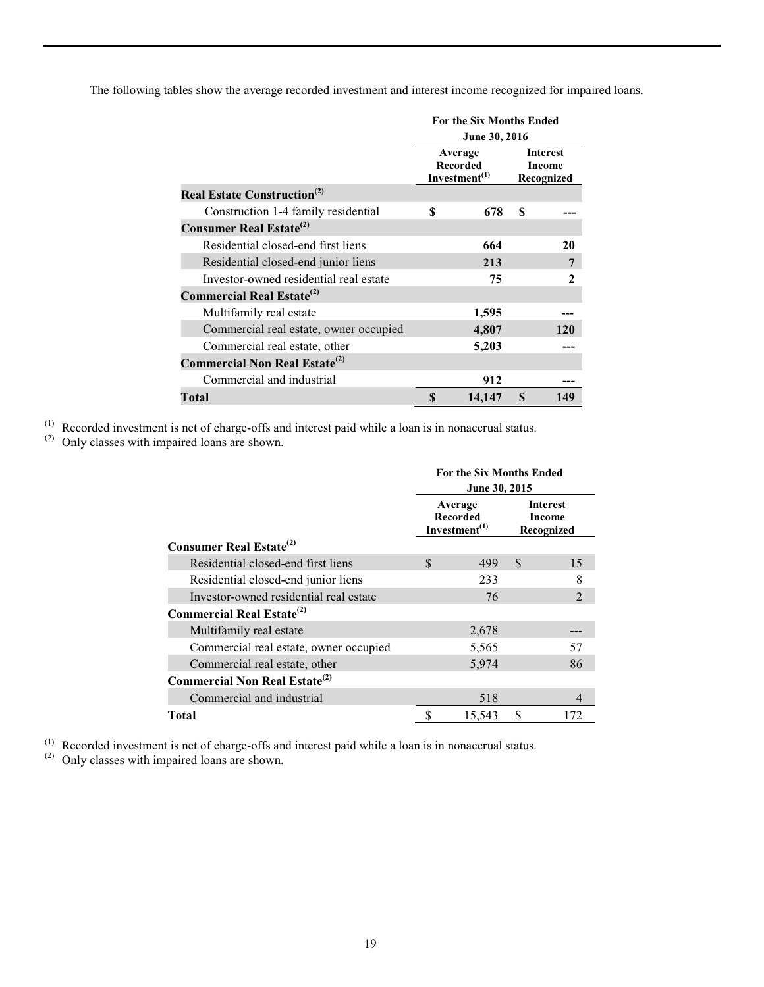The following tables show the average recorded investment and interest income recognized for impaired loans.

|                                                | For the Six Months Ended |                                                  |             |                                         |  |  |  |
|------------------------------------------------|--------------------------|--------------------------------------------------|-------------|-----------------------------------------|--|--|--|
|                                                | <b>June 30, 2016</b>     |                                                  |             |                                         |  |  |  |
|                                                |                          | Average<br>Recorded<br>Investment <sup>(1)</sup> |             | <b>Interest</b><br>Income<br>Recognized |  |  |  |
| <b>Real Estate Construction</b> <sup>(2)</sup> |                          |                                                  |             |                                         |  |  |  |
| Construction 1-4 family residential            | S                        | 678                                              | S           |                                         |  |  |  |
| <b>Consumer Real Estate</b> <sup>(2)</sup>     |                          |                                                  |             |                                         |  |  |  |
| Residential closed-end first liens             |                          | 664                                              |             | 20                                      |  |  |  |
| Residential closed-end junior liens            |                          | 213                                              |             |                                         |  |  |  |
| Investor-owned residential real estate         |                          | 75                                               |             | $\mathbf{2}$                            |  |  |  |
| Commercial Real Estate <sup>(2)</sup>          |                          |                                                  |             |                                         |  |  |  |
| Multifamily real estate                        |                          | 1,595                                            |             |                                         |  |  |  |
| Commercial real estate, owner occupied         |                          | 4,807                                            |             | 120                                     |  |  |  |
| Commercial real estate, other                  |                          | 5,203                                            |             |                                         |  |  |  |
| Commercial Non Real Estate <sup>(2)</sup>      |                          |                                                  |             |                                         |  |  |  |
| Commercial and industrial                      |                          | 912                                              |             |                                         |  |  |  |
| Total                                          | S                        | 14,147                                           | $\mathbf S$ | 149                                     |  |  |  |

(1) Recorded investment is net of charge-offs and interest paid while a loan is in nonaccrual status. (2) Only classes with impaired loans are shown.

|                                            | <b>For the Six Months Ended</b> |                  |               |                 |  |  |  |
|--------------------------------------------|---------------------------------|------------------|---------------|-----------------|--|--|--|
|                                            |                                 | June 30, 2015    |               |                 |  |  |  |
|                                            |                                 | Average          |               | <b>Interest</b> |  |  |  |
|                                            |                                 | <b>Recorded</b>  |               | Income          |  |  |  |
|                                            |                                 | Investment $(1)$ | Recognized    |                 |  |  |  |
| <b>Consumer Real Estate</b> <sup>(2)</sup> |                                 |                  |               |                 |  |  |  |
| Residential closed-end first liens         | \$                              | 499              | <sup>\$</sup> | 15              |  |  |  |
| Residential closed-end junior liens        |                                 | 233              |               | 8               |  |  |  |
| Investor-owned residential real estate     |                                 | 76               |               | $\mathfrak{D}$  |  |  |  |
| Commercial Real Estate <sup>(2)</sup>      |                                 |                  |               |                 |  |  |  |
| Multifamily real estate                    |                                 | 2,678            |               |                 |  |  |  |
| Commercial real estate, owner occupied     |                                 | 5,565            |               | 57              |  |  |  |
| Commercial real estate, other              |                                 | 5,974            |               | 86              |  |  |  |
| Commercial Non Real Estate <sup>(2)</sup>  |                                 |                  |               |                 |  |  |  |
| Commercial and industrial                  |                                 | 518              |               | 4               |  |  |  |
| Total                                      |                                 | 15,543           | S             | 172             |  |  |  |

 $<sup>(1)</sup>$  Recorded investment is net of charge-offs and interest paid while a loan is in nonaccrual status.</sup>

 $^{(2)}$  Only classes with impaired loans are shown.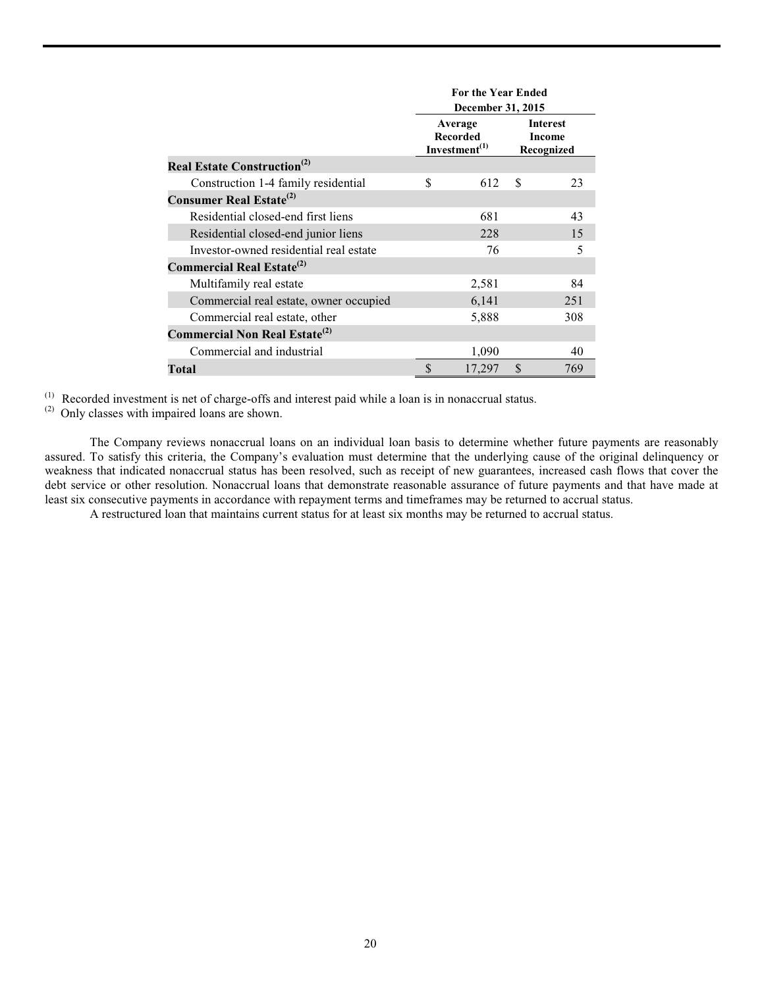|                                                | For the Year Ended<br>December 31, 2015 |                                                |              |                                         |  |
|------------------------------------------------|-----------------------------------------|------------------------------------------------|--------------|-----------------------------------------|--|
|                                                |                                         | Average<br><b>Recorded</b><br>Investment $(1)$ |              | <b>Interest</b><br>Income<br>Recognized |  |
| <b>Real Estate Construction</b> <sup>(2)</sup> |                                         |                                                |              |                                         |  |
| Construction 1-4 family residential            | \$                                      | 612                                            | \$           | 23                                      |  |
| <b>Consumer Real Estate</b> <sup>(2)</sup>     |                                         |                                                |              |                                         |  |
| Residential closed-end first liens             |                                         | 681                                            |              | 43                                      |  |
| Residential closed-end junior liens            |                                         | 228                                            |              | 15                                      |  |
| Investor-owned residential real estate         |                                         | 76                                             |              | 5                                       |  |
| Commercial Real Estate <sup>(2)</sup>          |                                         |                                                |              |                                         |  |
| Multifamily real estate                        |                                         | 2,581                                          |              | 84                                      |  |
| Commercial real estate, owner occupied         |                                         | 6,141                                          |              | 251                                     |  |
| Commercial real estate, other                  |                                         | 5,888                                          |              | 308                                     |  |
| Commercial Non Real Estate <sup>(2)</sup>      |                                         |                                                |              |                                         |  |
| Commercial and industrial                      |                                         | 1,090                                          |              | 40                                      |  |
| Total                                          | \$                                      | 17,297                                         | $\mathbb{S}$ | 769                                     |  |

(1) Recorded investment is net of charge-offs and interest paid while a loan is in nonaccrual status.<br>(2) Only classes with impaired loans are shown.

The Company reviews nonaccrual loans on an individual loan basis to determine whether future payments are reasonably assured. To satisfy this criteria, the Company's evaluation must determine that the underlying cause of the original delinquency or weakness that indicated nonaccrual status has been resolved, such as receipt of new guarantees, increased cash flows that cover the debt service or other resolution. Nonaccrual loans that demonstrate reasonable assurance of future payments and that have made at least six consecutive payments in accordance with repayment terms and timeframes may be returned to accrual status.

A restructured loan that maintains current status for at least six months may be returned to accrual status.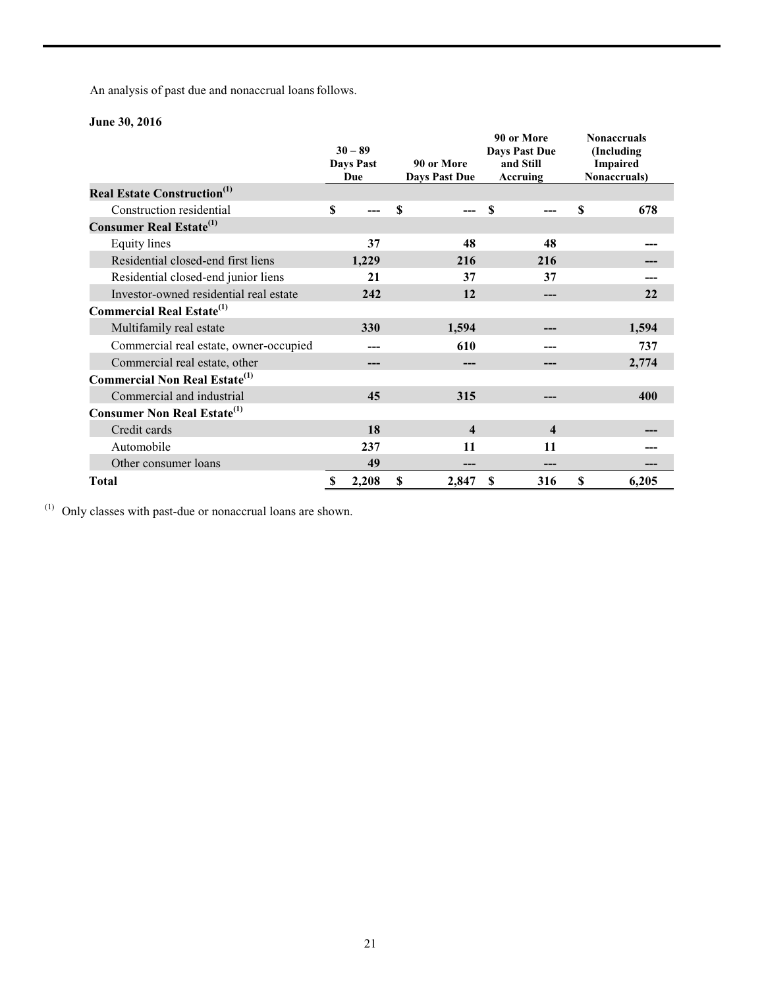An analysis of past due and nonaccrual loans follows.

# **June 30, 2016**

|                                                  | $30 - 89$<br>Days Past<br>Due | 90 or More<br><b>Days Past Due</b> | 90 or More<br><b>Days Past Due</b><br>and Still<br>Accruing |                         | <b>Nonaccruals</b><br>(Including<br>Impaired<br>Nonaccruals) |       |
|--------------------------------------------------|-------------------------------|------------------------------------|-------------------------------------------------------------|-------------------------|--------------------------------------------------------------|-------|
| <b>Real Estate Construction</b> <sup>(1)</sup>   |                               |                                    |                                                             |                         |                                                              |       |
| Construction residential                         | \$<br>---                     | \$                                 | S                                                           |                         | \$                                                           | 678   |
| Consumer Real Estate <sup>(1)</sup>              |                               |                                    |                                                             |                         |                                                              |       |
| Equity lines                                     | 37                            | 48                                 |                                                             | 48                      |                                                              |       |
| Residential closed-end first liens               | 1,229                         | 216                                |                                                             | 216                     |                                                              |       |
| Residential closed-end junior liens              | 21                            | 37                                 |                                                             | 37                      |                                                              |       |
| Investor-owned residential real estate           | 242                           | 12                                 |                                                             | $---$                   |                                                              | 22    |
| Commercial Real Estate <sup>(1)</sup>            |                               |                                    |                                                             |                         |                                                              |       |
| Multifamily real estate                          | <b>330</b>                    | 1,594                              |                                                             | ---                     |                                                              | 1,594 |
| Commercial real estate, owner-occupied           |                               | 610                                |                                                             |                         |                                                              | 737   |
| Commercial real estate, other                    | ---                           |                                    |                                                             |                         |                                                              | 2,774 |
| <b>Commercial Non Real Estate</b> <sup>(1)</sup> |                               |                                    |                                                             |                         |                                                              |       |
| Commercial and industrial                        | 45                            | 315                                |                                                             |                         |                                                              | 400   |
| <b>Consumer Non Real Estate</b> <sup>(1)</sup>   |                               |                                    |                                                             |                         |                                                              |       |
| Credit cards                                     | 18                            | 4                                  |                                                             | $\overline{\mathbf{4}}$ |                                                              |       |
| Automobile                                       | 237                           | 11                                 |                                                             | 11                      |                                                              |       |
| Other consumer loans                             | 49                            |                                    |                                                             |                         |                                                              |       |
| <b>Total</b>                                     | \$<br>2,208                   | \$<br>2,847                        | S                                                           | 316                     | \$                                                           | 6,205 |

 $(1)$  Only classes with past-due or nonaccrual loans are shown.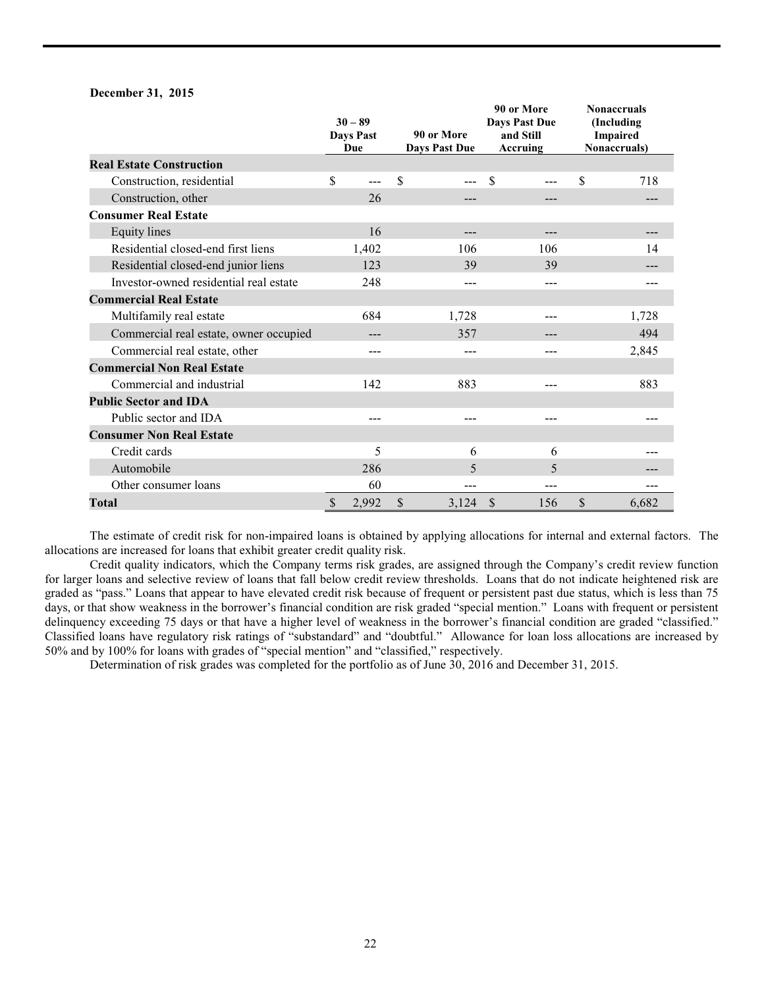#### **December 31, 2015**

|                                        |              | $30 - 89$<br><b>Days Past</b><br>Due | 90 or More<br>Days Past Due |       |               | 90 or More<br>Days Past Due<br>and Still<br>Accruing |              | <b>Nonaccruals</b><br>(Including<br>Impaired<br>Nonaccruals) |
|----------------------------------------|--------------|--------------------------------------|-----------------------------|-------|---------------|------------------------------------------------------|--------------|--------------------------------------------------------------|
| <b>Real Estate Construction</b>        |              |                                      |                             |       |               |                                                      |              |                                                              |
| Construction, residential              | \$           | $---$                                | \$                          | ---   | \$.           | ---                                                  | \$           | 718                                                          |
| Construction, other                    |              | 26                                   |                             | $---$ |               | ---                                                  |              | ---                                                          |
| <b>Consumer Real Estate</b>            |              |                                      |                             |       |               |                                                      |              |                                                              |
| <b>Equity</b> lines                    |              | 16                                   |                             | ---   |               | ---                                                  |              |                                                              |
| Residential closed-end first liens     |              | 1,402                                |                             | 106   |               | 106                                                  |              | 14                                                           |
| Residential closed-end junior liens    |              | 123                                  |                             | 39    |               | 39                                                   |              |                                                              |
| Investor-owned residential real estate |              | 248                                  |                             | ---   |               | ---                                                  |              |                                                              |
| <b>Commercial Real Estate</b>          |              |                                      |                             |       |               |                                                      |              |                                                              |
| Multifamily real estate                |              | 684                                  |                             | 1,728 |               | ---                                                  |              | 1,728                                                        |
| Commercial real estate, owner occupied |              | $---$                                |                             | 357   |               |                                                      |              | 494                                                          |
| Commercial real estate, other          |              | ---                                  |                             | ---   |               | ---                                                  |              | 2,845                                                        |
| <b>Commercial Non Real Estate</b>      |              |                                      |                             |       |               |                                                      |              |                                                              |
| Commercial and industrial              |              | 142                                  |                             | 883   |               | ---                                                  |              | 883                                                          |
| <b>Public Sector and IDA</b>           |              |                                      |                             |       |               |                                                      |              |                                                              |
| Public sector and IDA                  |              | ---                                  |                             | ---   |               | ---                                                  |              |                                                              |
| <b>Consumer Non Real Estate</b>        |              |                                      |                             |       |               |                                                      |              |                                                              |
| Credit cards                           |              | 5                                    |                             | 6     |               | 6                                                    |              |                                                              |
| Automobile                             |              | 286                                  |                             | 5     |               | 5                                                    |              |                                                              |
| Other consumer loans                   |              | 60                                   |                             | ---   |               | ---                                                  |              | ---                                                          |
| Total                                  | $\mathbb{S}$ | 2,992                                | $\mathbb{S}$                | 3,124 | <sup>\$</sup> | 156                                                  | $\mathbb{S}$ | 6,682                                                        |

The estimate of credit risk for non-impaired loans is obtained by applying allocations for internal and external factors. The allocations are increased for loans that exhibit greater credit quality risk.

Credit quality indicators, which the Company terms risk grades, are assigned through the Company's credit review function for larger loans and selective review of loans that fall below credit review thresholds. Loans that do not indicate heightened risk are graded as "pass." Loans that appear to have elevated credit risk because of frequent or persistent past due status, which is less than 75 days, or that show weakness in the borrower's financial condition are risk graded "special mention." Loans with frequent or persistent delinquency exceeding 75 days or that have a higher level of weakness in the borrower's financial condition are graded "classified." Classified loans have regulatory risk ratings of "substandard" and "doubtful." Allowance for loan loss allocations are increased by 50% and by 100% for loans with grades of "special mention" and "classified," respectively.

Determination of risk grades was completed for the portfolio as of June 30, 2016 and December 31, 2015.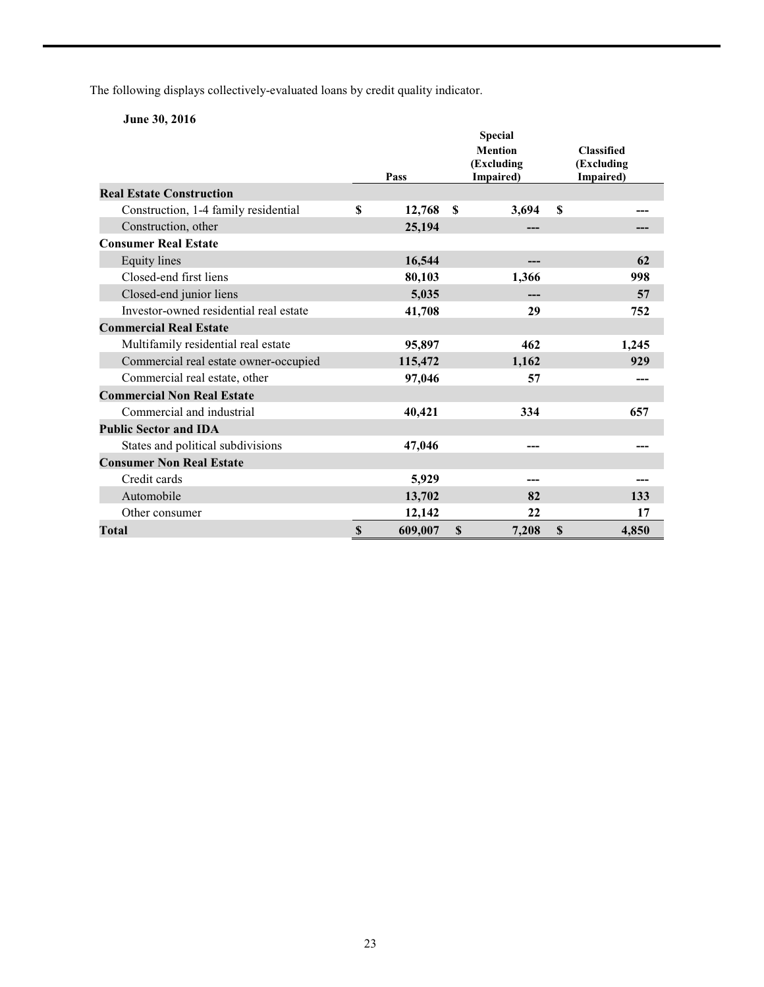The following displays collectively-evaluated loans by credit quality indicator.

**June 30, 2016**

|                                        |             | Pass    |             | <b>Special</b><br><b>Mention</b><br>(Excluding<br>Impaired) |             | <b>Classified</b><br>(Excluding<br>Impaired) |  |  |
|----------------------------------------|-------------|---------|-------------|-------------------------------------------------------------|-------------|----------------------------------------------|--|--|
| <b>Real Estate Construction</b>        |             |         |             |                                                             |             |                                              |  |  |
| Construction, 1-4 family residential   | \$          | 12,768  | $\mathbf S$ | 3,694                                                       | S           |                                              |  |  |
| Construction, other                    |             | 25,194  |             |                                                             |             |                                              |  |  |
| <b>Consumer Real Estate</b>            |             |         |             |                                                             |             |                                              |  |  |
| <b>Equity</b> lines                    |             | 16,544  |             | ---                                                         |             | 62                                           |  |  |
| Closed-end first liens                 |             | 80,103  |             | 1,366                                                       |             | 998                                          |  |  |
| Closed-end junior liens                |             | 5,035   |             |                                                             |             | 57                                           |  |  |
| Investor-owned residential real estate |             | 41,708  |             | 29                                                          |             | 752                                          |  |  |
| <b>Commercial Real Estate</b>          |             |         |             |                                                             |             |                                              |  |  |
| Multifamily residential real estate    |             | 95,897  |             | 462                                                         |             | 1,245                                        |  |  |
| Commercial real estate owner-occupied  |             | 115,472 |             | 1,162                                                       |             | 929                                          |  |  |
| Commercial real estate, other          |             | 97,046  |             | 57                                                          |             | ---                                          |  |  |
| <b>Commercial Non Real Estate</b>      |             |         |             |                                                             |             |                                              |  |  |
| Commercial and industrial              |             | 40,421  |             | 334                                                         |             | 657                                          |  |  |
| <b>Public Sector and IDA</b>           |             |         |             |                                                             |             |                                              |  |  |
| States and political subdivisions      |             | 47,046  |             | ---                                                         |             | ---                                          |  |  |
| <b>Consumer Non Real Estate</b>        |             |         |             |                                                             |             |                                              |  |  |
| Credit cards                           |             | 5,929   |             | ---                                                         |             | ---                                          |  |  |
| Automobile                             |             | 13,702  |             | 82                                                          |             | 133                                          |  |  |
| Other consumer                         |             | 12,142  |             | 22                                                          |             | 17                                           |  |  |
| Total                                  | $\mathbf S$ | 609,007 | $\mathbf S$ | 7,208                                                       | $\mathbf S$ | 4,850                                        |  |  |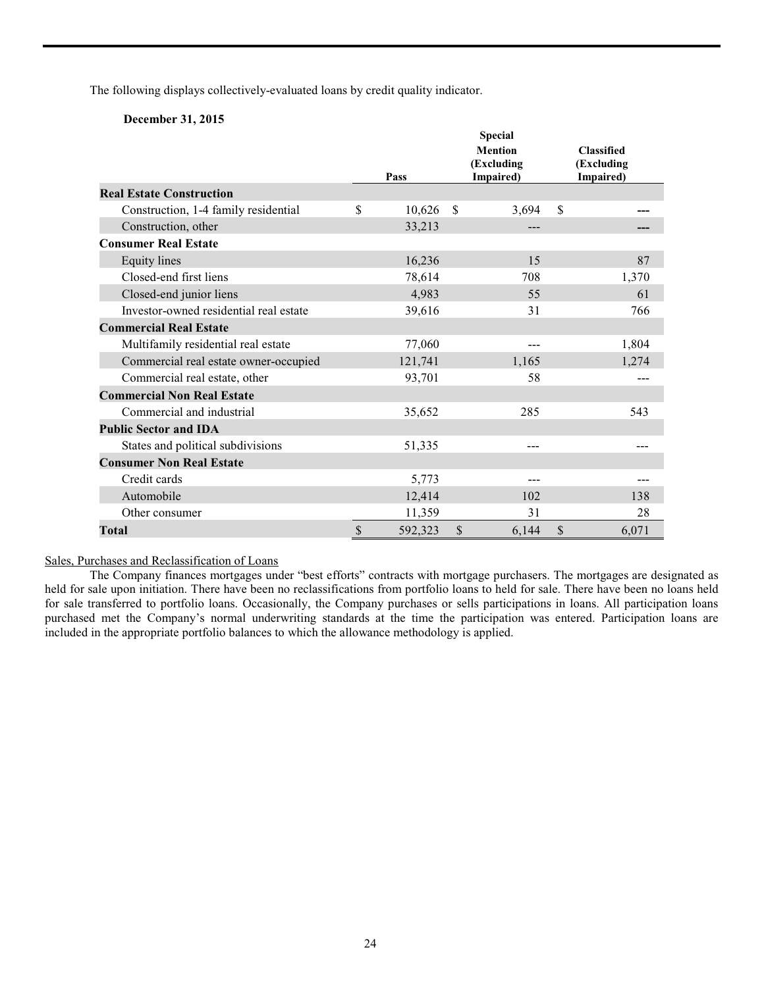The following displays collectively-evaluated loans by credit quality indicator.

**December 31, 2015**

|                                        |               |         |               | <b>Special</b>               |                                 |
|----------------------------------------|---------------|---------|---------------|------------------------------|---------------------------------|
|                                        |               |         |               | <b>Mention</b><br>(Excluding | <b>Classified</b><br>(Excluding |
|                                        |               | Pass    |               | Impaired)                    | Impaired)                       |
| <b>Real Estate Construction</b>        |               |         |               |                              |                                 |
| Construction, 1-4 family residential   | <sup>\$</sup> | 10,626  | $\mathcal{S}$ | 3,694                        | \$                              |
| Construction, other                    |               | 33,213  |               |                              |                                 |
| <b>Consumer Real Estate</b>            |               |         |               |                              |                                 |
| <b>Equity</b> lines                    |               | 16,236  |               | 15                           | 87                              |
| Closed-end first liens                 |               | 78,614  |               | 708                          | 1,370                           |
| Closed-end junior liens                |               | 4,983   |               | 55                           | 61                              |
| Investor-owned residential real estate |               | 39,616  |               | 31                           | 766                             |
| <b>Commercial Real Estate</b>          |               |         |               |                              |                                 |
| Multifamily residential real estate    |               | 77,060  |               | ---                          | 1,804                           |
| Commercial real estate owner-occupied  |               | 121,741 |               | 1,165                        | 1,274                           |
| Commercial real estate, other          |               | 93,701  |               | 58                           |                                 |
| <b>Commercial Non Real Estate</b>      |               |         |               |                              |                                 |
| Commercial and industrial              |               | 35,652  |               | 285                          | 543                             |
| <b>Public Sector and IDA</b>           |               |         |               |                              |                                 |
| States and political subdivisions      |               | 51,335  |               | ---                          |                                 |
| <b>Consumer Non Real Estate</b>        |               |         |               |                              |                                 |
| Credit cards                           |               | 5,773   |               | ---                          |                                 |
| Automobile                             |               | 12,414  |               | 102                          | 138                             |
| Other consumer                         |               | 11,359  |               | 31                           | 28                              |
| <b>Total</b>                           | $\mathcal{S}$ | 592,323 | $\mathbb S$   | 6,144                        | \$<br>6,071                     |

#### Sales, Purchases and Reclassification of Loans

The Company finances mortgages under "best efforts" contracts with mortgage purchasers. The mortgages are designated as held for sale upon initiation. There have been no reclassifications from portfolio loans to held for sale. There have been no loans held for sale transferred to portfolio loans. Occasionally, the Company purchases or sells participations in loans. All participation loans purchased met the Company's normal underwriting standards at the time the participation was entered. Participation loans are included in the appropriate portfolio balances to which the allowance methodology is applied.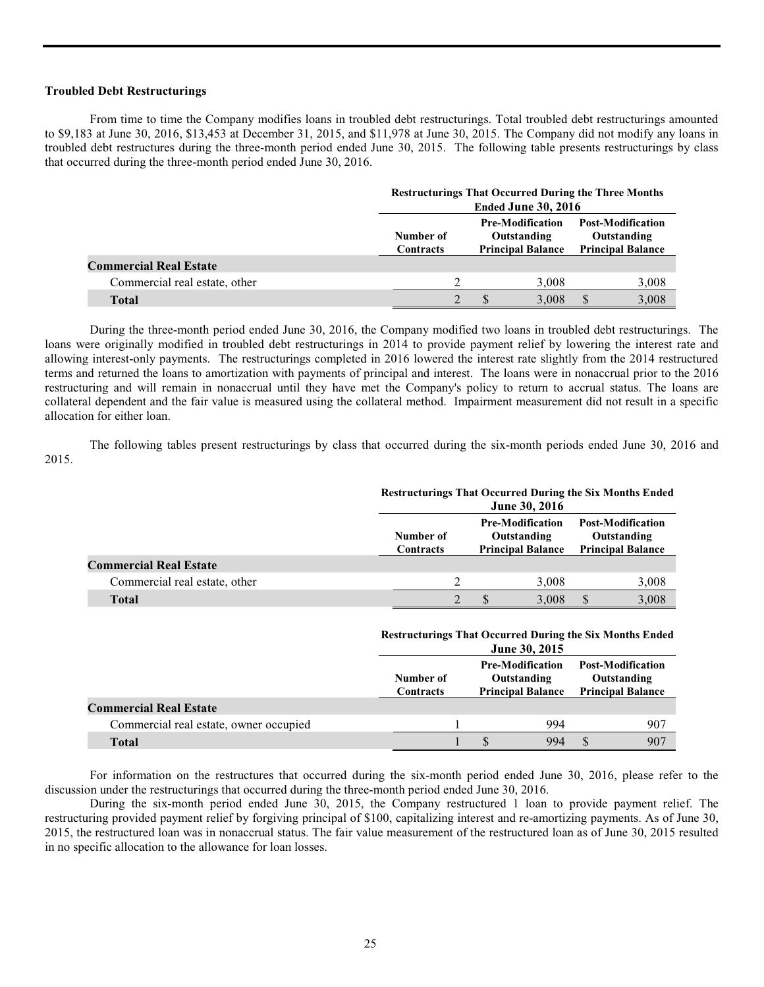#### **Troubled Debt Restructurings**

From time to time the Company modifies loans in troubled debt restructurings. Total troubled debt restructurings amounted to \$9,183 at June 30, 2016, \$13,453 at December 31, 2015, and \$11,978 at June 30, 2015. The Company did not modify any loans in troubled debt restructures during the three-month period ended June 30, 2015. The following table presents restructurings by class that occurred during the three-month period ended June 30, 2016.

|                               | <b>Restructurings That Occurred During the Three Months</b> | <b>Ended June 30, 2016</b>                                         |                                                              |       |
|-------------------------------|-------------------------------------------------------------|--------------------------------------------------------------------|--------------------------------------------------------------|-------|
|                               | Number of<br><b>Contracts</b>                               | <b>Pre-Modification</b><br>Outstanding<br><b>Principal Balance</b> | Post-Modification<br>Outstanding<br><b>Principal Balance</b> |       |
| <b>Commercial Real Estate</b> |                                                             |                                                                    |                                                              |       |
| Commercial real estate, other |                                                             | 3.008                                                              |                                                              | 3,008 |
| <b>Total</b>                  |                                                             | 3.008                                                              |                                                              | 3,008 |

During the three-month period ended June 30, 2016, the Company modified two loans in troubled debt restructurings. The loans were originally modified in troubled debt restructurings in 2014 to provide payment relief by lowering the interest rate and allowing interest-only payments. The restructurings completed in 2016 lowered the interest rate slightly from the 2014 restructured terms and returned the loans to amortization with payments of principal and interest. The loans were in nonaccrual prior to the 2016 restructuring and will remain in nonaccrual until they have met the Company's policy to return to accrual status. The loans are collateral dependent and the fair value is measured using the collateral method. Impairment measurement did not result in a specific allocation for either loan.

The following tables present restructurings by class that occurred during the six-month periods ended June 30, 2016 and 2015.

|                               | <b>Restructurings That Occurred During the Six Months Ended</b><br><b>June 30, 2016</b> |                                                              |       |  |       |  |  |  |  |
|-------------------------------|-----------------------------------------------------------------------------------------|--------------------------------------------------------------|-------|--|-------|--|--|--|--|
|                               | Number of<br><b>Contracts</b>                                                           | Post-Modification<br>Outstanding<br><b>Principal Balance</b> |       |  |       |  |  |  |  |
| <b>Commercial Real Estate</b> |                                                                                         |                                                              |       |  |       |  |  |  |  |
| Commercial real estate, other |                                                                                         |                                                              | 3.008 |  | 3,008 |  |  |  |  |
| <b>Total</b>                  |                                                                                         | 3,008<br>3.008                                               |       |  |       |  |  |  |  |

|                                        |                               | <b>Restructurings That Occurred During the Six Months Ended</b><br>June 30, 2015 |     |  |                                                              |  |  |  |  |
|----------------------------------------|-------------------------------|----------------------------------------------------------------------------------|-----|--|--------------------------------------------------------------|--|--|--|--|
|                                        | Number of<br><b>Contracts</b> | <b>Pre-Modification</b><br>Outstanding<br><b>Principal Balance</b>               |     |  | Post-Modification<br>Outstanding<br><b>Principal Balance</b> |  |  |  |  |
| <b>Commercial Real Estate</b>          |                               |                                                                                  |     |  |                                                              |  |  |  |  |
| Commercial real estate, owner occupied |                               |                                                                                  | 994 |  | 907                                                          |  |  |  |  |
| Total                                  |                               |                                                                                  |     |  | 907                                                          |  |  |  |  |

For information on the restructures that occurred during the six-month period ended June 30, 2016, please refer to the discussion under the restructurings that occurred during the three-month period ended June 30, 2016.

During the six-month period ended June 30, 2015, the Company restructured 1 loan to provide payment relief. The restructuring provided payment relief by forgiving principal of \$100, capitalizing interest and re-amortizing payments. As of June 30, 2015, the restructured loan was in nonaccrual status. The fair value measurement of the restructured loan as of June 30, 2015 resulted in no specific allocation to the allowance for loan losses.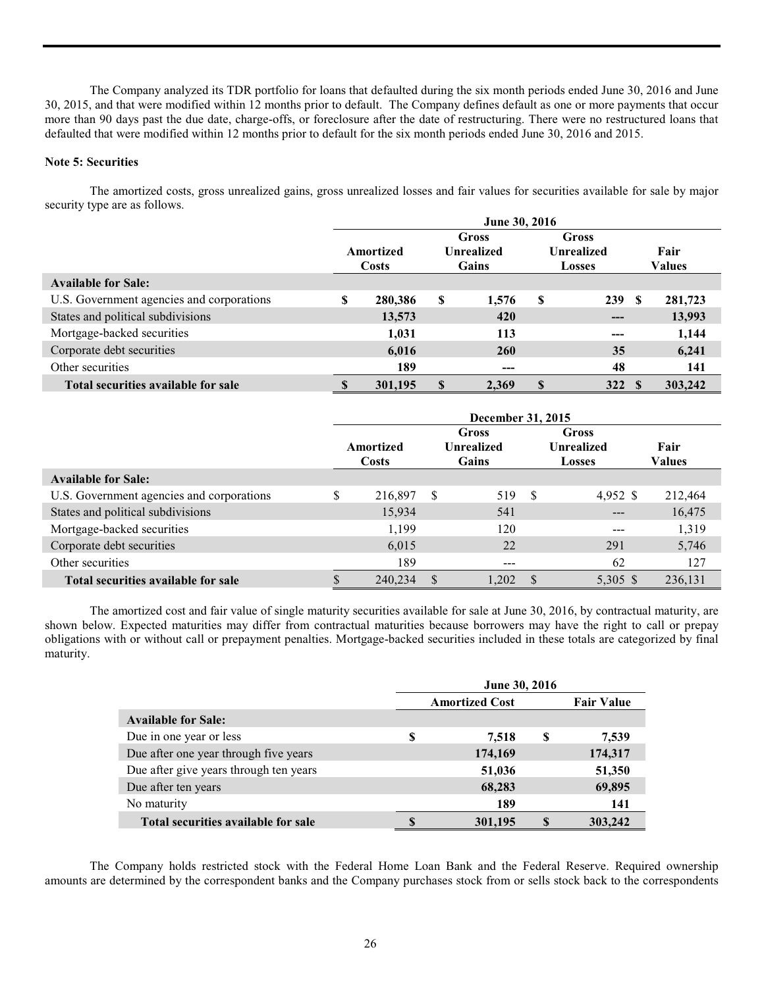The Company analyzed its TDR portfolio for loans that defaulted during the six month periods ended June 30, 2016 and June 30, 2015, and that were modified within 12 months prior to default. The Company defines default as one or more payments that occur more than 90 days past the due date, charge-offs, or foreclosure after the date of restructuring. There were no restructured loans that defaulted that were modified within 12 months prior to default for the six month periods ended June 30, 2016 and 2015.

# **Note 5: Securities**

The amortized costs, gross unrealized gains, gross unrealized losses and fair values for securities available for sale by major security type are as follows.

|                                           |   | June 30, 2016 |              |                   |              |                   |    |         |  |               |
|-------------------------------------------|---|---------------|--------------|-------------------|--------------|-------------------|----|---------|--|---------------|
|                                           |   |               | <b>Gross</b> |                   | <b>Gross</b> |                   |    |         |  |               |
|                                           |   | Amortized     |              | <b>Unrealized</b> |              | <b>Unrealized</b> |    | Fair    |  |               |
|                                           |   | <b>Costs</b>  |              |                   |              | Gains             |    | Losses  |  | <b>Values</b> |
| <b>Available for Sale:</b>                |   |               |              |                   |              |                   |    |         |  |               |
| U.S. Government agencies and corporations | S | 280,386       | S            | 1,576             | S            | 239               | -S | 281,723 |  |               |
| States and political subdivisions         |   | 13,573        |              | 420               |              | $---$             |    | 13,993  |  |               |
| Mortgage-backed securities                |   | 1,031         |              | 113               |              | ---               |    | 1,144   |  |               |
| Corporate debt securities                 |   | 6,016         |              | <b>260</b>        |              | 35                |    | 6,241   |  |               |
| Other securities                          |   | 189           |              | $---$             |              | 48                |    | 141     |  |               |
| Total securities available for sale       | S | 301.195       | <b>S</b>     | 2,369             | S            | 322               |    | 303.242 |  |               |

|                                           | December 31, 2015                                                       |     |       |                                                    |          |                       |  |  |
|-------------------------------------------|-------------------------------------------------------------------------|-----|-------|----------------------------------------------------|----------|-----------------------|--|--|
|                                           | <b>Gross</b><br><b>Unrealized</b><br>Amortized<br>Gains<br><b>Costs</b> |     |       | <b>Gross</b><br><b>Unrealized</b><br><b>Losses</b> |          | Fair<br><b>Values</b> |  |  |
| <b>Available for Sale:</b>                |                                                                         |     |       |                                                    |          |                       |  |  |
| U.S. Government agencies and corporations | \$<br>216,897                                                           | - S | 519   | - \$                                               | 4,952 \$ | 212,464               |  |  |
| States and political subdivisions         | 15,934                                                                  |     | 541   |                                                    | $---$    | 16,475                |  |  |
| Mortgage-backed securities                | 1,199                                                                   |     | 120   |                                                    | ---      | 1,319                 |  |  |
| Corporate debt securities                 | 6,015                                                                   |     | 22    |                                                    | 291      | 5,746                 |  |  |
| Other securities                          | 189                                                                     |     | ---   |                                                    | 62       | 127                   |  |  |
| Total securities available for sale       | \$<br>240,234                                                           |     | 1.202 |                                                    | 5,305 \$ | 236,131               |  |  |

The amortized cost and fair value of single maturity securities available for sale at June 30, 2016, by contractual maturity, are shown below. Expected maturities may differ from contractual maturities because borrowers may have the right to call or prepay obligations with or without call or prepayment penalties. Mortgage-backed securities included in these totals are categorized by final maturity.

|                                        | <b>June 30, 2016</b> |                       |   |                   |  |  |  |  |
|----------------------------------------|----------------------|-----------------------|---|-------------------|--|--|--|--|
|                                        |                      | <b>Amortized Cost</b> |   | <b>Fair Value</b> |  |  |  |  |
| <b>Available for Sale:</b>             |                      |                       |   |                   |  |  |  |  |
| Due in one year or less                | S                    | 7,518                 | S | 7,539             |  |  |  |  |
| Due after one year through five years  |                      | 174,169               |   | 174,317           |  |  |  |  |
| Due after give years through ten years |                      | 51,036                |   | 51,350            |  |  |  |  |
| Due after ten years                    |                      | 68,283                |   | 69,895            |  |  |  |  |
| No maturity                            |                      | 189                   |   | 141               |  |  |  |  |
| Total securities available for sale    |                      | 301,195               | S | 303,242           |  |  |  |  |

The Company holds restricted stock with the Federal Home Loan Bank and the Federal Reserve. Required ownership amounts are determined by the correspondent banks and the Company purchases stock from or sells stock back to the correspondents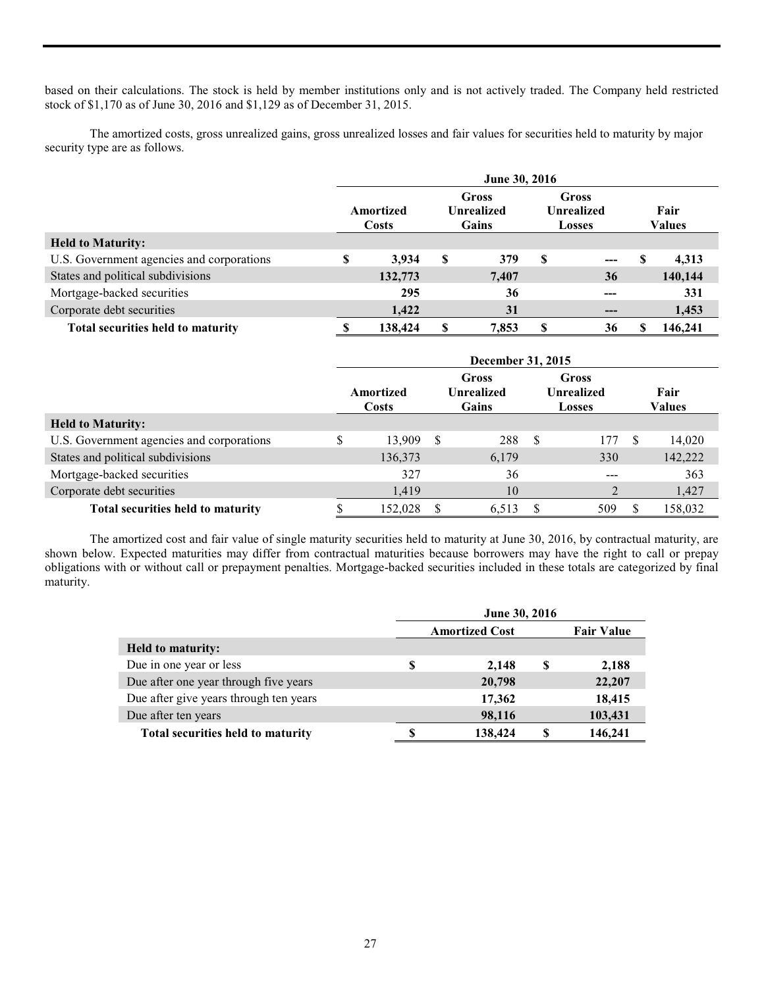based on their calculations. The stock is held by member institutions only and is not actively traded. The Company held restricted stock of \$1,170 as of June 30, 2016 and \$1,129 as of December 31, 2015.

The amortized costs, gross unrealized gains, gross unrealized losses and fair values for securities held to maturity by major security type are as follows.

|                                           | <b>June 30, 2016</b> |         |    |                                            |                                                    |       |    |                       |  |
|-------------------------------------------|----------------------|---------|----|--------------------------------------------|----------------------------------------------------|-------|----|-----------------------|--|
|                                           | Amortized<br>Costs   |         |    | Gross<br><b>Unrealized</b><br><b>Gains</b> | <b>Gross</b><br><b>Unrealized</b><br><b>Losses</b> |       |    | Fair<br><b>Values</b> |  |
| <b>Held to Maturity:</b>                  |                      |         |    |                                            |                                                    |       |    |                       |  |
| U.S. Government agencies and corporations | \$                   | 3,934   | \$ | 379                                        | S                                                  | $---$ | \$ | 4,313                 |  |
| States and political subdivisions         |                      | 132,773 |    | 7,407                                      |                                                    | 36    |    | 140,144               |  |
| Mortgage-backed securities                |                      | 295     |    | 36                                         |                                                    |       |    | 331                   |  |
| Corporate debt securities                 |                      | 1,422   |    | 31                                         |                                                    | $---$ |    | 1,453                 |  |
| Total securities held to maturity         |                      | 138,424 | S  | 7,853                                      |                                                    | 36    |    | 146,241               |  |

|                                           |                           | December 31, 2015 |    |                                     |    |                                             |    |                |  |
|-------------------------------------------|---------------------------|-------------------|----|-------------------------------------|----|---------------------------------------------|----|----------------|--|
|                                           | Amortized<br><b>Costs</b> |                   |    | Gross<br><b>Unrealized</b><br>Gains |    | Gross<br><b>Unrealized</b><br><b>Losses</b> |    | Fair<br>Values |  |
| <b>Held to Maturity:</b>                  |                           |                   |    |                                     |    |                                             |    |                |  |
| U.S. Government agencies and corporations |                           | 13,909            | -S | 288                                 | -S | 177                                         | -S | 14,020         |  |
| States and political subdivisions         |                           | 136,373           |    | 6,179                               |    | 330                                         |    | 142,222        |  |
| Mortgage-backed securities                |                           | 327               |    | 36                                  |    |                                             |    | 363            |  |
| Corporate debt securities                 |                           | 1.419             |    | 10                                  |    |                                             |    | 1,427          |  |
| Total securities held to maturity         |                           | 152,028           |    | 6.513                               |    | 509                                         |    | 158,032        |  |

The amortized cost and fair value of single maturity securities held to maturity at June 30, 2016, by contractual maturity, are shown below. Expected maturities may differ from contractual maturities because borrowers may have the right to call or prepay obligations with or without call or prepayment penalties. Mortgage-backed securities included in these totals are categorized by final maturity.

|                                        | <b>June 30, 2016</b> |                       |                   |         |  |  |  |
|----------------------------------------|----------------------|-----------------------|-------------------|---------|--|--|--|
|                                        |                      | <b>Amortized Cost</b> | <b>Fair Value</b> |         |  |  |  |
| <b>Held to maturity:</b>               |                      |                       |                   |         |  |  |  |
| Due in one year or less                | S                    | 2.148                 | S                 | 2,188   |  |  |  |
| Due after one year through five years  |                      | 20,798                |                   | 22,207  |  |  |  |
| Due after give years through ten years |                      | 17,362                |                   | 18,415  |  |  |  |
| Due after ten years                    |                      | 98,116                |                   | 103,431 |  |  |  |
| Total securities held to maturity      |                      | 138,424               |                   | 146,241 |  |  |  |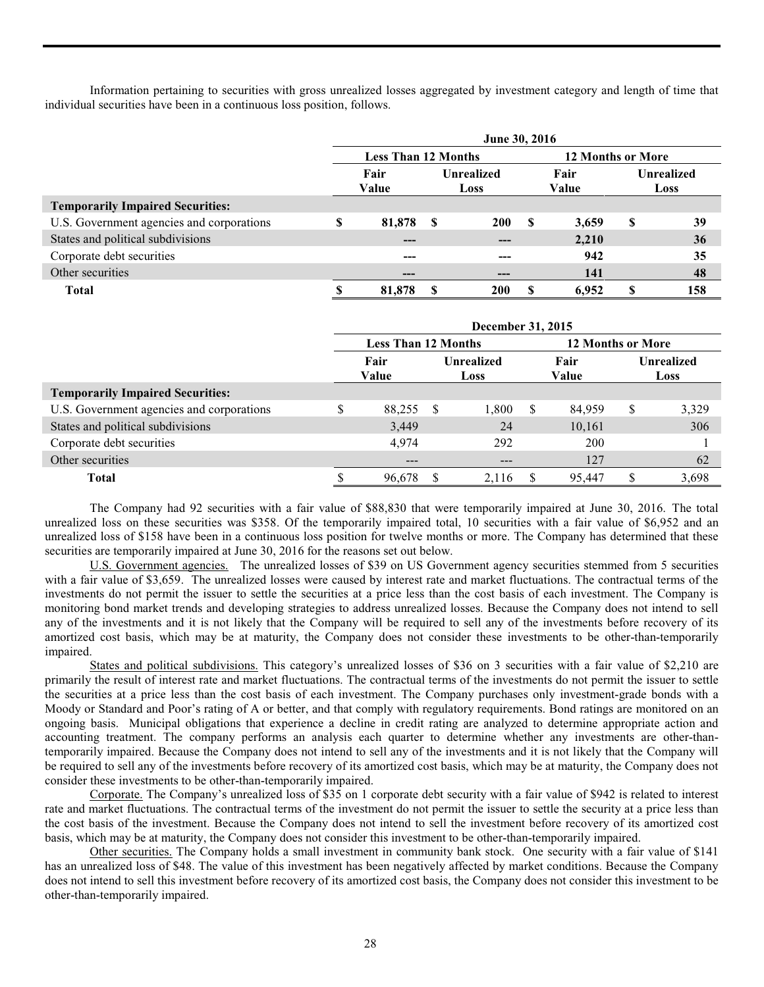Information pertaining to securities with gross unrealized losses aggregated by investment category and length of time that individual securities have been in a continuous loss position, follows.

|                                           | June 30, 2016 |                            |                                  |            |               |                          |   |                           |
|-------------------------------------------|---------------|----------------------------|----------------------------------|------------|---------------|--------------------------|---|---------------------------|
|                                           |               | <b>Less Than 12 Months</b> |                                  |            |               | <b>12 Months or More</b> |   |                           |
|                                           | Fair<br>Value |                            | <b>Unrealized</b><br><b>Loss</b> |            | Fair<br>Value |                          |   | <b>Unrealized</b><br>Loss |
| <b>Temporarily Impaired Securities:</b>   |               |                            |                                  |            |               |                          |   |                           |
| U.S. Government agencies and corporations | S             | 81,878                     | - \$                             | <b>200</b> | -S            | 3,659                    | S | 39                        |
| States and political subdivisions         |               |                            |                                  |            |               | 2,210                    |   | 36                        |
| Corporate debt securities                 |               | ---                        |                                  | ---        |               | 942                      |   | 35                        |
| Other securities                          |               | ---                        |                                  | $---$      |               | 141                      |   | 48                        |
| <b>Total</b>                              |               | 81,878                     |                                  | 200        | S             | 6.952                    |   | 158                       |

|                                           | December 31, 2015 |                            |                           |          |               |                          |                                  |       |
|-------------------------------------------|-------------------|----------------------------|---------------------------|----------|---------------|--------------------------|----------------------------------|-------|
|                                           |                   | <b>Less Than 12 Months</b> |                           |          |               | <b>12 Months or More</b> |                                  |       |
|                                           | Fair<br>Value     |                            | <b>Unrealized</b><br>Loss |          | Fair<br>Value |                          | <b>Unrealized</b><br><b>Loss</b> |       |
| <b>Temporarily Impaired Securities:</b>   |                   |                            |                           |          |               |                          |                                  |       |
| U.S. Government agencies and corporations | \$                | 88,255 \$                  |                           | 1,800    | S             | 84,959                   | S                                | 3,329 |
| States and political subdivisions         |                   | 3,449                      |                           | 24       |               | 10,161                   |                                  | 306   |
| Corporate debt securities                 |                   | 4.974                      |                           | 292      |               | 200                      |                                  |       |
| Other securities                          |                   | ---                        |                           | $\cdots$ |               | 127                      |                                  | 62    |
| <b>Total</b>                              |                   | 96,678                     |                           | 2,116    |               | 95.447                   |                                  | 3,698 |

The Company had 92 securities with a fair value of \$88,830 that were temporarily impaired at June 30, 2016. The total unrealized loss on these securities was \$358. Of the temporarily impaired total, 10 securities with a fair value of \$6,952 and an unrealized loss of \$158 have been in a continuous loss position for twelve months or more. The Company has determined that these securities are temporarily impaired at June 30, 2016 for the reasons set out below.

U.S. Government agencies. The unrealized losses of \$39 on US Government agency securities stemmed from 5 securities with a fair value of \$3,659. The unrealized losses were caused by interest rate and market fluctuations. The contractual terms of the investments do not permit the issuer to settle the securities at a price less than the cost basis of each investment. The Company is monitoring bond market trends and developing strategies to address unrealized losses. Because the Company does not intend to sell any of the investments and it is not likely that the Company will be required to sell any of the investments before recovery of its amortized cost basis, which may be at maturity, the Company does not consider these investments to be other-than-temporarily impaired.

States and political subdivisions. This category's unrealized losses of \$36 on 3 securities with a fair value of \$2,210 are primarily the result of interest rate and market fluctuations. The contractual terms of the investments do not permit the issuer to settle the securities at a price less than the cost basis of each investment. The Company purchases only investment-grade bonds with a Moody or Standard and Poor's rating of A or better, and that comply with regulatory requirements. Bond ratings are monitored on an ongoing basis. Municipal obligations that experience a decline in credit rating are analyzed to determine appropriate action and accounting treatment. The company performs an analysis each quarter to determine whether any investments are other-thantemporarily impaired. Because the Company does not intend to sell any of the investments and it is not likely that the Company will be required to sell any of the investments before recovery of its amortized cost basis, which may be at maturity, the Company does not consider these investments to be other-than-temporarily impaired.

Corporate. The Company's unrealized loss of \$35 on 1 corporate debt security with a fair value of \$942 is related to interest rate and market fluctuations. The contractual terms of the investment do not permit the issuer to settle the security at a price less than the cost basis of the investment. Because the Company does not intend to sell the investment before recovery of its amortized cost basis, which may be at maturity, the Company does not consider this investment to be other-than-temporarily impaired.

Other securities. The Company holds a small investment in community bank stock. One security with a fair value of \$141 has an unrealized loss of \$48. The value of this investment has been negatively affected by market conditions. Because the Company does not intend to sell this investment before recovery of its amortized cost basis, the Company does not consider this investment to be other-than-temporarily impaired.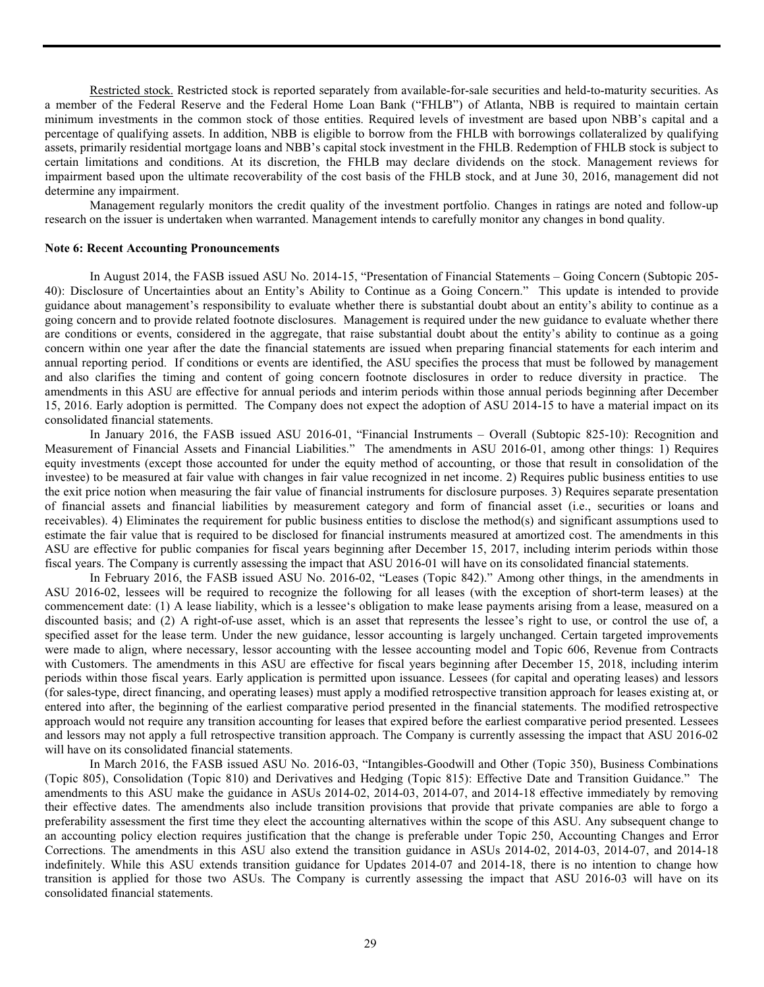Restricted stock. Restricted stock is reported separately from available-for-sale securities and held-to-maturity securities. As a member of the Federal Reserve and the Federal Home Loan Bank ("FHLB") of Atlanta, NBB is required to maintain certain minimum investments in the common stock of those entities. Required levels of investment are based upon NBB's capital and a percentage of qualifying assets. In addition, NBB is eligible to borrow from the FHLB with borrowings collateralized by qualifying assets, primarily residential mortgage loans and NBB's capital stock investment in the FHLB. Redemption of FHLB stock is subject to certain limitations and conditions. At its discretion, the FHLB may declare dividends on the stock. Management reviews for impairment based upon the ultimate recoverability of the cost basis of the FHLB stock, and at June 30, 2016, management did not determine any impairment.

Management regularly monitors the credit quality of the investment portfolio. Changes in ratings are noted and follow-up research on the issuer is undertaken when warranted. Management intends to carefully monitor any changes in bond quality.

#### **Note 6: Recent Accounting Pronouncements**

In August 2014, the FASB issued ASU No. 2014-15, "Presentation of Financial Statements – Going Concern (Subtopic 205- 40): Disclosure of Uncertainties about an Entity's Ability to Continue as a Going Concern." This update is intended to provide guidance about management's responsibility to evaluate whether there is substantial doubt about an entity's ability to continue as a going concern and to provide related footnote disclosures. Management is required under the new guidance to evaluate whether there are conditions or events, considered in the aggregate, that raise substantial doubt about the entity's ability to continue as a going concern within one year after the date the financial statements are issued when preparing financial statements for each interim and annual reporting period. If conditions or events are identified, the ASU specifies the process that must be followed by management and also clarifies the timing and content of going concern footnote disclosures in order to reduce diversity in practice. The amendments in this ASU are effective for annual periods and interim periods within those annual periods beginning after December 15, 2016. Early adoption is permitted. The Company does not expect the adoption of ASU 2014-15 to have a material impact on its consolidated financial statements.

In January 2016, the FASB issued ASU 2016-01, "Financial Instruments – Overall (Subtopic 825-10): Recognition and Measurement of Financial Assets and Financial Liabilities." The amendments in ASU 2016-01, among other things: 1) Requires equity investments (except those accounted for under the equity method of accounting, or those that result in consolidation of the investee) to be measured at fair value with changes in fair value recognized in net income. 2) Requires public business entities to use the exit price notion when measuring the fair value of financial instruments for disclosure purposes. 3) Requires separate presentation of financial assets and financial liabilities by measurement category and form of financial asset (i.e., securities or loans and receivables). 4) Eliminates the requirement for public business entities to disclose the method(s) and significant assumptions used to estimate the fair value that is required to be disclosed for financial instruments measured at amortized cost. The amendments in this ASU are effective for public companies for fiscal years beginning after December 15, 2017, including interim periods within those fiscal years. The Company is currently assessing the impact that ASU 2016-01 will have on its consolidated financial statements.

In February 2016, the FASB issued ASU No. 2016-02, "Leases (Topic 842)." Among other things, in the amendments in ASU 2016-02, lessees will be required to recognize the following for all leases (with the exception of short-term leases) at the commencement date: (1) A lease liability, which is a lessee's obligation to make lease payments arising from a lease, measured on a discounted basis; and (2) A right-of-use asset, which is an asset that represents the lessee's right to use, or control the use of, a specified asset for the lease term. Under the new guidance, lessor accounting is largely unchanged. Certain targeted improvements were made to align, where necessary, lessor accounting with the lessee accounting model and Topic 606, Revenue from Contracts with Customers. The amendments in this ASU are effective for fiscal years beginning after December 15, 2018, including interim periods within those fiscal years. Early application is permitted upon issuance. Lessees (for capital and operating leases) and lessors (for sales-type, direct financing, and operating leases) must apply a modified retrospective transition approach for leases existing at, or entered into after, the beginning of the earliest comparative period presented in the financial statements. The modified retrospective approach would not require any transition accounting for leases that expired before the earliest comparative period presented. Lessees and lessors may not apply a full retrospective transition approach. The Company is currently assessing the impact that ASU 2016-02 will have on its consolidated financial statements.

In March 2016, the FASB issued ASU No. 2016-03, "Intangibles-Goodwill and Other (Topic 350), Business Combinations (Topic 805), Consolidation (Topic 810) and Derivatives and Hedging (Topic 815): Effective Date and Transition Guidance." The amendments to this ASU make the guidance in ASUs 2014-02, 2014-03, 2014-07, and 2014-18 effective immediately by removing their effective dates. The amendments also include transition provisions that provide that private companies are able to forgo a preferability assessment the first time they elect the accounting alternatives within the scope of this ASU. Any subsequent change to an accounting policy election requires justification that the change is preferable under Topic 250, Accounting Changes and Error Corrections. The amendments in this ASU also extend the transition guidance in ASUs 2014-02, 2014-03, 2014-07, and 2014-18 indefinitely. While this ASU extends transition guidance for Updates 2014-07 and 2014-18, there is no intention to change how transition is applied for those two ASUs. The Company is currently assessing the impact that ASU 2016-03 will have on its consolidated financial statements.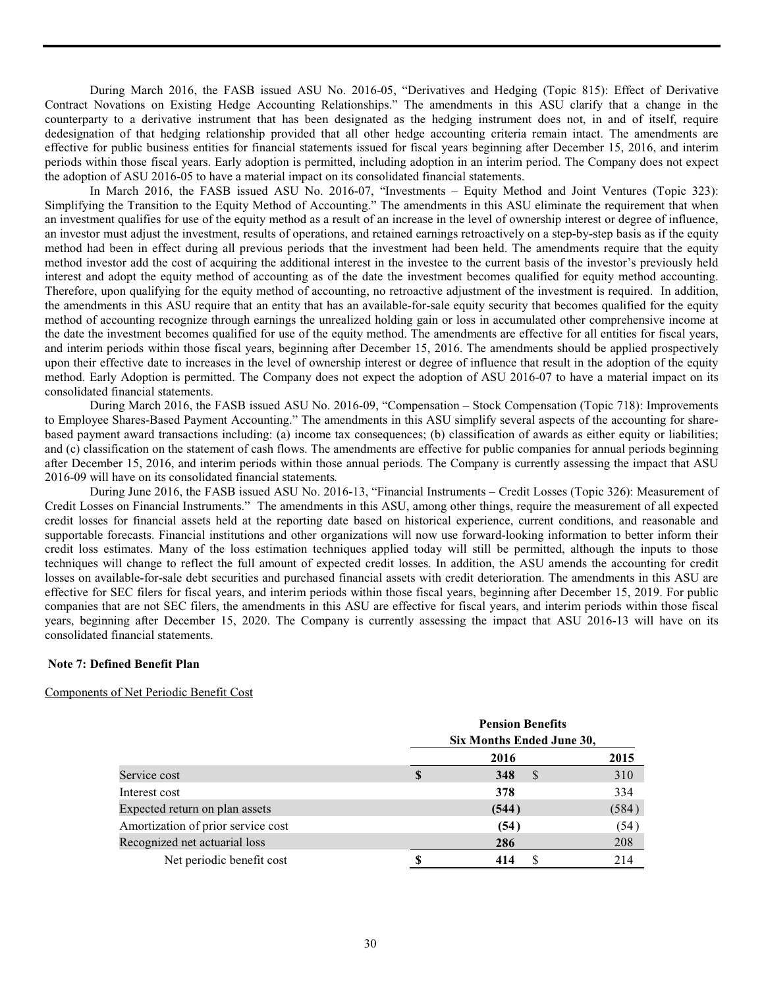During March 2016, the FASB issued ASU No. 2016-05, "Derivatives and Hedging (Topic 815): Effect of Derivative Contract Novations on Existing Hedge Accounting Relationships." The amendments in this ASU clarify that a change in the counterparty to a derivative instrument that has been designated as the hedging instrument does not, in and of itself, require dedesignation of that hedging relationship provided that all other hedge accounting criteria remain intact. The amendments are effective for public business entities for financial statements issued for fiscal years beginning after December 15, 2016, and interim periods within those fiscal years. Early adoption is permitted, including adoption in an interim period. The Company does not expect the adoption of ASU 2016-05 to have a material impact on its consolidated financial statements.

In March 2016, the FASB issued ASU No. 2016-07, "Investments – Equity Method and Joint Ventures (Topic 323): Simplifying the Transition to the Equity Method of Accounting." The amendments in this ASU eliminate the requirement that when an investment qualifies for use of the equity method as a result of an increase in the level of ownership interest or degree of influence, an investor must adjust the investment, results of operations, and retained earnings retroactively on a step-by-step basis as if the equity method had been in effect during all previous periods that the investment had been held. The amendments require that the equity method investor add the cost of acquiring the additional interest in the investee to the current basis of the investor's previously held interest and adopt the equity method of accounting as of the date the investment becomes qualified for equity method accounting. Therefore, upon qualifying for the equity method of accounting, no retroactive adjustment of the investment is required. In addition, the amendments in this ASU require that an entity that has an available-for-sale equity security that becomes qualified for the equity method of accounting recognize through earnings the unrealized holding gain or loss in accumulated other comprehensive income at the date the investment becomes qualified for use of the equity method. The amendments are effective for all entities for fiscal years, and interim periods within those fiscal years, beginning after December 15, 2016. The amendments should be applied prospectively upon their effective date to increases in the level of ownership interest or degree of influence that result in the adoption of the equity method. Early Adoption is permitted. The Company does not expect the adoption of ASU 2016-07 to have a material impact on its consolidated financial statements.

During March 2016, the FASB issued ASU No. 2016-09, "Compensation – Stock Compensation (Topic 718): Improvements to Employee Shares-Based Payment Accounting." The amendments in this ASU simplify several aspects of the accounting for sharebased payment award transactions including: (a) income tax consequences; (b) classification of awards as either equity or liabilities; and (c) classification on the statement of cash flows. The amendments are effective for public companies for annual periods beginning after December 15, 2016, and interim periods within those annual periods. The Company is currently assessing the impact that ASU 2016-09 will have on its consolidated financial statements*.*

During June 2016, the FASB issued ASU No. 2016-13, "Financial Instruments – Credit Losses (Topic 326): Measurement of Credit Losses on Financial Instruments." The amendments in this ASU, among other things, require the measurement of all expected credit losses for financial assets held at the reporting date based on historical experience, current conditions, and reasonable and supportable forecasts. Financial institutions and other organizations will now use forward-looking information to better inform their credit loss estimates. Many of the loss estimation techniques applied today will still be permitted, although the inputs to those techniques will change to reflect the full amount of expected credit losses. In addition, the ASU amends the accounting for credit losses on available-for-sale debt securities and purchased financial assets with credit deterioration. The amendments in this ASU are effective for SEC filers for fiscal years, and interim periods within those fiscal years, beginning after December 15, 2019. For public companies that are not SEC filers, the amendments in this ASU are effective for fiscal years, and interim periods within those fiscal years, beginning after December 15, 2020. The Company is currently assessing the impact that ASU 2016-13 will have on its consolidated financial statements.

#### **Note 7: Defined Benefit Plan**

#### Components of Net Periodic Benefit Cost

|                                    | <b>Pension Benefits</b><br>Six Months Ended June 30, |                     |       |  |  |  |
|------------------------------------|------------------------------------------------------|---------------------|-------|--|--|--|
|                                    |                                                      |                     |       |  |  |  |
|                                    |                                                      | 2016                | 2015  |  |  |  |
| Service cost                       | S                                                    | 348<br><sup>S</sup> | 310   |  |  |  |
| Interest cost                      |                                                      | 378                 | 334   |  |  |  |
| Expected return on plan assets     |                                                      | (544)               | (584) |  |  |  |
| Amortization of prior service cost |                                                      | (54)                | (54)  |  |  |  |
| Recognized net actuarial loss      |                                                      | 286                 | 208   |  |  |  |
| Net periodic benefit cost          |                                                      | 414                 | 214   |  |  |  |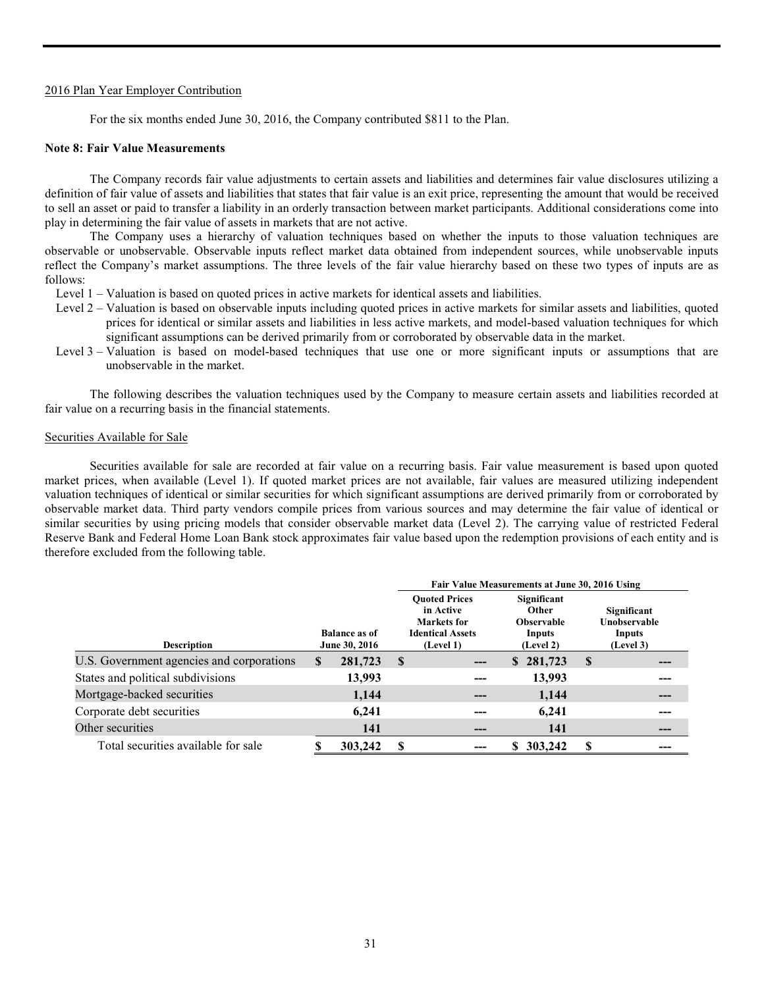#### 2016 Plan Year Employer Contribution

For the six months ended June 30, 2016, the Company contributed \$811 to the Plan.

#### **Note 8: Fair Value Measurements**

The Company records fair value adjustments to certain assets and liabilities and determines fair value disclosures utilizing a definition of fair value of assets and liabilities that states that fair value is an exit price, representing the amount that would be received to sell an asset or paid to transfer a liability in an orderly transaction between market participants. Additional considerations come into play in determining the fair value of assets in markets that are not active.

The Company uses a hierarchy of valuation techniques based on whether the inputs to those valuation techniques are observable or unobservable. Observable inputs reflect market data obtained from independent sources, while unobservable inputs reflect the Company's market assumptions. The three levels of the fair value hierarchy based on these two types of inputs are as follows:

- Level 1 Valuation is based on quoted prices in active markets for identical assets and liabilities.
- Level 2 Valuation is based on observable inputs including quoted prices in active markets for similar assets and liabilities, quoted prices for identical or similar assets and liabilities in less active markets, and model-based valuation techniques for which significant assumptions can be derived primarily from or corroborated by observable data in the market.
- Level 3 Valuation is based on model-based techniques that use one or more significant inputs or assumptions that are unobservable in the market.

The following describes the valuation techniques used by the Company to measure certain assets and liabilities recorded at fair value on a recurring basis in the financial statements.

#### Securities Available for Sale

Securities available for sale are recorded at fair value on a recurring basis. Fair value measurement is based upon quoted market prices, when available (Level 1). If quoted market prices are not available, fair values are measured utilizing independent valuation techniques of identical or similar securities for which significant assumptions are derived primarily from or corroborated by observable market data. Third party vendors compile prices from various sources and may determine the fair value of identical or similar securities by using pricing models that consider observable market data (Level 2). The carrying value of restricted Federal Reserve Bank and Federal Home Loan Bank stock approximates fair value based upon the redemption provisions of each entity and is therefore excluded from the following table.

|                                           |   |                                       | Fair Value Measurements at June 30, 2016 Using                                           |       |   |                                                                  |               |                                                    |  |
|-------------------------------------------|---|---------------------------------------|------------------------------------------------------------------------------------------|-------|---|------------------------------------------------------------------|---------------|----------------------------------------------------|--|
| <b>Description</b>                        |   | <b>Balance as of</b><br>June 30, 2016 | <b>Ouoted Prices</b><br>in Active<br>Markets for<br><b>Identical Assets</b><br>(Level 1) |       |   | Significant<br>Other<br><b>Observable</b><br>Inputs<br>(Level 2) |               | Significant<br>Unobservable<br>Inputs<br>(Level 3) |  |
| U.S. Government agencies and corporations | S | 281,723                               | -S                                                                                       | $---$ |   | \$281,723                                                        | $\mathbf{\$}$ | ---                                                |  |
| States and political subdivisions         |   | 13,993                                |                                                                                          |       |   | 13,993                                                           |               |                                                    |  |
| Mortgage-backed securities                |   | 1,144                                 |                                                                                          |       |   | 1,144                                                            |               | ---                                                |  |
| Corporate debt securities                 |   | 6,241                                 |                                                                                          |       |   | 6,241                                                            |               |                                                    |  |
| Other securities                          |   | 141                                   |                                                                                          | ---   |   | 141                                                              |               | ---                                                |  |
| Total securities available for sale       |   | 303,242                               | -S                                                                                       |       | S | 303,242                                                          | S             |                                                    |  |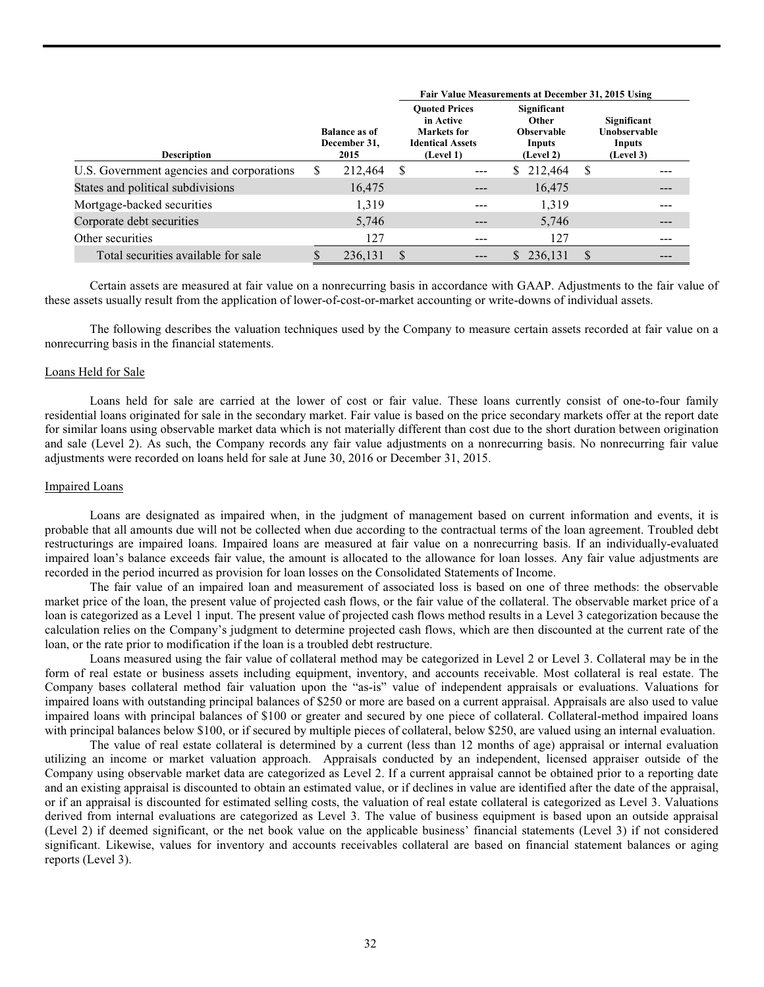|                                           |                                              | Fair Value Measurements at December 31, 2015 Using |                                                                                          |  |                                                                  |              |                                                    |
|-------------------------------------------|----------------------------------------------|----------------------------------------------------|------------------------------------------------------------------------------------------|--|------------------------------------------------------------------|--------------|----------------------------------------------------|
| <b>Description</b>                        | <b>Balance as of</b><br>December 31,<br>2015 |                                                    | <b>Ouoted Prices</b><br>in Active<br>Markets for<br><b>Identical Assets</b><br>(Level 1) |  | Significant<br>Other<br><b>Observable</b><br>Inputs<br>(Level 2) |              | Significant<br>Unobservable<br>Inputs<br>(Level 3) |
| U.S. Government agencies and corporations | \$<br>212,464                                | S                                                  | ---                                                                                      |  | \$212,464                                                        | -S           |                                                    |
| States and political subdivisions         | 16,475                                       |                                                    | ---                                                                                      |  | 16,475                                                           |              | ---                                                |
| Mortgage-backed securities                | 1,319                                        |                                                    | ---                                                                                      |  | 1,319                                                            |              |                                                    |
| Corporate debt securities                 | 5,746                                        |                                                    | $- - -$                                                                                  |  | 5,746                                                            |              | ---                                                |
| Other securities                          | 127                                          |                                                    | $- - -$                                                                                  |  | 127                                                              |              | ---                                                |
| Total securities available for sale       | 236,131                                      | S                                                  | ---                                                                                      |  | \$236,131                                                        | <sup>S</sup> | ---                                                |

Certain assets are measured at fair value on a nonrecurring basis in accordance with GAAP. Adjustments to the fair value of these assets usually result from the application of lower-of-cost-or-market accounting or write-downs of individual assets.

The following describes the valuation techniques used by the Company to measure certain assets recorded at fair value on a nonrecurring basis in the financial statements.

#### Loans Held for Sale

Loans held for sale are carried at the lower of cost or fair value. These loans currently consist of one-to-four family residential loans originated for sale in the secondary market. Fair value is based on the price secondary markets offer at the report date for similar loans using observable market data which is not materially different than cost due to the short duration between origination and sale (Level 2). As such, the Company records any fair value adjustments on a nonrecurring basis. No nonrecurring fair value adjustments were recorded on loans held for sale at June 30, 2016 or December 31, 2015.

# Impaired Loans

Loans are designated as impaired when, in the judgment of management based on current information and events, it is probable that all amounts due will not be collected when due according to the contractual terms of the loan agreement. Troubled debt restructurings are impaired loans. Impaired loans are measured at fair value on a nonrecurring basis. If an individually-evaluated impaired loan's balance exceeds fair value, the amount is allocated to the allowance for loan losses. Any fair value adjustments are recorded in the period incurred as provision for loan losses on the Consolidated Statements of Income.

The fair value of an impaired loan and measurement of associated loss is based on one of three methods: the observable market price of the loan, the present value of projected cash flows, or the fair value of the collateral. The observable market price of a loan is categorized as a Level 1 input. The present value of projected cash flows method results in a Level 3 categorization because the calculation relies on the Company's judgment to determine projected cash flows, which are then discounted at the current rate of the loan, or the rate prior to modification if the loan is a troubled debt restructure.

Loans measured using the fair value of collateral method may be categorized in Level 2 or Level 3. Collateral may be in the form of real estate or business assets including equipment, inventory, and accounts receivable. Most collateral is real estate. The Company bases collateral method fair valuation upon the "as-is" value of independent appraisals or evaluations. Valuations for impaired loans with outstanding principal balances of \$250 or more are based on a current appraisal. Appraisals are also used to value impaired loans with principal balances of \$100 or greater and secured by one piece of collateral. Collateral-method impaired loans with principal balances below \$100, or if secured by multiple pieces of collateral, below \$250, are valued using an internal evaluation.

The value of real estate collateral is determined by a current (less than 12 months of age) appraisal or internal evaluation utilizing an income or market valuation approach. Appraisals conducted by an independent, licensed appraiser outside of the Company using observable market data are categorized as Level 2. If a current appraisal cannot be obtained prior to a reporting date and an existing appraisal is discounted to obtain an estimated value, or if declines in value are identified after the date of the appraisal, or if an appraisal is discounted for estimated selling costs, the valuation of real estate collateral is categorized as Level 3. Valuations derived from internal evaluations are categorized as Level 3. The value of business equipment is based upon an outside appraisal (Level 2) if deemed significant, or the net book value on the applicable business' financial statements (Level 3) if not considered significant. Likewise, values for inventory and accounts receivables collateral are based on financial statement balances or aging reports (Level 3).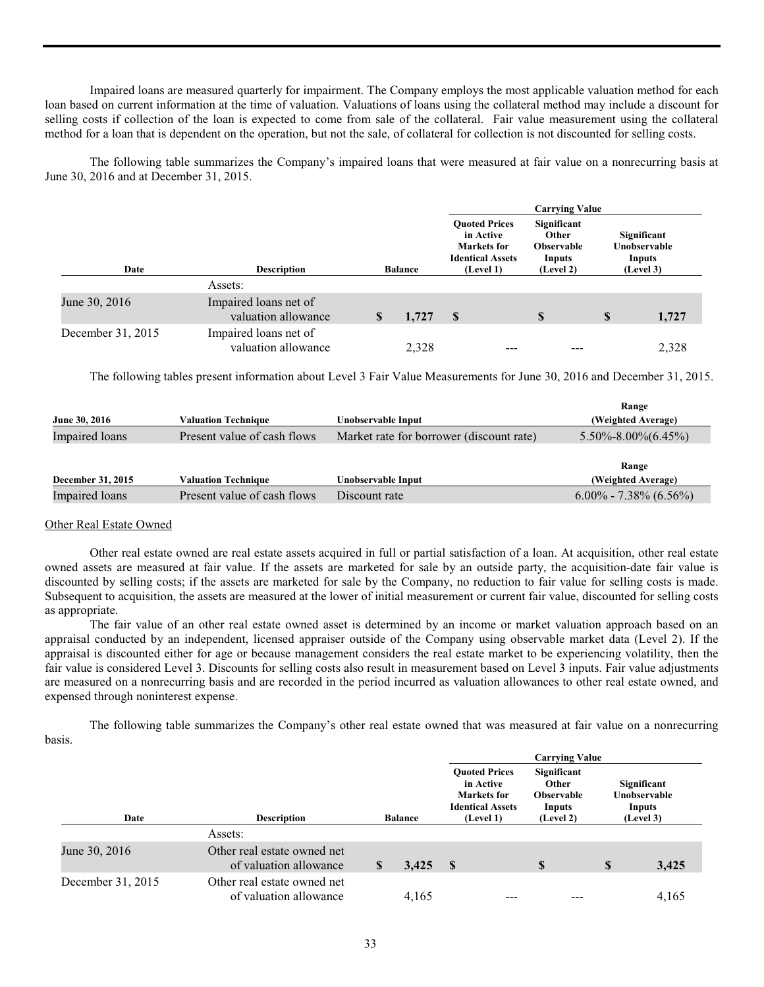Impaired loans are measured quarterly for impairment. The Company employs the most applicable valuation method for each loan based on current information at the time of valuation. Valuations of loans using the collateral method may include a discount for selling costs if collection of the loan is expected to come from sale of the collateral. Fair value measurement using the collateral method for a loan that is dependent on the operation, but not the sale, of collateral for collection is not discounted for selling costs.

The following table summarizes the Company's impaired loans that were measured at fair value on a nonrecurring basis at June 30, 2016 and at December 31, 2015.

|                   |                                              |                |       |                                                                                          | <b>Carrying Value</b>                                            |   |                                                    |
|-------------------|----------------------------------------------|----------------|-------|------------------------------------------------------------------------------------------|------------------------------------------------------------------|---|----------------------------------------------------|
| Date              | <b>Description</b>                           | <b>Balance</b> |       | <b>Ouoted Prices</b><br>in Active<br>Markets for<br><b>Identical Assets</b><br>(Level 1) | Significant<br>Other<br><b>Observable</b><br>Inputs<br>(Level 2) |   | Significant<br>Unobservable<br>Inputs<br>(Level 3) |
|                   | Assets:                                      |                |       |                                                                                          |                                                                  |   |                                                    |
| June 30, 2016     | Impaired loans net of<br>valuation allowance |                | 1,727 | S                                                                                        | \$                                                               | S | 1,727                                              |
| December 31, 2015 | Impaired loans net of<br>valuation allowance |                | 2,328 |                                                                                          |                                                                  |   | 2,328                                              |

The following tables present information about Level 3 Fair Value Measurements for June 30, 2016 and December 31, 2015.

|                       |                             |                                          | Range                       |
|-----------------------|-----------------------------|------------------------------------------|-----------------------------|
| June 30, 2016         | Valuation Technique         | Unobservable Input                       | (Weighted Average)          |
| <b>Impaired</b> loans | Present value of cash flows | Market rate for borrower (discount rate) | $5.50\% - 8.00\% (6.45\%)$  |
|                       |                             |                                          |                             |
|                       |                             |                                          | Range                       |
| December 31, 2015     | Valuation Technique         | Unobservable Input                       | (Weighted Average)          |
| <b>Impaired</b> loans | Present value of cash flows | Discount rate                            | $6.00\%$ - 7.38% $(6.56\%)$ |

#### Other Real Estate Owned

Other real estate owned are real estate assets acquired in full or partial satisfaction of a loan. At acquisition, other real estate owned assets are measured at fair value. If the assets are marketed for sale by an outside party, the acquisition-date fair value is discounted by selling costs; if the assets are marketed for sale by the Company, no reduction to fair value for selling costs is made. Subsequent to acquisition, the assets are measured at the lower of initial measurement or current fair value, discounted for selling costs as appropriate.

The fair value of an other real estate owned asset is determined by an income or market valuation approach based on an appraisal conducted by an independent, licensed appraiser outside of the Company using observable market data (Level 2). If the appraisal is discounted either for age or because management considers the real estate market to be experiencing volatility, then the fair value is considered Level 3. Discounts for selling costs also result in measurement based on Level 3 inputs. Fair value adjustments are measured on a nonrecurring basis and are recorded in the period incurred as valuation allowances to other real estate owned, and expensed through noninterest expense.

The following table summarizes the Company's other real estate owned that was measured at fair value on a nonrecurring basis.

|                   |                                                       |                |       |                                                                                          | <b>Carrying Value</b>                                            |   |                                                    |
|-------------------|-------------------------------------------------------|----------------|-------|------------------------------------------------------------------------------------------|------------------------------------------------------------------|---|----------------------------------------------------|
| Date              | <b>Description</b>                                    | <b>Balance</b> |       | <b>Ouoted Prices</b><br>in Active<br>Markets for<br><b>Identical Assets</b><br>(Level 1) | Significant<br>Other<br><b>Observable</b><br>Inputs<br>(Level 2) |   | Significant<br>Unobservable<br>Inputs<br>(Level 3) |
|                   | Assets:                                               |                |       |                                                                                          |                                                                  |   |                                                    |
| June 30, 2016     | Other real estate owned net<br>of valuation allowance | S              | 3,425 | - \$                                                                                     | S                                                                | S | 3,425                                              |
| December 31, 2015 | Other real estate owned net<br>of valuation allowance |                | 4,165 |                                                                                          |                                                                  |   | 4,165                                              |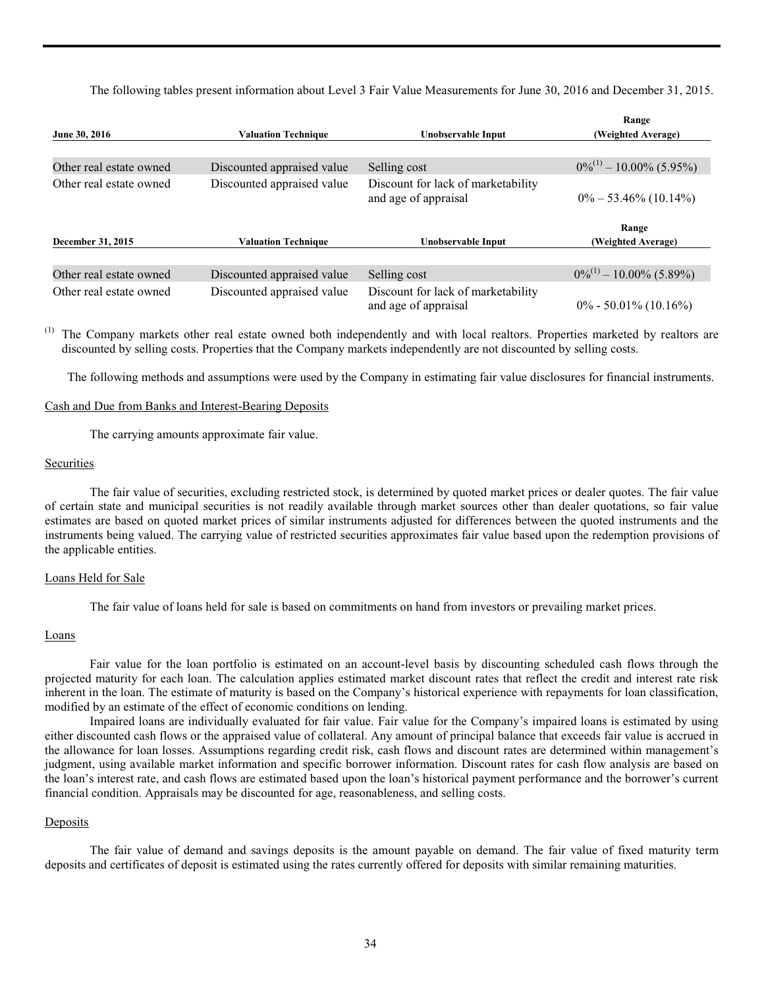The following tables present information about Level 3 Fair Value Measurements for June 30, 2016 and December 31, 2015.

|                         |                            |                                                            | Range                         |
|-------------------------|----------------------------|------------------------------------------------------------|-------------------------------|
| June 30, 2016           | <b>Valuation Technique</b> | Unobservable Input                                         | (Weighted Average)            |
|                         |                            |                                                            |                               |
| Other real estate owned | Discounted appraised value | Selling cost                                               | $0\%^{(1)} - 10.00\%$ (5.95%) |
| Other real estate owned | Discounted appraised value | Discount for lack of marketability<br>and age of appraisal | $0\% - 53.46\%$ (10.14%)      |
|                         |                            |                                                            |                               |
| December 31, 2015       | <b>Valuation Technique</b> | Unobservable Input                                         | Range<br>(Weighted Average)   |
|                         |                            |                                                            |                               |
| Other real estate owned | Discounted appraised value | Selling cost                                               | $0\%^{(1)} - 10.00\%$ (5.89%) |

<sup>(1)</sup> The Company markets other real estate owned both independently and with local realtors. Properties marketed by realtors are discounted by selling costs. Properties that the Company markets independently are not discounted by selling costs.

The following methods and assumptions were used by the Company in estimating fair value disclosures for financial instruments.

#### Cash and Due from Banks and Interest-Bearing Deposits

The carrying amounts approximate fair value.

#### Securities

The fair value of securities, excluding restricted stock, is determined by quoted market prices or dealer quotes. The fair value of certain state and municipal securities is not readily available through market sources other than dealer quotations, so fair value estimates are based on quoted market prices of similar instruments adjusted for differences between the quoted instruments and the instruments being valued. The carrying value of restricted securities approximates fair value based upon the redemption provisions of the applicable entities.

#### Loans Held for Sale

The fair value of loans held for sale is based on commitments on hand from investors or prevailing market prices.

#### Loans

Fair value for the loan portfolio is estimated on an account-level basis by discounting scheduled cash flows through the projected maturity for each loan. The calculation applies estimated market discount rates that reflect the credit and interest rate risk inherent in the loan. The estimate of maturity is based on the Company's historical experience with repayments for loan classification, modified by an estimate of the effect of economic conditions on lending.

Impaired loans are individually evaluated for fair value. Fair value for the Company's impaired loans is estimated by using either discounted cash flows or the appraised value of collateral. Any amount of principal balance that exceeds fair value is accrued in the allowance for loan losses. Assumptions regarding credit risk, cash flows and discount rates are determined within management's judgment, using available market information and specific borrower information. Discount rates for cash flow analysis are based on the loan's interest rate, and cash flows are estimated based upon the loan's historical payment performance and the borrower's current financial condition. Appraisals may be discounted for age, reasonableness, and selling costs.

# Deposits

The fair value of demand and savings deposits is the amount payable on demand. The fair value of fixed maturity term deposits and certificates of deposit is estimated using the rates currently offered for deposits with similar remaining maturities.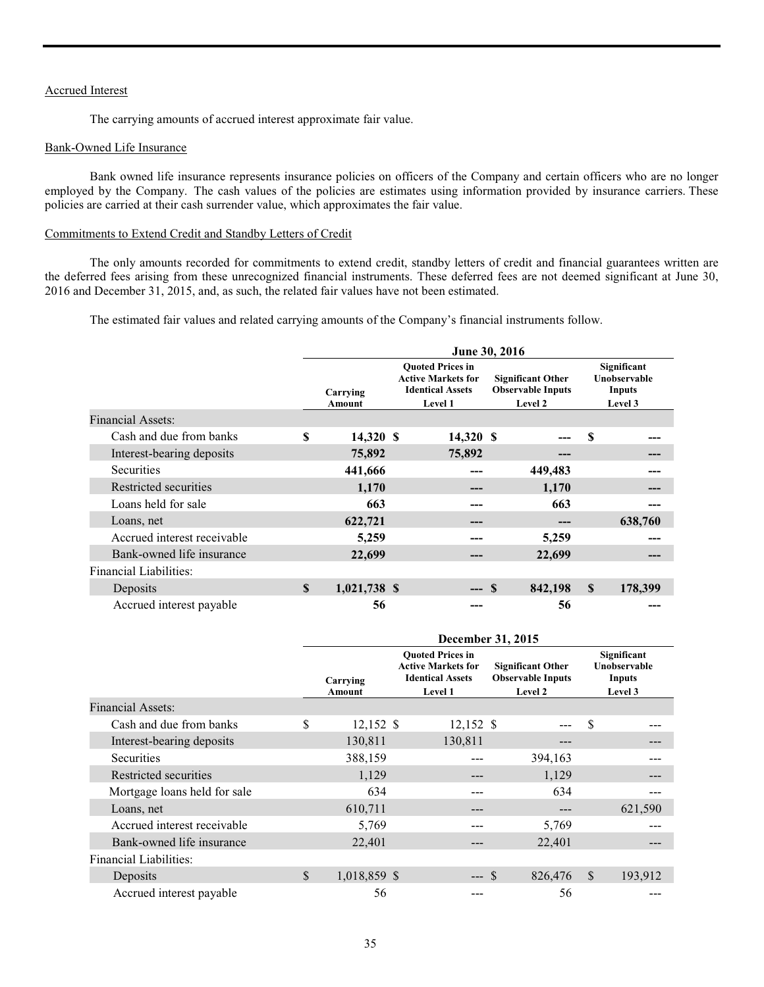#### Accrued Interest

The carrying amounts of accrued interest approximate fair value.

#### Bank-Owned Life Insurance

Bank owned life insurance represents insurance policies on officers of the Company and certain officers who are no longer employed by the Company. The cash values of the policies are estimates using information provided by insurance carriers. These policies are carried at their cash surrender value, which approximates the fair value.

# Commitments to Extend Credit and Standby Letters of Credit

The only amounts recorded for commitments to extend credit, standby letters of credit and financial guarantees written are the deferred fees arising from these unrecognized financial instruments. These deferred fees are not deemed significant at June 30, 2016 and December 31, 2015, and, as such, the related fair values have not been estimated.

The estimated fair values and related carrying amounts of the Company's financial instruments follow.

|                               | June 30, 2016 |                    |  |                                                                                            |  |                                                                 |               |                                                  |
|-------------------------------|---------------|--------------------|--|--------------------------------------------------------------------------------------------|--|-----------------------------------------------------------------|---------------|--------------------------------------------------|
|                               |               | Carrying<br>Amount |  | <b>Quoted Prices in</b><br><b>Active Markets for</b><br><b>Identical Assets</b><br>Level 1 |  | <b>Significant Other</b><br><b>Observable Inputs</b><br>Level 2 |               | Significant<br>Unobservable<br>Inputs<br>Level 3 |
| Financial Assets:             |               |                    |  |                                                                                            |  |                                                                 |               |                                                  |
| Cash and due from banks       | \$            | 14,320 \$          |  | 14,320 \$                                                                                  |  |                                                                 | S             |                                                  |
| Interest-bearing deposits     |               | 75,892             |  | 75,892                                                                                     |  | ---                                                             |               | ---                                              |
| <b>Securities</b>             |               | 441,666            |  |                                                                                            |  | 449,483                                                         |               |                                                  |
| Restricted securities         |               | 1,170              |  | ---                                                                                        |  | 1,170                                                           |               | ---                                              |
| Loans held for sale           |               | 663                |  |                                                                                            |  | 663                                                             |               | ---                                              |
| Loans, net                    |               | 622,721            |  | ---                                                                                        |  |                                                                 |               | 638,760                                          |
| Accrued interest receivable   |               | 5,259              |  | ---                                                                                        |  | 5,259                                                           |               | ---                                              |
| Bank-owned life insurance     |               | 22,699             |  | ---                                                                                        |  | 22,699                                                          |               | ---                                              |
| <b>Financial Liabilities:</b> |               |                    |  |                                                                                            |  |                                                                 |               |                                                  |
| Deposits                      | $\mathbf{s}$  | 1,021,738 \$       |  | $--$ S                                                                                     |  | 842,198                                                         | $\mathbf{\$}$ | 178,399                                          |
| Accrued interest payable      |               | 56                 |  |                                                                                            |  | 56                                                              |               |                                                  |

|                              | December 31, 2015 |                    |  |                                                                                            |  |                                                                 |               |                                                  |
|------------------------------|-------------------|--------------------|--|--------------------------------------------------------------------------------------------|--|-----------------------------------------------------------------|---------------|--------------------------------------------------|
|                              |                   | Carrying<br>Amount |  | <b>Ouoted Prices in</b><br><b>Active Markets for</b><br><b>Identical Assets</b><br>Level 1 |  | <b>Significant Other</b><br><b>Observable Inputs</b><br>Level 2 |               | Significant<br>Unobservable<br>Inputs<br>Level 3 |
| <b>Financial Assets:</b>     |                   |                    |  |                                                                                            |  |                                                                 |               |                                                  |
| Cash and due from banks      | \$                | 12,152 \$          |  | 12,152 \$                                                                                  |  |                                                                 | \$            |                                                  |
| Interest-bearing deposits    |                   | 130,811            |  | 130,811                                                                                    |  |                                                                 |               |                                                  |
| Securities                   |                   | 388,159            |  |                                                                                            |  | 394,163                                                         |               |                                                  |
| Restricted securities        |                   | 1,129              |  | ---                                                                                        |  | 1,129                                                           |               | ---                                              |
| Mortgage loans held for sale |                   | 634                |  |                                                                                            |  | 634                                                             |               |                                                  |
| Loans, net                   |                   | 610,711            |  | ---                                                                                        |  |                                                                 |               | 621,590                                          |
| Accrued interest receivable  |                   | 5,769              |  |                                                                                            |  | 5,769                                                           |               |                                                  |
| Bank-owned life insurance    |                   | 22,401             |  |                                                                                            |  | 22,401                                                          |               |                                                  |
| Financial Liabilities:       |                   |                    |  |                                                                                            |  |                                                                 |               |                                                  |
| Deposits                     | \$                | 1,018,859 \$       |  | --- \$                                                                                     |  | 826,476                                                         | <sup>\$</sup> | 193,912                                          |
| Accrued interest payable     |                   | 56                 |  |                                                                                            |  | 56                                                              |               |                                                  |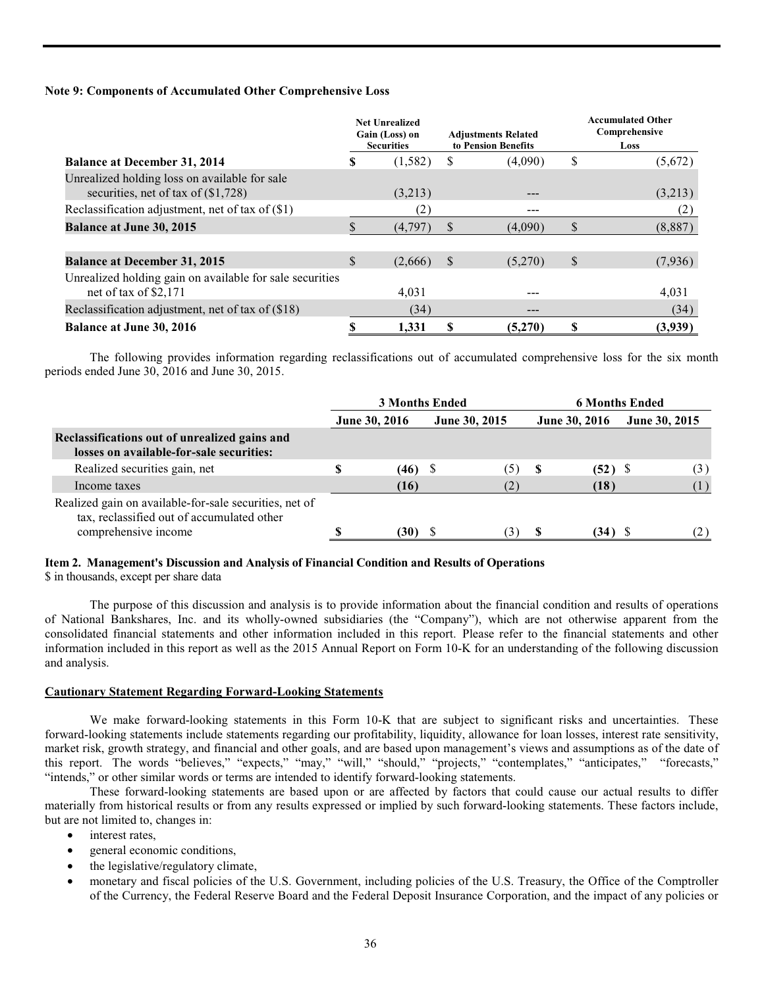#### **Note 9: Components of Accumulated Other Comprehensive Loss**

|                                                                                        |    | <b>Net Unrealized</b><br>Gain (Loss) on<br><b>Securities</b> |    | <b>Adjustments Related</b><br>to Pension Benefits |    | <b>Accumulated Other</b><br>Comprehensive<br>Loss |
|----------------------------------------------------------------------------------------|----|--------------------------------------------------------------|----|---------------------------------------------------|----|---------------------------------------------------|
| <b>Balance at December 31, 2014</b>                                                    | S  | (1,582)                                                      | \$ | (4,090)                                           | \$ | (5,672)                                           |
| Unrealized holding loss on available for sale<br>securities, net of tax of $(\$1,728)$ |    | (3,213)                                                      |    |                                                   |    | (3,213)                                           |
| Reclassification adjustment, net of tax of (\$1)                                       |    | (2)                                                          |    | ---                                               |    | (2)                                               |
| <b>Balance at June 30, 2015</b>                                                        | \$ | (4,797)                                                      | \$ | (4,090)                                           | \$ | (8,887)                                           |
|                                                                                        |    |                                                              |    |                                                   |    |                                                   |
| <b>Balance at December 31, 2015</b>                                                    | \$ | (2,666)                                                      | S  | (5,270)                                           | S  | (7,936)                                           |
| Unrealized holding gain on available for sale securities<br>net of tax of $$2,171$     |    | 4,031                                                        |    |                                                   |    | 4,031                                             |
| Reclassification adjustment, net of tax of (\$18)                                      |    | (34)                                                         |    | ---                                               |    | (34)                                              |
| Balance at June 30, 2016                                                               | \$ | 1.331                                                        | S  | (5,270)                                           | S  | (3,939)                                           |

The following provides information regarding reclassifications out of accumulated comprehensive loss for the six month periods ended June 30, 2016 and June 30, 2015.

|                                                                                                                              | <b>3 Months Ended</b> |                      |  | <b>6 Months Ended</b> |  |                      |  |               |
|------------------------------------------------------------------------------------------------------------------------------|-----------------------|----------------------|--|-----------------------|--|----------------------|--|---------------|
|                                                                                                                              |                       | <b>June 30, 2016</b> |  | June 30, 2015         |  | <b>June 30, 2016</b> |  | June 30, 2015 |
| Reclassifications out of unrealized gains and<br>losses on available-for-sale securities:                                    |                       |                      |  |                       |  |                      |  |               |
| Realized securities gain, net                                                                                                |                       | $(46)$ \$            |  | $\circ$               |  | $(52)$ \$            |  | $\mathbf{3}$  |
| Income taxes                                                                                                                 |                       | (16)                 |  | (2)                   |  | (18)                 |  |               |
| Realized gain on available-for-sale securities, net of<br>tax, reclassified out of accumulated other<br>comprehensive income |                       | (30)                 |  |                       |  | $(34)$ S             |  |               |

# <span id="page-35-0"></span>**Item 2. Management's Discussion and Analysis of Financial Condition and Results of Operations**

\$ in thousands, except per share data

The purpose of this discussion and analysis is to provide information about the financial condition and results of operations of National Bankshares, Inc. and its wholly-owned subsidiaries (the "Company"), which are not otherwise apparent from the consolidated financial statements and other information included in this report. Please refer to the financial statements and other information included in this report as well as the 2015 Annual Report on Form 10-K for an understanding of the following discussion and analysis.

# **Cautionary Statement Regarding Forward-Looking Statements**

We make forward-looking statements in this Form 10-K that are subject to significant risks and uncertainties. These forward-looking statements include statements regarding our profitability, liquidity, allowance for loan losses, interest rate sensitivity, market risk, growth strategy, and financial and other goals, and are based upon management's views and assumptions as of the date of this report. The words "believes," "expects," "may," "will," "should," "projects," "contemplates," "anticipates," "forecasts," "intends," or other similar words or terms are intended to identify forward-looking statements.

These forward-looking statements are based upon or are affected by factors that could cause our actual results to differ materially from historical results or from any results expressed or implied by such forward-looking statements. These factors include, but are not limited to, changes in:

- interest rates.
- general economic conditions,
- the legislative/regulatory climate,
- monetary and fiscal policies of the U.S. Government, including policies of the U.S. Treasury, the Office of the Comptroller of the Currency, the Federal Reserve Board and the Federal Deposit Insurance Corporation, and the impact of any policies or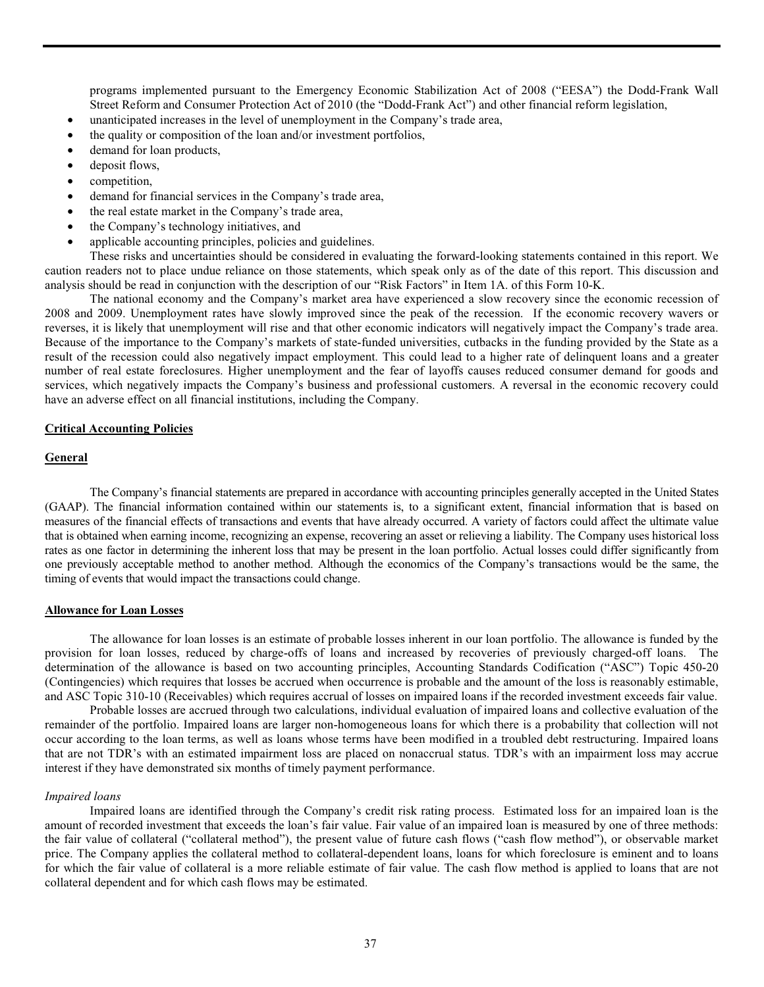programs implemented pursuant to the Emergency Economic Stabilization Act of 2008 ("EESA") the Dodd-Frank Wall Street Reform and Consumer Protection Act of 2010 (the "Dodd-Frank Act") and other financial reform legislation,

- unanticipated increases in the level of unemployment in the Company's trade area,
- the quality or composition of the loan and/or investment portfolios,
- demand for loan products,
- deposit flows,
- competition.
- demand for financial services in the Company's trade area,
- the real estate market in the Company's trade area,
- the Company's technology initiatives, and
- applicable accounting principles, policies and guidelines.

These risks and uncertainties should be considered in evaluating the forward-looking statements contained in this report. We caution readers not to place undue reliance on those statements, which speak only as of the date of this report. This discussion and analysis should be read in conjunction with the description of our "Risk Factors" in Item 1A. of this Form 10-K.

The national economy and the Company's market area have experienced a slow recovery since the economic recession of 2008 and 2009. Unemployment rates have slowly improved since the peak of the recession. If the economic recovery wavers or reverses, it is likely that unemployment will rise and that other economic indicators will negatively impact the Company's trade area. Because of the importance to the Company's markets of state-funded universities, cutbacks in the funding provided by the State as a result of the recession could also negatively impact employment. This could lead to a higher rate of delinquent loans and a greater number of real estate foreclosures. Higher unemployment and the fear of layoffs causes reduced consumer demand for goods and services, which negatively impacts the Company's business and professional customers. A reversal in the economic recovery could have an adverse effect on all financial institutions, including the Company.

#### **Critical Accounting Policies**

#### **General**

The Company's financial statements are prepared in accordance with accounting principles generally accepted in the United States (GAAP). The financial information contained within our statements is, to a significant extent, financial information that is based on measures of the financial effects of transactions and events that have already occurred. A variety of factors could affect the ultimate value that is obtained when earning income, recognizing an expense, recovering an asset or relieving a liability. The Company uses historical loss rates as one factor in determining the inherent loss that may be present in the loan portfolio. Actual losses could differ significantly from one previously acceptable method to another method. Although the economics of the Company's transactions would be the same, the timing of events that would impact the transactions could change.

#### **Allowance for Loan Losses**

The allowance for loan losses is an estimate of probable losses inherent in our loan portfolio. The allowance is funded by the provision for loan losses, reduced by charge-offs of loans and increased by recoveries of previously charged-off loans. The determination of the allowance is based on two accounting principles, Accounting Standards Codification ("ASC") Topic 450-20 (Contingencies) which requires that losses be accrued when occurrence is probable and the amount of the loss is reasonably estimable, and ASC Topic 310-10 (Receivables) which requires accrual of losses on impaired loans if the recorded investment exceeds fair value.

Probable losses are accrued through two calculations, individual evaluation of impaired loans and collective evaluation of the remainder of the portfolio. Impaired loans are larger non-homogeneous loans for which there is a probability that collection will not occur according to the loan terms, as well as loans whose terms have been modified in a troubled debt restructuring. Impaired loans that are not TDR's with an estimated impairment loss are placed on nonaccrual status. TDR's with an impairment loss may accrue interest if they have demonstrated six months of timely payment performance.

#### *Impaired loans*

Impaired loans are identified through the Company's credit risk rating process. Estimated loss for an impaired loan is the amount of recorded investment that exceeds the loan's fair value. Fair value of an impaired loan is measured by one of three methods: the fair value of collateral ("collateral method"), the present value of future cash flows ("cash flow method"), or observable market price. The Company applies the collateral method to collateral-dependent loans, loans for which foreclosure is eminent and to loans for which the fair value of collateral is a more reliable estimate of fair value. The cash flow method is applied to loans that are not collateral dependent and for which cash flows may be estimated.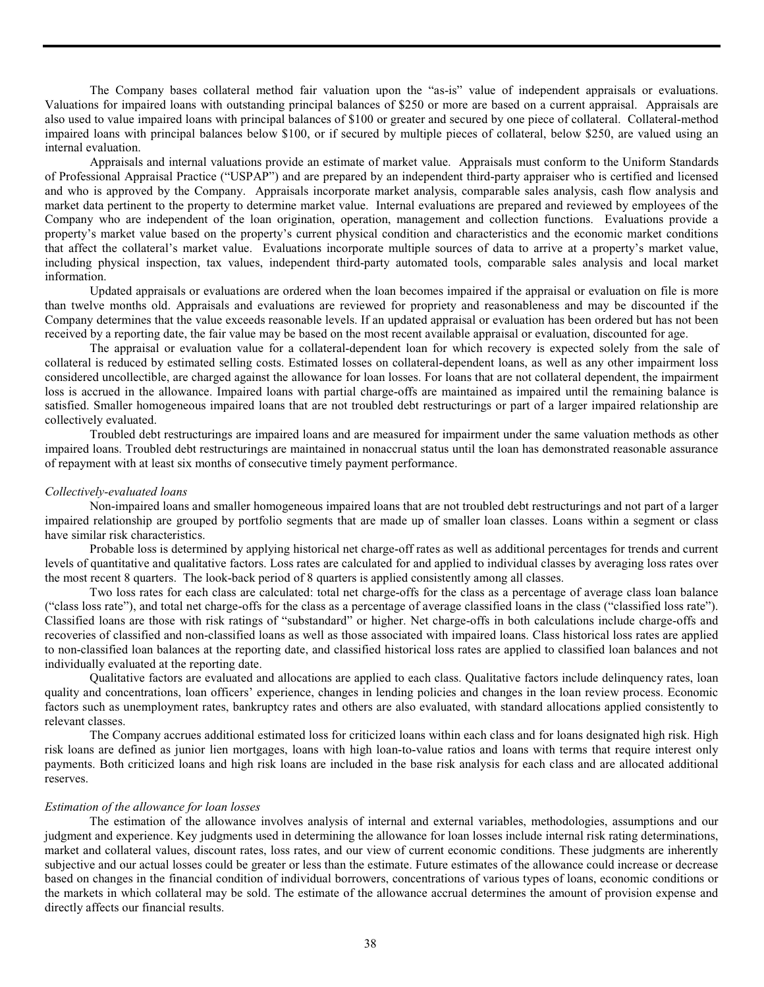The Company bases collateral method fair valuation upon the "as-is" value of independent appraisals or evaluations. Valuations for impaired loans with outstanding principal balances of \$250 or more are based on a current appraisal. Appraisals are also used to value impaired loans with principal balances of \$100 or greater and secured by one piece of collateral. Collateral-method impaired loans with principal balances below \$100, or if secured by multiple pieces of collateral, below \$250, are valued using an internal evaluation.

Appraisals and internal valuations provide an estimate of market value. Appraisals must conform to the Uniform Standards of Professional Appraisal Practice ("USPAP") and are prepared by an independent third-party appraiser who is certified and licensed and who is approved by the Company. Appraisals incorporate market analysis, comparable sales analysis, cash flow analysis and market data pertinent to the property to determine market value. Internal evaluations are prepared and reviewed by employees of the Company who are independent of the loan origination, operation, management and collection functions. Evaluations provide a property's market value based on the property's current physical condition and characteristics and the economic market conditions that affect the collateral's market value. Evaluations incorporate multiple sources of data to arrive at a property's market value, including physical inspection, tax values, independent third-party automated tools, comparable sales analysis and local market information.

Updated appraisals or evaluations are ordered when the loan becomes impaired if the appraisal or evaluation on file is more than twelve months old. Appraisals and evaluations are reviewed for propriety and reasonableness and may be discounted if the Company determines that the value exceeds reasonable levels. If an updated appraisal or evaluation has been ordered but has not been received by a reporting date, the fair value may be based on the most recent available appraisal or evaluation, discounted for age.

The appraisal or evaluation value for a collateral-dependent loan for which recovery is expected solely from the sale of collateral is reduced by estimated selling costs. Estimated losses on collateral-dependent loans, as well as any other impairment loss considered uncollectible, are charged against the allowance for loan losses. For loans that are not collateral dependent, the impairment loss is accrued in the allowance. Impaired loans with partial charge-offs are maintained as impaired until the remaining balance is satisfied. Smaller homogeneous impaired loans that are not troubled debt restructurings or part of a larger impaired relationship are collectively evaluated.

Troubled debt restructurings are impaired loans and are measured for impairment under the same valuation methods as other impaired loans. Troubled debt restructurings are maintained in nonaccrual status until the loan has demonstrated reasonable assurance of repayment with at least six months of consecutive timely payment performance.

#### *Collectively-evaluated loans*

Non-impaired loans and smaller homogeneous impaired loans that are not troubled debt restructurings and not part of a larger impaired relationship are grouped by portfolio segments that are made up of smaller loan classes. Loans within a segment or class have similar risk characteristics.

Probable loss is determined by applying historical net charge-off rates as well as additional percentages for trends and current levels of quantitative and qualitative factors. Loss rates are calculated for and applied to individual classes by averaging loss rates over the most recent 8 quarters. The look-back period of 8 quarters is applied consistently among all classes.

Two loss rates for each class are calculated: total net charge-offs for the class as a percentage of average class loan balance ("class loss rate"), and total net charge-offs for the class as a percentage of average classified loans in the class ("classified loss rate"). Classified loans are those with risk ratings of "substandard" or higher. Net charge-offs in both calculations include charge-offs and recoveries of classified and non-classified loans as well as those associated with impaired loans. Class historical loss rates are applied to non-classified loan balances at the reporting date, and classified historical loss rates are applied to classified loan balances and not individually evaluated at the reporting date.

Qualitative factors are evaluated and allocations are applied to each class. Qualitative factors include delinquency rates, loan quality and concentrations, loan officers' experience, changes in lending policies and changes in the loan review process. Economic factors such as unemployment rates, bankruptcy rates and others are also evaluated, with standard allocations applied consistently to relevant classes.

The Company accrues additional estimated loss for criticized loans within each class and for loans designated high risk. High risk loans are defined as junior lien mortgages, loans with high loan-to-value ratios and loans with terms that require interest only payments. Both criticized loans and high risk loans are included in the base risk analysis for each class and are allocated additional reserves.

#### *Estimation of the allowance for loan losses*

The estimation of the allowance involves analysis of internal and external variables, methodologies, assumptions and our judgment and experience. Key judgments used in determining the allowance for loan losses include internal risk rating determinations, market and collateral values, discount rates, loss rates, and our view of current economic conditions. These judgments are inherently subjective and our actual losses could be greater or less than the estimate. Future estimates of the allowance could increase or decrease based on changes in the financial condition of individual borrowers, concentrations of various types of loans, economic conditions or the markets in which collateral may be sold. The estimate of the allowance accrual determines the amount of provision expense and directly affects our financial results.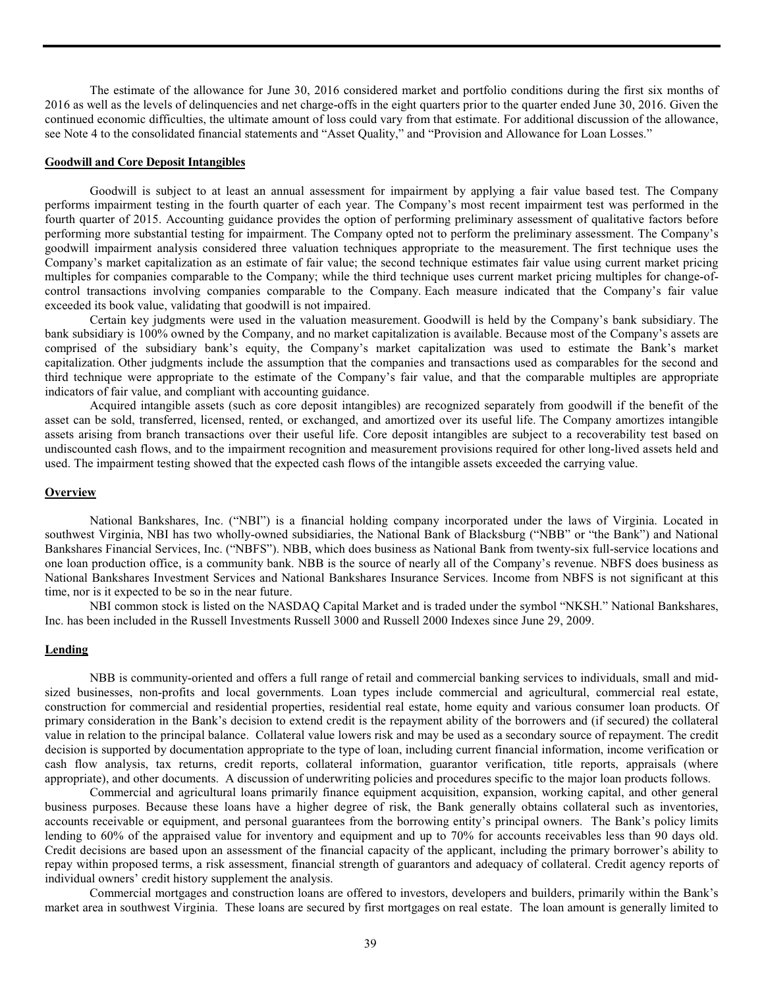The estimate of the allowance for June 30, 2016 considered market and portfolio conditions during the first six months of 2016 as well as the levels of delinquencies and net charge-offs in the eight quarters prior to the quarter ended June 30, 2016. Given the continued economic difficulties, the ultimate amount of loss could vary from that estimate. For additional discussion of the allowance, see Note 4 to the consolidated financial statements and "Asset Quality," and "Provision and Allowance for Loan Losses."

#### **Goodwill and Core Deposit Intangibles**

Goodwill is subject to at least an annual assessment for impairment by applying a fair value based test. The Company performs impairment testing in the fourth quarter of each year. The Company's most recent impairment test was performed in the fourth quarter of 2015. Accounting guidance provides the option of performing preliminary assessment of qualitative factors before performing more substantial testing for impairment. The Company opted not to perform the preliminary assessment. The Company's goodwill impairment analysis considered three valuation techniques appropriate to the measurement. The first technique uses the Company's market capitalization as an estimate of fair value; the second technique estimates fair value using current market pricing multiples for companies comparable to the Company; while the third technique uses current market pricing multiples for change-ofcontrol transactions involving companies comparable to the Company. Each measure indicated that the Company's fair value exceeded its book value, validating that goodwill is not impaired.

Certain key judgments were used in the valuation measurement. Goodwill is held by the Company's bank subsidiary. The bank subsidiary is 100% owned by the Company, and no market capitalization is available. Because most of the Company's assets are comprised of the subsidiary bank's equity, the Company's market capitalization was used to estimate the Bank's market capitalization. Other judgments include the assumption that the companies and transactions used as comparables for the second and third technique were appropriate to the estimate of the Company's fair value, and that the comparable multiples are appropriate indicators of fair value, and compliant with accounting guidance.

Acquired intangible assets (such as core deposit intangibles) are recognized separately from goodwill if the benefit of the asset can be sold, transferred, licensed, rented, or exchanged, and amortized over its useful life. The Company amortizes intangible assets arising from branch transactions over their useful life. Core deposit intangibles are subject to a recoverability test based on undiscounted cash flows, and to the impairment recognition and measurement provisions required for other long-lived assets held and used. The impairment testing showed that the expected cash flows of the intangible assets exceeded the carrying value.

#### **Overview**

National Bankshares, Inc. ("NBI") is a financial holding company incorporated under the laws of Virginia. Located in southwest Virginia, NBI has two wholly-owned subsidiaries, the National Bank of Blacksburg ("NBB" or "the Bank") and National Bankshares Financial Services, Inc. ("NBFS"). NBB, which does business as National Bank from twenty-six full-service locations and one loan production office, is a community bank. NBB is the source of nearly all of the Company's revenue. NBFS does business as National Bankshares Investment Services and National Bankshares Insurance Services. Income from NBFS is not significant at this time, nor is it expected to be so in the near future.

NBI common stock is listed on the NASDAQ Capital Market and is traded under the symbol "NKSH." National Bankshares, Inc. has been included in the Russell Investments Russell 3000 and Russell 2000 Indexes since June 29, 2009.

#### **Lending**

NBB is community-oriented and offers a full range of retail and commercial banking services to individuals, small and midsized businesses, non-profits and local governments. Loan types include commercial and agricultural, commercial real estate, construction for commercial and residential properties, residential real estate, home equity and various consumer loan products. Of primary consideration in the Bank's decision to extend credit is the repayment ability of the borrowers and (if secured) the collateral value in relation to the principal balance. Collateral value lowers risk and may be used as a secondary source of repayment. The credit decision is supported by documentation appropriate to the type of loan, including current financial information, income verification or cash flow analysis, tax returns, credit reports, collateral information, guarantor verification, title reports, appraisals (where appropriate), and other documents. A discussion of underwriting policies and procedures specific to the major loan products follows.

Commercial and agricultural loans primarily finance equipment acquisition, expansion, working capital, and other general business purposes. Because these loans have a higher degree of risk, the Bank generally obtains collateral such as inventories, accounts receivable or equipment, and personal guarantees from the borrowing entity's principal owners. The Bank's policy limits lending to 60% of the appraised value for inventory and equipment and up to 70% for accounts receivables less than 90 days old. Credit decisions are based upon an assessment of the financial capacity of the applicant, including the primary borrower's ability to repay within proposed terms, a risk assessment, financial strength of guarantors and adequacy of collateral. Credit agency reports of individual owners' credit history supplement the analysis.

Commercial mortgages and construction loans are offered to investors, developers and builders, primarily within the Bank's market area in southwest Virginia. These loans are secured by first mortgages on real estate. The loan amount is generally limited to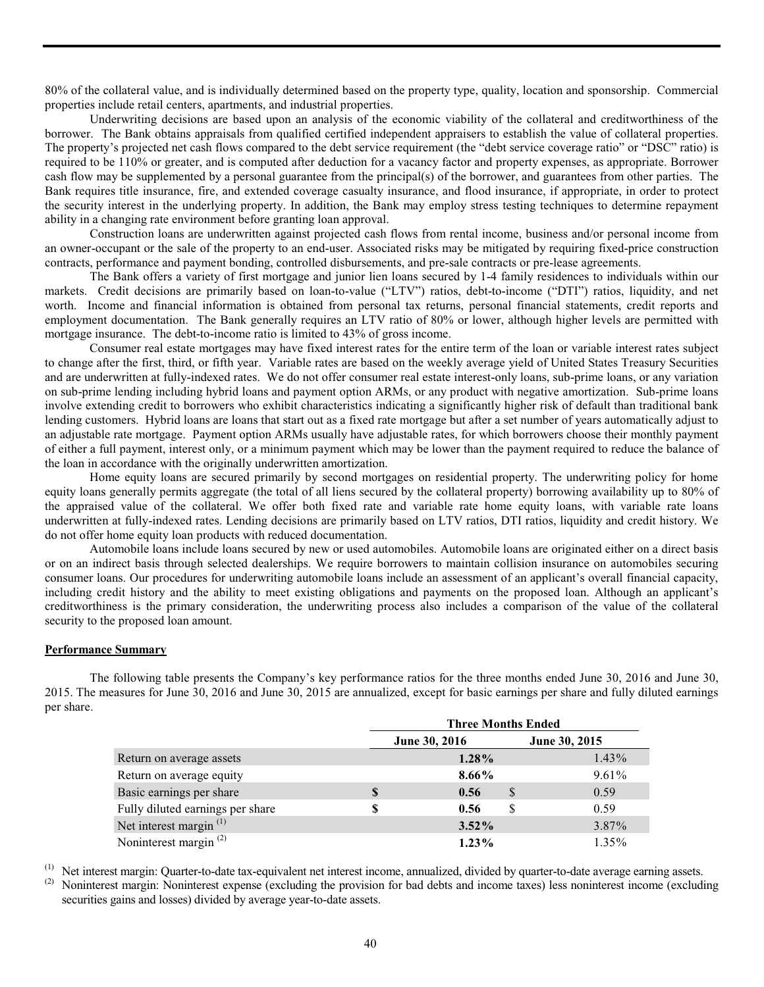80% of the collateral value, and is individually determined based on the property type, quality, location and sponsorship. Commercial properties include retail centers, apartments, and industrial properties.

Underwriting decisions are based upon an analysis of the economic viability of the collateral and creditworthiness of the borrower. The Bank obtains appraisals from qualified certified independent appraisers to establish the value of collateral properties. The property's projected net cash flows compared to the debt service requirement (the "debt service coverage ratio" or "DSC" ratio) is required to be 110% or greater, and is computed after deduction for a vacancy factor and property expenses, as appropriate. Borrower cash flow may be supplemented by a personal guarantee from the principal(s) of the borrower, and guarantees from other parties. The Bank requires title insurance, fire, and extended coverage casualty insurance, and flood insurance, if appropriate, in order to protect the security interest in the underlying property. In addition, the Bank may employ stress testing techniques to determine repayment ability in a changing rate environment before granting loan approval.

Construction loans are underwritten against projected cash flows from rental income, business and/or personal income from an owner-occupant or the sale of the property to an end-user. Associated risks may be mitigated by requiring fixed-price construction contracts, performance and payment bonding, controlled disbursements, and pre-sale contracts or pre-lease agreements.

The Bank offers a variety of first mortgage and junior lien loans secured by 1-4 family residences to individuals within our markets. Credit decisions are primarily based on loan-to-value ("LTV") ratios, debt-to-income ("DTI") ratios, liquidity, and net worth. Income and financial information is obtained from personal tax returns, personal financial statements, credit reports and employment documentation. The Bank generally requires an LTV ratio of 80% or lower, although higher levels are permitted with mortgage insurance. The debt-to-income ratio is limited to 43% of gross income.

Consumer real estate mortgages may have fixed interest rates for the entire term of the loan or variable interest rates subject to change after the first, third, or fifth year. Variable rates are based on the weekly average yield of United States Treasury Securities and are underwritten at fully-indexed rates. We do not offer consumer real estate interest-only loans, sub-prime loans, or any variation on sub-prime lending including hybrid loans and payment option ARMs, or any product with negative amortization. Sub-prime loans involve extending credit to borrowers who exhibit characteristics indicating a significantly higher risk of default than traditional bank lending customers. Hybrid loans are loans that start out as a fixed rate mortgage but after a set number of years automatically adjust to an adjustable rate mortgage. Payment option ARMs usually have adjustable rates, for which borrowers choose their monthly payment of either a full payment, interest only, or a minimum payment which may be lower than the payment required to reduce the balance of the loan in accordance with the originally underwritten amortization.

Home equity loans are secured primarily by second mortgages on residential property. The underwriting policy for home equity loans generally permits aggregate (the total of all liens secured by the collateral property) borrowing availability up to 80% of the appraised value of the collateral. We offer both fixed rate and variable rate home equity loans, with variable rate loans underwritten at fully-indexed rates. Lending decisions are primarily based on LTV ratios, DTI ratios, liquidity and credit history. We do not offer home equity loan products with reduced documentation.

Automobile loans include loans secured by new or used automobiles. Automobile loans are originated either on a direct basis or on an indirect basis through selected dealerships. We require borrowers to maintain collision insurance on automobiles securing consumer loans. Our procedures for underwriting automobile loans include an assessment of an applicant's overall financial capacity, including credit history and the ability to meet existing obligations and payments on the proposed loan. Although an applicant's creditworthiness is the primary consideration, the underwriting process also includes a comparison of the value of the collateral security to the proposed loan amount.

#### **Performance Summary**

The following table presents the Company's key performance ratios for the three months ended June 30, 2016 and June 30, 2015. The measures for June 30, 2016 and June 30, 2015 are annualized, except for basic earnings per share and fully diluted earnings per share.

|                                   | <b>Three Months Ended</b> |          |   |               |  |  |
|-----------------------------------|---------------------------|----------|---|---------------|--|--|
|                                   | <b>June 30, 2016</b>      |          |   | June 30, 2015 |  |  |
| Return on average assets          |                           | $1.28\%$ |   | 1.43%         |  |  |
| Return on average equity          |                           | 8.66%    |   | $9.61\%$      |  |  |
| Basic earnings per share          | \$                        | 0.56     |   | 0.59          |  |  |
| Fully diluted earnings per share  | S                         | 0.56     | S | 0.59          |  |  |
| Net interest margin $(1)$         |                           | $3.52\%$ |   | 3.87%         |  |  |
| Noninterest margin <sup>(2)</sup> |                           | $1.23\%$ |   | $1.35\%$      |  |  |

<sup>(1)</sup> Net interest margin: Quarter-to-date tax-equivalent net interest income, annualized, divided by quarter-to-date average earning assets.<br><sup>(2)</sup> Noninterest margin: Noninterest expense (excluding the provision for bad securities gains and losses) divided by average year-to-date assets.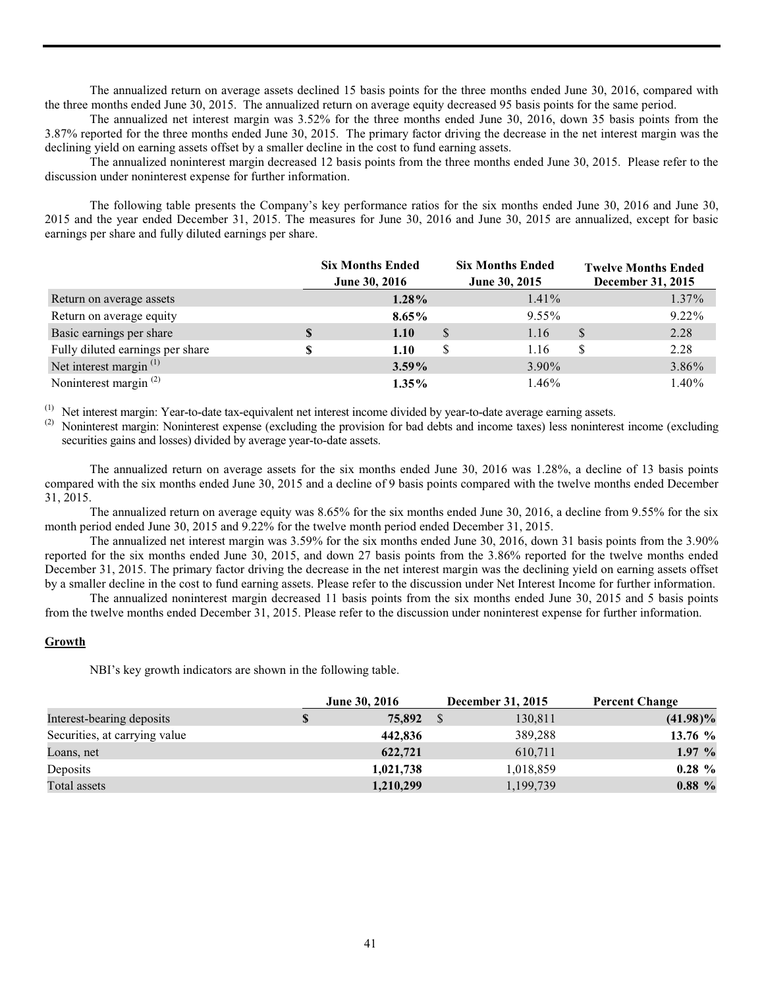The annualized return on average assets declined 15 basis points for the three months ended June 30, 2016, compared with the three months ended June 30, 2015. The annualized return on average equity decreased 95 basis points for the same period.

The annualized net interest margin was 3.52% for the three months ended June 30, 2016, down 35 basis points from the 3.87% reported for the three months ended June 30, 2015. The primary factor driving the decrease in the net interest margin was the declining yield on earning assets offset by a smaller decline in the cost to fund earning assets.

The annualized noninterest margin decreased 12 basis points from the three months ended June 30, 2015. Please refer to the discussion under noninterest expense for further information.

The following table presents the Company's key performance ratios for the six months ended June 30, 2016 and June 30, 2015 and the year ended December 31, 2015. The measures for June 30, 2016 and June 30, 2015 are annualized, except for basic earnings per share and fully diluted earnings per share.

|                                  |   | <b>Six Months Ended</b><br>June 30, 2016 |              | <b>Six Months Ended</b><br>June 30, 2015 | <b>Twelve Months Ended</b><br>December 31, 2015 |          |
|----------------------------------|---|------------------------------------------|--------------|------------------------------------------|-------------------------------------------------|----------|
| Return on average assets         |   | $1.28\%$                                 |              | $1.41\%$                                 |                                                 | 1.37%    |
| Return on average equity         |   | $8.65\%$                                 |              | $9.55\%$                                 |                                                 | $9.22\%$ |
| Basic earnings per share         | Э | 1.10                                     | <sup>S</sup> | 1.16                                     | \$                                              | 2.28     |
| Fully diluted earnings per share |   | 1.10                                     | <b>S</b>     | 1.16                                     | S                                               | 2.28     |
| Net interest margin $^{(1)}$     |   | $3.59\%$                                 |              | $3.90\%$                                 |                                                 | 3.86%    |
| Noninterest margin $^{(2)}$      |   | $1.35\%$                                 |              | $1.46\%$                                 |                                                 | $1.40\%$ |

(1) Net interest margin: Year-to-date tax-equivalent net interest income divided by year-to-date average earning assets.<br>(2) Noninterest margin: Noninterest expense (excluding the provision for bad debts and income taxes) securities gains and losses) divided by average year-to-date assets.

The annualized return on average assets for the six months ended June 30, 2016 was 1.28%, a decline of 13 basis points compared with the six months ended June 30, 2015 and a decline of 9 basis points compared with the twelve months ended December 31, 2015.

The annualized return on average equity was 8.65% for the six months ended June 30, 2016, a decline from 9.55% for the six month period ended June 30, 2015 and 9.22% for the twelve month period ended December 31, 2015.

The annualized net interest margin was 3.59% for the six months ended June 30, 2016, down 31 basis points from the 3.90% reported for the six months ended June 30, 2015, and down 27 basis points from the 3.86% reported for the twelve months ended December 31, 2015. The primary factor driving the decrease in the net interest margin was the declining yield on earning assets offset by a smaller decline in the cost to fund earning assets. Please refer to the discussion under Net Interest Income for further information.

The annualized noninterest margin decreased 11 basis points from the six months ended June 30, 2015 and 5 basis points from the twelve months ended December 31, 2015. Please refer to the discussion under noninterest expense for further information.

# **Growth**

NBI's key growth indicators are shown in the following table.

|                               | <b>June 30, 2016</b> | December 31, 2015 | <b>Percent Change</b> |
|-------------------------------|----------------------|-------------------|-----------------------|
| Interest-bearing deposits     | 75,892               | 130,811           | $(41.98)\%$           |
| Securities, at carrying value | 442,836              | 389,288           | 13.76 %               |
| Loans, net                    | 622,721              | 610,711           | $1.97\%$              |
| Deposits                      | 1,021,738            | 1,018,859         | $0.28 \%$             |
| Total assets                  | 1,210,299            | 1,199,739         | $0.88\%$              |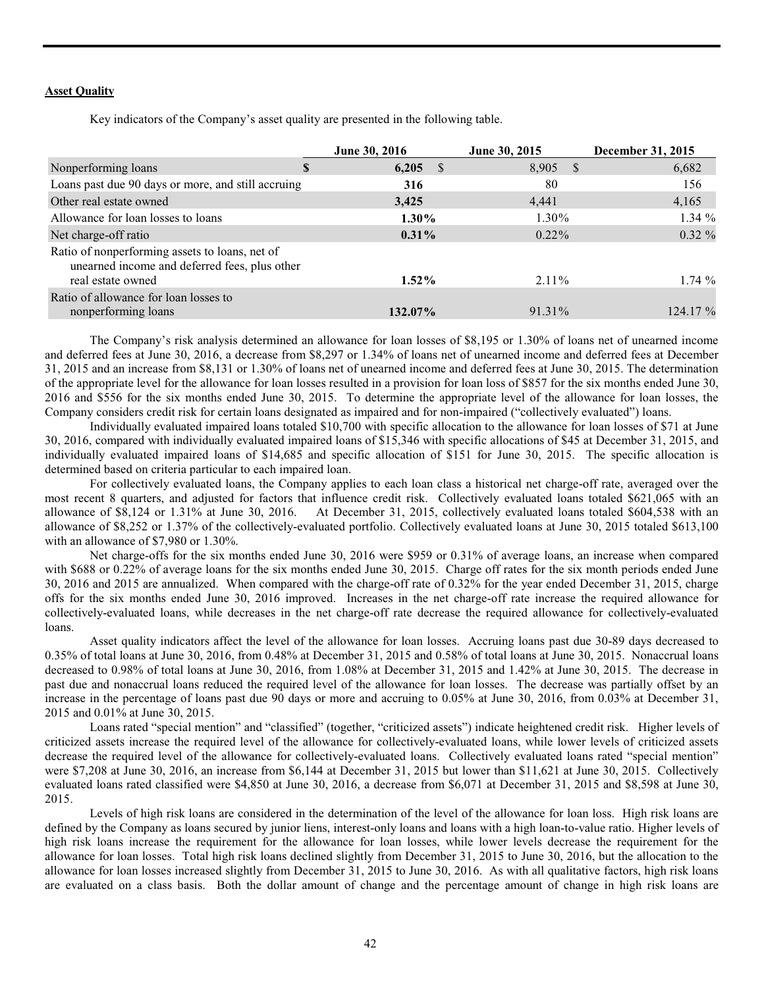#### **Asset Quality**

Key indicators of the Company's asset quality are presented in the following table.

|                                                                                                 | <b>June 30, 2016</b> | June 30, 2015 | December 31, 2015 |
|-------------------------------------------------------------------------------------------------|----------------------|---------------|-------------------|
| Nonperforming loans<br>S                                                                        | $6,205$ \$           | $8,905$ \$    | 6,682             |
| Loans past due 90 days or more, and still accruing                                              | 316                  | 80            | 156               |
| Other real estate owned                                                                         | 3,425                | 4,441         | 4,165             |
| Allowance for loan losses to loans                                                              | $1.30\%$             | 1.30%         | 1.34 %            |
| Net charge-off ratio                                                                            | $0.31\%$             | $0.22\%$      | $0.32 \%$         |
| Ratio of nonperforming assets to loans, net of<br>unearned income and deferred fees, plus other |                      |               |                   |
| real estate owned                                                                               | $1.52\%$             | $2.11\%$      | $1.74\%$          |
| Ratio of allowance for loan losses to<br>nonperforming loans                                    | 132.07%              | 91.31%        | 124.17 %          |

The Company's risk analysis determined an allowance for loan losses of \$8,195 or 1.30% of loans net of unearned income and deferred fees at June 30, 2016, a decrease from \$8,297 or 1.34% of loans net of unearned income and deferred fees at December 31, 2015 and an increase from \$8,131 or 1.30% of loans net of unearned income and deferred fees at June 30, 2015. The determination of the appropriate level for the allowance for loan losses resulted in a provision for loan loss of \$857 for the six months ended June 30, 2016 and \$556 for the six months ended June 30, 2015. To determine the appropriate level of the allowance for loan losses, the Company considers credit risk for certain loans designated as impaired and for non-impaired ("collectively evaluated") loans.

Individually evaluated impaired loans totaled \$10,700 with specific allocation to the allowance for loan losses of \$71 at June 30, 2016, compared with individually evaluated impaired loans of \$15,346 with specific allocations of \$45 at December 31, 2015, and individually evaluated impaired loans of \$14,685 and specific allocation of \$151 for June 30, 2015. The specific allocation is determined based on criteria particular to each impaired loan.

For collectively evaluated loans, the Company applies to each loan class a historical net charge-off rate, averaged over the most recent 8 quarters, and adjusted for factors that influence credit risk. Collectively evaluated loans totaled \$621,065 with an allowance of \$8,124 or 1.31% at June 30, 2016. At December 31, 2015, collectively evaluated loans totaled \$604,538 with an allowance of \$8,252 or 1.37% of the collectively-evaluated portfolio. Collectively evaluated loans at June 30, 2015 totaled \$613,100 with an allowance of \$7,980 or 1.30%.

Net charge-offs for the six months ended June 30, 2016 were \$959 or 0.31% of average loans, an increase when compared with \$688 or 0.22% of average loans for the six months ended June 30, 2015. Charge off rates for the six month periods ended June 30, 2016 and 2015 are annualized. When compared with the charge-off rate of 0.32% for the year ended December 31, 2015, charge offs for the six months ended June 30, 2016 improved. Increases in the net charge-off rate increase the required allowance for collectively-evaluated loans, while decreases in the net charge-off rate decrease the required allowance for collectively-evaluated loans.

Asset quality indicators affect the level of the allowance for loan losses. Accruing loans past due 30-89 days decreased to 0.35% of total loans at June 30, 2016, from 0.48% at December 31, 2015 and 0.58% of total loans at June 30, 2015. Nonaccrual loans decreased to 0.98% of total loans at June 30, 2016, from 1.08% at December 31, 2015 and 1.42% at June 30, 2015. The decrease in past due and nonaccrual loans reduced the required level of the allowance for loan losses. The decrease was partially offset by an increase in the percentage of loans past due 90 days or more and accruing to 0.05% at June 30, 2016, from 0.03% at December 31, 2015 and 0.01% at June 30, 2015.

Loans rated "special mention" and "classified" (together, "criticized assets") indicate heightened credit risk. Higher levels of criticized assets increase the required level of the allowance for collectively-evaluated loans, while lower levels of criticized assets decrease the required level of the allowance for collectively-evaluated loans. Collectively evaluated loans rated "special mention" were \$7,208 at June 30, 2016, an increase from \$6,144 at December 31, 2015 but lower than \$11,621 at June 30, 2015. Collectively evaluated loans rated classified were \$4,850 at June 30, 2016, a decrease from \$6,071 at December 31, 2015 and \$8,598 at June 30, 2015.

Levels of high risk loans are considered in the determination of the level of the allowance for loan loss. High risk loans are defined by the Company as loans secured by junior liens, interest-only loans and loans with a high loan-to-value ratio. Higher levels of high risk loans increase the requirement for the allowance for loan losses, while lower levels decrease the requirement for the allowance for loan losses. Total high risk loans declined slightly from December 31, 2015 to June 30, 2016, but the allocation to the allowance for loan losses increased slightly from December 31, 2015 to June 30, 2016. As with all qualitative factors, high risk loans are evaluated on a class basis. Both the dollar amount of change and the percentage amount of change in high risk loans are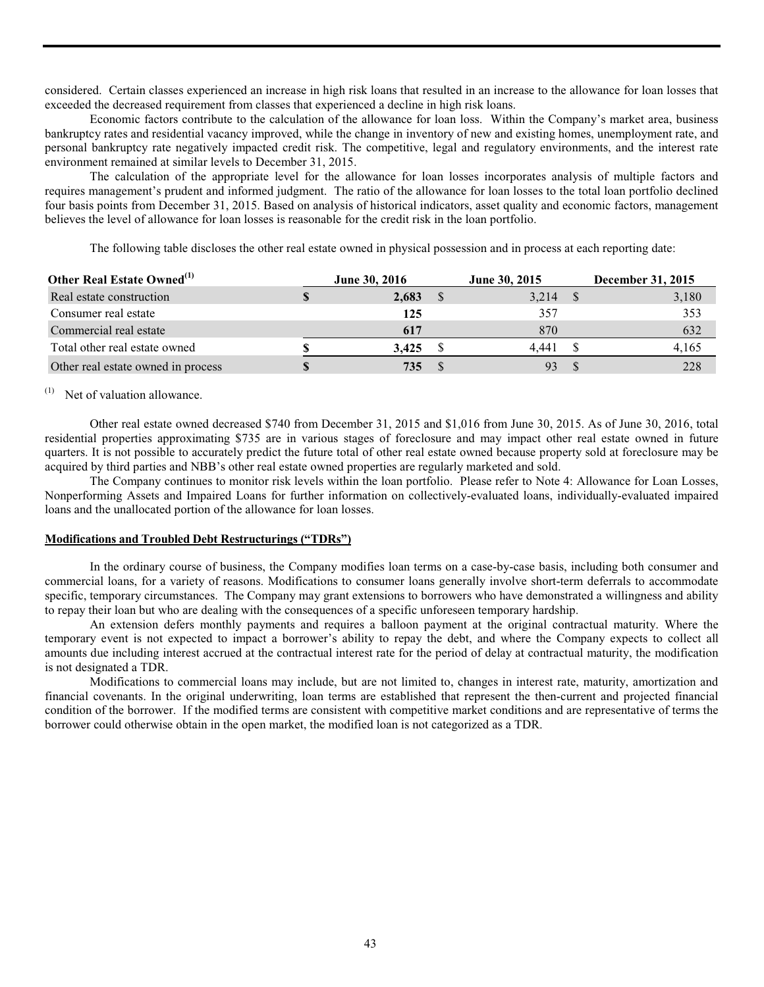considered. Certain classes experienced an increase in high risk loans that resulted in an increase to the allowance for loan losses that exceeded the decreased requirement from classes that experienced a decline in high risk loans.

Economic factors contribute to the calculation of the allowance for loan loss. Within the Company's market area, business bankruptcy rates and residential vacancy improved, while the change in inventory of new and existing homes, unemployment rate, and personal bankruptcy rate negatively impacted credit risk. The competitive, legal and regulatory environments, and the interest rate environment remained at similar levels to December 31, 2015.

The calculation of the appropriate level for the allowance for loan losses incorporates analysis of multiple factors and requires management's prudent and informed judgment. The ratio of the allowance for loan losses to the total loan portfolio declined four basis points from December 31, 2015. Based on analysis of historical indicators, asset quality and economic factors, management believes the level of allowance for loan losses is reasonable for the credit risk in the loan portfolio.

The following table discloses the other real estate owned in physical possession and in process at each reporting date:

| Other Real Estate Owned <sup>(1)</sup><br><b>June 30, 2016</b> |  | June 30, 2015 | <b>December 31, 2015</b> |  |       |
|----------------------------------------------------------------|--|---------------|--------------------------|--|-------|
| Real estate construction                                       |  | 2,683         | 3,214                    |  | 3,180 |
| Consumer real estate                                           |  | 125           | 357                      |  | 353   |
| Commercial real estate                                         |  | 617           | 870                      |  | 632   |
| Total other real estate owned                                  |  | 3.425         | 4.441                    |  | 4,165 |
| Other real estate owned in process                             |  |               |                          |  | 228   |

 $(1)$  Net of valuation allowance.

Other real estate owned decreased \$740 from December 31, 2015 and \$1,016 from June 30, 2015. As of June 30, 2016, total residential properties approximating \$735 are in various stages of foreclosure and may impact other real estate owned in future quarters. It is not possible to accurately predict the future total of other real estate owned because property sold at foreclosure may be acquired by third parties and NBB's other real estate owned properties are regularly marketed and sold.

The Company continues to monitor risk levels within the loan portfolio. Please refer to Note 4: Allowance for Loan Losses, Nonperforming Assets and Impaired Loans for further information on collectively-evaluated loans, individually-evaluated impaired loans and the unallocated portion of the allowance for loan losses.

#### **Modifications and Troubled Debt Restructurings ("TDRs")**

In the ordinary course of business, the Company modifies loan terms on a case-by-case basis, including both consumer and commercial loans, for a variety of reasons. Modifications to consumer loans generally involve short-term deferrals to accommodate specific, temporary circumstances. The Company may grant extensions to borrowers who have demonstrated a willingness and ability to repay their loan but who are dealing with the consequences of a specific unforeseen temporary hardship.

An extension defers monthly payments and requires a balloon payment at the original contractual maturity. Where the temporary event is not expected to impact a borrower's ability to repay the debt, and where the Company expects to collect all amounts due including interest accrued at the contractual interest rate for the period of delay at contractual maturity, the modification is not designated a TDR.

Modifications to commercial loans may include, but are not limited to, changes in interest rate, maturity, amortization and financial covenants. In the original underwriting, loan terms are established that represent the then-current and projected financial condition of the borrower. If the modified terms are consistent with competitive market conditions and are representative of terms the borrower could otherwise obtain in the open market, the modified loan is not categorized as a TDR.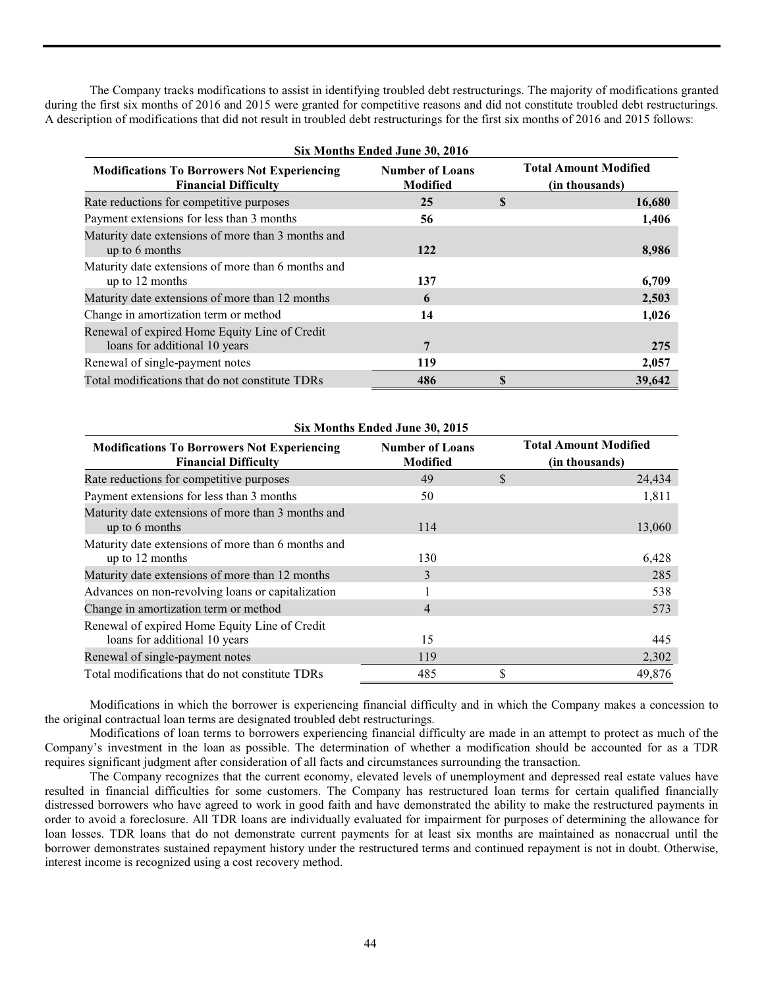The Company tracks modifications to assist in identifying troubled debt restructurings. The majority of modifications granted during the first six months of 2016 and 2015 were granted for competitive reasons and did not constitute troubled debt restructurings. A description of modifications that did not result in troubled debt restructurings for the first six months of 2016 and 2015 follows:

| Six Months Ended June 30, 2016                                                    |                                           |    |                                                |  |  |  |  |  |
|-----------------------------------------------------------------------------------|-------------------------------------------|----|------------------------------------------------|--|--|--|--|--|
| <b>Modifications To Borrowers Not Experiencing</b><br><b>Financial Difficulty</b> | <b>Number of Loans</b><br><b>Modified</b> |    | <b>Total Amount Modified</b><br>(in thousands) |  |  |  |  |  |
| Rate reductions for competitive purposes                                          | 25                                        | S  | 16,680                                         |  |  |  |  |  |
| Payment extensions for less than 3 months                                         | 56                                        |    | 1,406                                          |  |  |  |  |  |
| Maturity date extensions of more than 3 months and<br>up to 6 months              | 122                                       |    | 8,986                                          |  |  |  |  |  |
| Maturity date extensions of more than 6 months and<br>up to 12 months             | 137                                       |    | 6,709                                          |  |  |  |  |  |
| Maturity date extensions of more than 12 months                                   | 6                                         |    | 2,503                                          |  |  |  |  |  |
| Change in amortization term or method                                             | 14                                        |    | 1,026                                          |  |  |  |  |  |
| Renewal of expired Home Equity Line of Credit<br>loans for additional 10 years    | $\overline{7}$                            |    | 275                                            |  |  |  |  |  |
| Renewal of single-payment notes                                                   | 119                                       |    | 2,057                                          |  |  |  |  |  |
| Total modifications that do not constitute TDRs                                   | 486                                       | \$ | 39,642                                         |  |  |  |  |  |

#### **Six Months Ended June 30, 2016**

#### **Six Months Ended June 30, 2015**

| <b>Modifications To Borrowers Not Experiencing</b>                             | <b>Number of Loans</b> | <b>Total Amount Modified</b> |                |  |  |
|--------------------------------------------------------------------------------|------------------------|------------------------------|----------------|--|--|
| <b>Financial Difficulty</b>                                                    | <b>Modified</b>        |                              | (in thousands) |  |  |
| Rate reductions for competitive purposes                                       | 49                     | <sup>\$</sup>                | 24,434         |  |  |
| Payment extensions for less than 3 months                                      | 50                     |                              | 1,811          |  |  |
| Maturity date extensions of more than 3 months and<br>up to 6 months           | 114                    |                              | 13,060         |  |  |
| Maturity date extensions of more than 6 months and<br>up to 12 months          | 130                    |                              | 6,428          |  |  |
| Maturity date extensions of more than 12 months                                | 3                      |                              | 285            |  |  |
| Advances on non-revolving loans or capitalization                              |                        |                              | 538            |  |  |
| Change in amortization term or method                                          | 4                      |                              | 573            |  |  |
| Renewal of expired Home Equity Line of Credit<br>loans for additional 10 years | 15                     |                              | 445            |  |  |
| Renewal of single-payment notes                                                | 119                    |                              | 2,302          |  |  |
| Total modifications that do not constitute TDRs                                | 485                    | \$                           | 49.876         |  |  |

Modifications in which the borrower is experiencing financial difficulty and in which the Company makes a concession to the original contractual loan terms are designated troubled debt restructurings.

Modifications of loan terms to borrowers experiencing financial difficulty are made in an attempt to protect as much of the Company's investment in the loan as possible. The determination of whether a modification should be accounted for as a TDR requires significant judgment after consideration of all facts and circumstances surrounding the transaction.

The Company recognizes that the current economy, elevated levels of unemployment and depressed real estate values have resulted in financial difficulties for some customers. The Company has restructured loan terms for certain qualified financially distressed borrowers who have agreed to work in good faith and have demonstrated the ability to make the restructured payments in order to avoid a foreclosure. All TDR loans are individually evaluated for impairment for purposes of determining the allowance for loan losses. TDR loans that do not demonstrate current payments for at least six months are maintained as nonaccrual until the borrower demonstrates sustained repayment history under the restructured terms and continued repayment is not in doubt. Otherwise, interest income is recognized using a cost recovery method.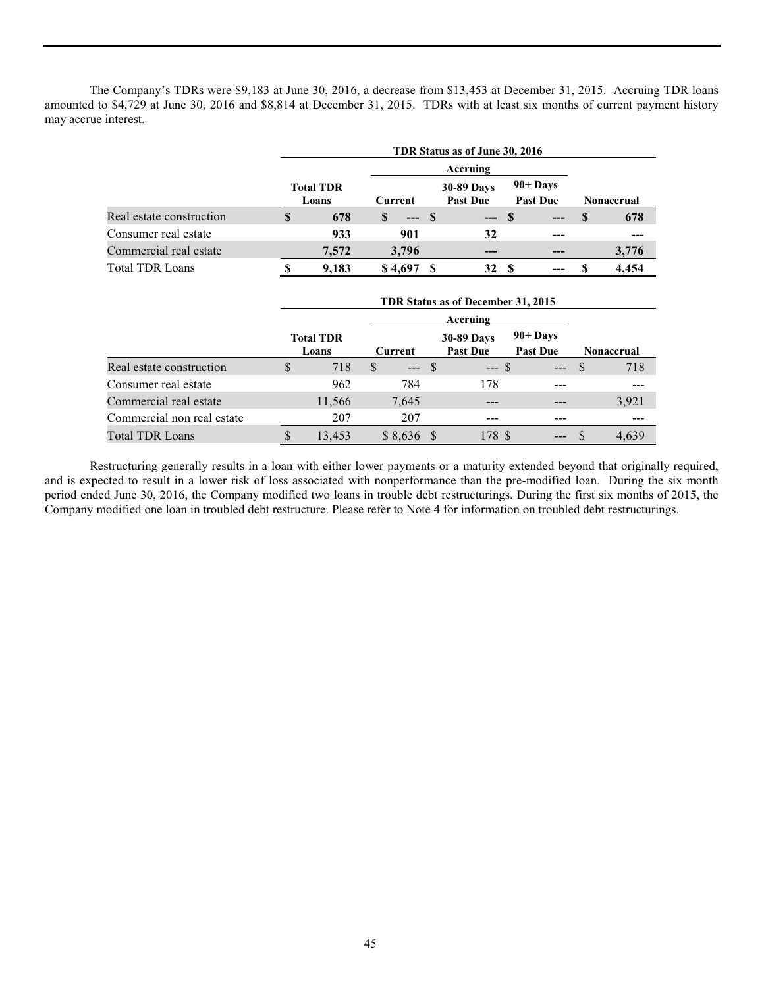The Company's TDRs were \$9,183 at June 30, 2016, a decrease from \$13,453 at December 31, 2015. Accruing TDR loans amounted to \$4,729 at June 30, 2016 and \$8,814 at December 31, 2015. TDRs with at least six months of current payment history may accrue interest.

|                          |    | TDR Status as of June 30, 2016 |             |                               |          |                                |     |                   |       |  |  |
|--------------------------|----|--------------------------------|-------------|-------------------------------|----------|--------------------------------|-----|-------------------|-------|--|--|
|                          |    |                                |             |                               | Accruing |                                |     |                   |       |  |  |
|                          |    | <b>Total TDR</b><br>Loans      |             | 30-89 Days<br><b>Past Due</b> |          | $90 +$ Days<br><b>Past Due</b> |     | <b>Nonaccrual</b> |       |  |  |
| Real estate construction | S  | 678                            | S<br>$--$ S |                               | $--$ \$  |                                | --- |                   | 678   |  |  |
| Consumer real estate     |    | 933                            | 901         |                               | 32       |                                |     |                   |       |  |  |
| Commercial real estate   |    | 7,572                          | 3,796       |                               | ---      |                                |     |                   | 3,776 |  |  |
| Total TDR Loans          | \$ | 9.183                          | \$4.697     |                               | 32       | - S                            |     |                   | 4.454 |  |  |

|                            |   |                  |   |                     |      | TDR Status as of December 31, 2015 |                 |    |                   |
|----------------------------|---|------------------|---|---------------------|------|------------------------------------|-----------------|----|-------------------|
|                            |   |                  |   |                     |      |                                    |                 |    |                   |
|                            |   | <b>Total TDR</b> |   |                     |      | 30-89 Days                         | $90 +$ Days     |    |                   |
|                            |   | Loans            |   | Current             |      | <b>Past Due</b>                    | <b>Past Due</b> |    | <b>Nonaccrual</b> |
| Real estate construction   | S | 718              | S | $\qquad \qquad - -$ | - \$ | $--$ \$                            | $---$           | -S | 718               |
| Consumer real estate       |   | 962              |   | 784                 |      | 178                                |                 |    |                   |
| Commercial real estate     |   | 11,566           |   | 7,645               |      | ---                                |                 |    | 3,921             |
| Commercial non real estate |   | 207              |   | 207                 |      |                                    |                 |    |                   |
| <b>Total TDR Loans</b>     |   | 13.453           |   | \$ 8.636            |      | 178 S                              |                 |    | 4,639             |

Restructuring generally results in a loan with either lower payments or a maturity extended beyond that originally required, and is expected to result in a lower risk of loss associated with nonperformance than the pre-modified loan. During the six month period ended June 30, 2016, the Company modified two loans in trouble debt restructurings. During the first six months of 2015, the Company modified one loan in troubled debt restructure. Please refer to Note 4 for information on troubled debt restructurings.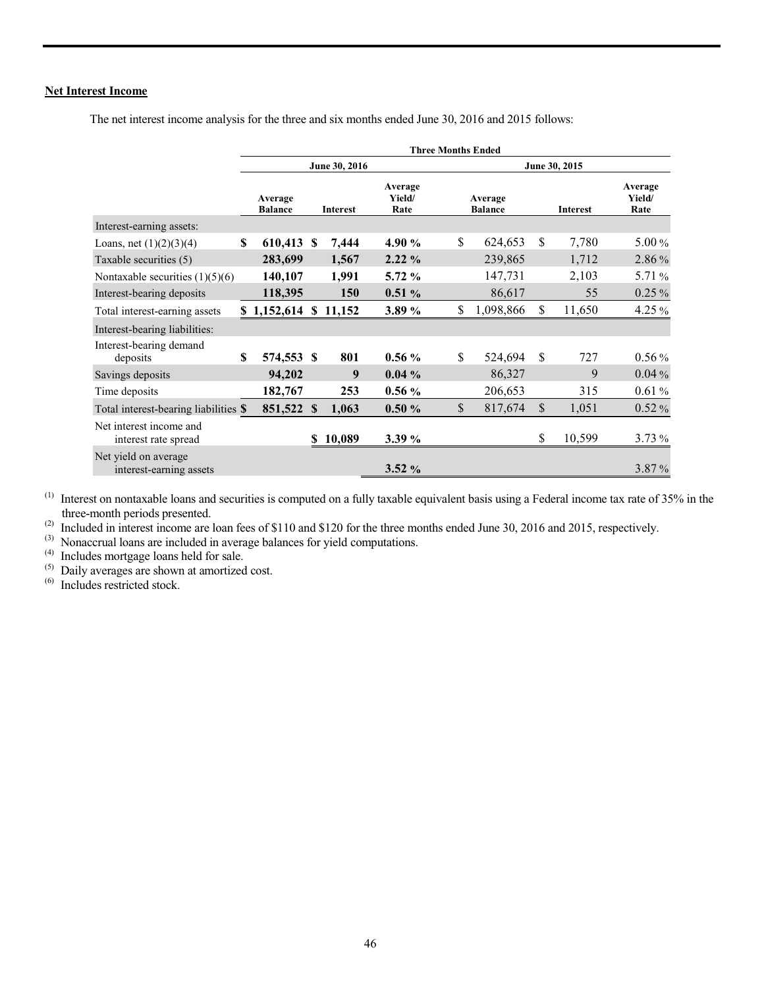# **Net Interest Income**

The net interest income analysis for the three and six months ended June 30, 2016 and 2015 follows:

|                                                 | <b>Three Months Ended</b> |          |                 |                           |               |                           |               |                 |                           |  |  |
|-------------------------------------------------|---------------------------|----------|-----------------|---------------------------|---------------|---------------------------|---------------|-----------------|---------------------------|--|--|
|                                                 |                           |          | June 30, 2016   |                           | June 30, 2015 |                           |               |                 |                           |  |  |
|                                                 | Average<br><b>Balance</b> |          | <b>Interest</b> | Average<br>Yield/<br>Rate |               | Average<br><b>Balance</b> |               | <b>Interest</b> | Average<br>Yield/<br>Rate |  |  |
| Interest-earning assets:                        |                           |          |                 |                           |               |                           |               |                 |                           |  |  |
| Loans, net $(1)(2)(3)(4)$                       | \$<br>610,413             | <b>S</b> | 7,444           | 4.90 %                    | \$            | 624,653                   | <sup>\$</sup> | 7,780           | 5.00%                     |  |  |
| Taxable securities (5)                          | 283,699                   |          | 1,567           | 2.22%                     |               | 239,865                   |               | 1,712           | 2.86%                     |  |  |
| Nontaxable securities $(1)(5)(6)$               | 140,107                   |          | 1,991           | 5.72 %                    |               | 147,731                   |               | 2,103           | 5.71%                     |  |  |
| Interest-bearing deposits                       | 118,395                   |          | 150             | 0.51%                     |               | 86,617                    |               | 55              | $0.25\%$                  |  |  |
| Total interest-earning assets                   | \$1,152,614 \$11,152      |          |                 | 3.89 %                    | \$            | 1,098,866                 | <sup>\$</sup> | 11,650          | 4.25%                     |  |  |
| Interest-bearing liabilities:                   |                           |          |                 |                           |               |                           |               |                 |                           |  |  |
| Interest-bearing demand<br>deposits             | \$<br>574,553 \$          |          | 801             | 0.56%                     | \$            | 524,694                   | \$            | 727             | $0.56\%$                  |  |  |
| Savings deposits                                | 94,202                    |          | 9               | 0.04%                     |               | 86,327                    |               | 9               | $0.04\%$                  |  |  |
| Time deposits                                   | 182,767                   |          | 253             | 0.56%                     |               | 206,653                   |               | 315             | 0.61%                     |  |  |
| Total interest-bearing liabilities \$           | 851,522 \$                |          | 1,063           | 0.50%                     | $\mathbb{S}$  | 817,674                   | $\mathbb{S}$  | 1,051           | $0.52\%$                  |  |  |
| Net interest income and<br>interest rate spread |                           |          | 10,089          | 3.39 %                    |               |                           | \$            | 10,599          | 3.73%                     |  |  |
| Net yield on average<br>interest-earning assets |                           |          |                 | 3.52%                     |               |                           |               |                 | 3.87%                     |  |  |

(1) Interest on nontaxable loans and securities is computed on a fully taxable equivalent basis using a Federal income tax rate of 35% in the three-month periods presented.

<sup>(2)</sup> Included in interest income are loan fees of \$110 and \$120 for the three months ended June 30, 2016 and 2015, respectively.

 $(3)$  Nonaccrual loans are included in average balances for yield computations.

(4) Includes mortgage loans held for sale.

(5) Daily averages are shown at amortized cost.

(6) Includes restricted stock.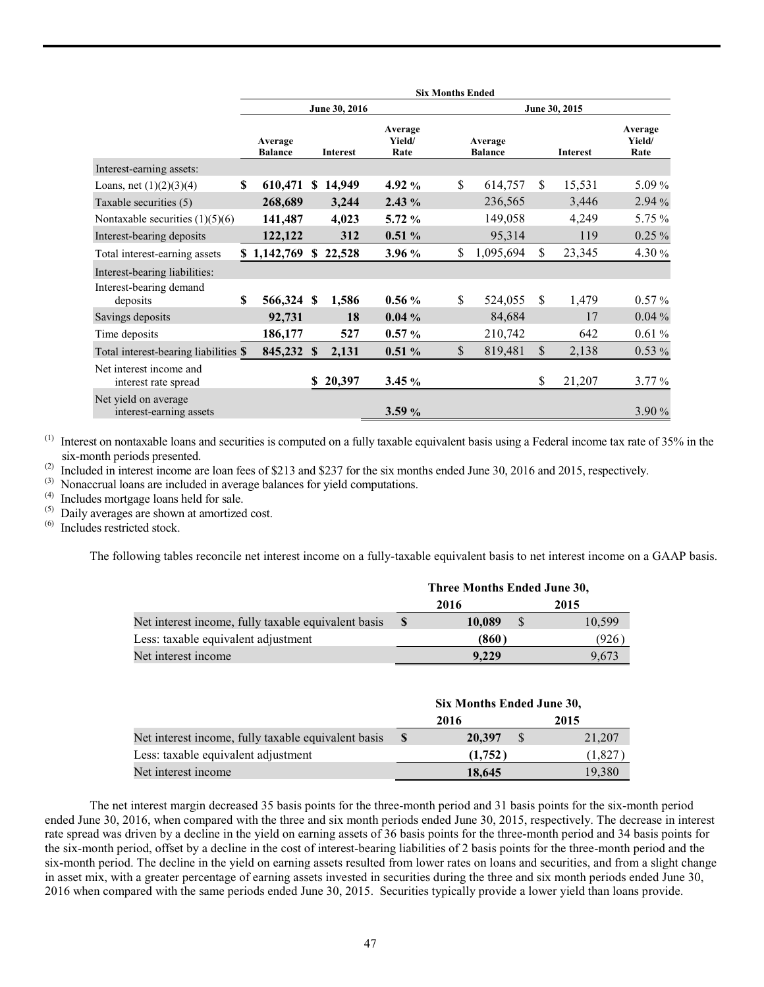|                                                 | <b>Six Months Ended</b>   |          |                 |                           |    |                           |               |                 |                           |  |  |  |
|-------------------------------------------------|---------------------------|----------|-----------------|---------------------------|----|---------------------------|---------------|-----------------|---------------------------|--|--|--|
|                                                 |                           |          | June 30, 2016   |                           |    | June 30, 2015             |               |                 |                           |  |  |  |
|                                                 | Average<br><b>Balance</b> |          | <b>Interest</b> | Average<br>Yield/<br>Rate |    | Average<br><b>Balance</b> |               | <b>Interest</b> | Average<br>Yield/<br>Rate |  |  |  |
| Interest-earning assets:                        |                           |          |                 |                           |    |                           |               |                 |                           |  |  |  |
| Loans, net $(1)(2)(3)(4)$                       | \$<br>610,471             | S.       | 14,949          | 4.92 %                    | \$ | 614,757                   | <sup>\$</sup> | 15,531          | 5.09%                     |  |  |  |
| Taxable securities (5)                          | 268,689                   |          | 3,244           | 2.43 %                    |    | 236,565                   |               | 3,446           | 2.94 %                    |  |  |  |
| Nontaxable securities $(1)(5)(6)$               | 141,487                   |          | 4,023           | 5.72 %                    |    | 149,058                   |               | 4,249           | 5.75%                     |  |  |  |
| Interest-bearing deposits                       | 122,122                   |          | 312             | 0.51%                     |    | 95,314                    |               | 119             | 0.25%                     |  |  |  |
| Total interest-earning assets                   | \$1,142,769               |          | \$22,528        | 3.96 %                    | \$ | 1,095,694                 | S.            | 23,345          | 4.30%                     |  |  |  |
| Interest-bearing liabilities:                   |                           |          |                 |                           |    |                           |               |                 |                           |  |  |  |
| Interest-bearing demand<br>deposits             | \$<br>566,324             | S        | 1,586           | 0.56%                     | \$ | 524,055                   | <sup>\$</sup> | 1,479           | $0.57\%$                  |  |  |  |
| Savings deposits                                | 92,731                    |          | 18              | 0.04%                     |    | 84,684                    |               | 17              | $0.04\%$                  |  |  |  |
| Time deposits                                   | 186,177                   |          | 527             | 0.57%                     |    | 210,742                   |               | 642             | 0.61%                     |  |  |  |
| Total interest-bearing liabilities \$           | 845,232                   | <b>S</b> | 2,131           | 0.51%                     | \$ | 819,481                   | $\mathbb{S}$  | 2,138           | $0.53\%$                  |  |  |  |
| Net interest income and<br>interest rate spread |                           | S        | 20,397          | 3.45%                     |    |                           | <sup>\$</sup> | 21,207          | 3.77%                     |  |  |  |
| Net yield on average<br>interest-earning assets |                           |          |                 | 3.59 %                    |    |                           |               |                 | 3.90%                     |  |  |  |

 $(1)$  Interest on nontaxable loans and securities is computed on a fully taxable equivalent basis using a Federal income tax rate of 35% in the six-month periods presented.

(2) Included in interest income are loan fees of \$213 and \$237 for the six months ended June 30, 2016 and 2015, respectively.

(3) Nonaccrual loans are included in average balances for yield computations.

 $(4)$  Includes mortgage loans held for sale.<br> $(5)$  Daily averages are shown at amortized

 $^{(5)}$  Daily averages are shown at amortized cost.<br> $^{(6)}$  Includes restricted stock

Includes restricted stock.

The following tables reconcile net interest income on a fully-taxable equivalent basis to net interest income on a GAAP basis.

|                                                     | Three Months Ended June 30, |        |    |        |  |  |
|-----------------------------------------------------|-----------------------------|--------|----|--------|--|--|
|                                                     |                             | 2016   |    | 2015   |  |  |
| Net interest income, fully taxable equivalent basis | -8                          | 10.089 | -S | 10.599 |  |  |
| Less: taxable equivalent adjustment                 |                             | (860)  |    | (926)  |  |  |
| Net interest income                                 |                             | 9.229  |    | 9.673  |  |  |

|                                                     | Six Months Ended June 30, |         |              |        |  |  |
|-----------------------------------------------------|---------------------------|---------|--------------|--------|--|--|
|                                                     |                           | 2016    |              | 2015   |  |  |
| Net interest income, fully taxable equivalent basis |                           | 20.397  | <sup>S</sup> | 21,207 |  |  |
| Less: taxable equivalent adjustment                 |                           | (1,752) |              | (1,827 |  |  |
| Net interest income                                 |                           | 18,645  |              | 19,380 |  |  |

The net interest margin decreased 35 basis points for the three-month period and 31 basis points for the six-month period ended June 30, 2016, when compared with the three and six month periods ended June 30, 2015, respectively. The decrease in interest rate spread was driven by a decline in the yield on earning assets of 36 basis points for the three-month period and 34 basis points for the six-month period, offset by a decline in the cost of interest-bearing liabilities of 2 basis points for the three-month period and the six-month period. The decline in the yield on earning assets resulted from lower rates on loans and securities, and from a slight change in asset mix, with a greater percentage of earning assets invested in securities during the three and six month periods ended June 30, 2016 when compared with the same periods ended June 30, 2015. Securities typically provide a lower yield than loans provide.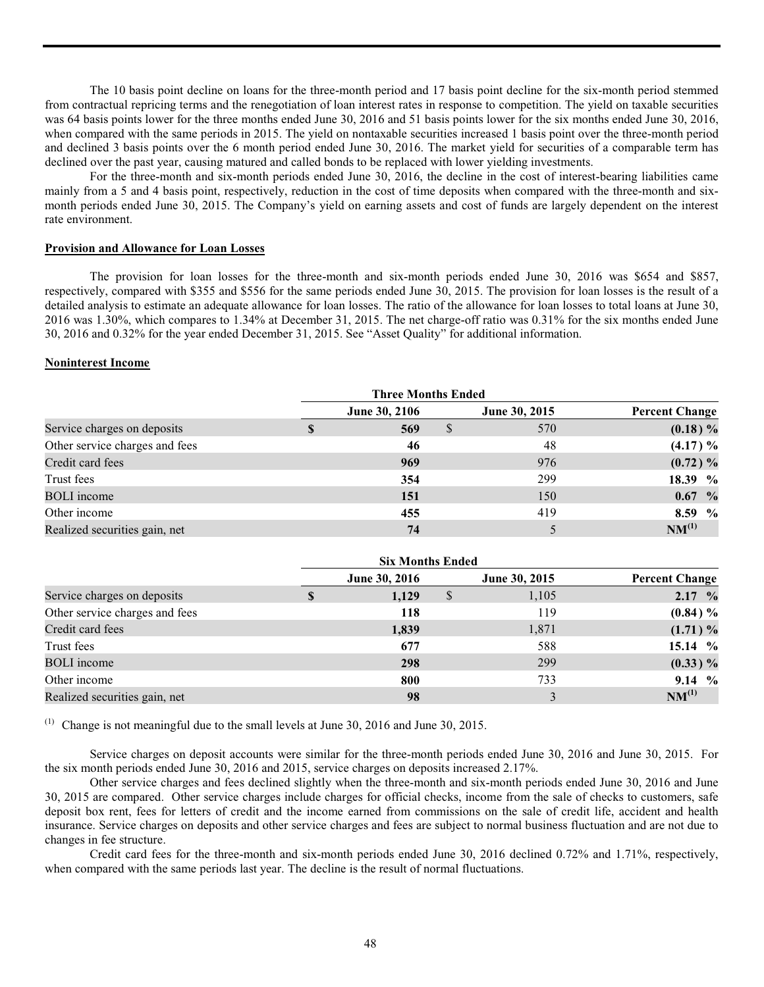The 10 basis point decline on loans for the three-month period and 17 basis point decline for the six-month period stemmed from contractual repricing terms and the renegotiation of loan interest rates in response to competition. The yield on taxable securities was 64 basis points lower for the three months ended June 30, 2016 and 51 basis points lower for the six months ended June 30, 2016, when compared with the same periods in 2015. The yield on nontaxable securities increased 1 basis point over the three-month period and declined 3 basis points over the 6 month period ended June 30, 2016. The market yield for securities of a comparable term has declined over the past year, causing matured and called bonds to be replaced with lower yielding investments.

For the three-month and six-month periods ended June 30, 2016, the decline in the cost of interest-bearing liabilities came mainly from a 5 and 4 basis point, respectively, reduction in the cost of time deposits when compared with the three-month and sixmonth periods ended June 30, 2015. The Company's yield on earning assets and cost of funds are largely dependent on the interest rate environment.

#### **Provision and Allowance for Loan Losses**

The provision for loan losses for the three-month and six-month periods ended June 30, 2016 was \$654 and \$857, respectively, compared with \$355 and \$556 for the same periods ended June 30, 2015. The provision for loan losses is the result of a detailed analysis to estimate an adequate allowance for loan losses. The ratio of the allowance for loan losses to total loans at June 30, 2016 was 1.30%, which compares to 1.34% at December 31, 2015. The net charge-off ratio was 0.31% for the six months ended June 30, 2016 and 0.32% for the year ended December 31, 2015. See "Asset Quality" for additional information.

#### **Noninterest Income**

|                                | <b>Three Months Ended</b> |   |               |                       |
|--------------------------------|---------------------------|---|---------------|-----------------------|
|                                | <b>June 30, 2106</b>      |   | June 30, 2015 | <b>Percent Change</b> |
| Service charges on deposits    | 569                       | S | 570           | $(0.18) \%$           |
| Other service charges and fees | 46                        |   | 48            | (4.17) %              |
| Credit card fees               | 969                       |   | 976           | $(0.72) \%$           |
| Trust fees                     | 354                       |   | 299           | 18.39 %               |
| <b>BOLI</b> income             | 151                       |   | 150           | $0.67\%$              |
| Other income                   | 455                       |   | 419           | 8.59%                 |
| Realized securities gain, net  | 74                        |   |               | $NM^{(1)}$            |

|                                |   | <b>Six Months Ended</b> |               |       |                       |
|--------------------------------|---|-------------------------|---------------|-------|-----------------------|
|                                |   | <b>June 30, 2016</b>    | June 30, 2015 |       | <b>Percent Change</b> |
| Service charges on deposits    | S | 1,129                   | <sup>\$</sup> | 1,105 | $2.17\%$              |
| Other service charges and fees |   | 118                     |               | 119   | $(0.84) \%$           |
| Credit card fees               |   | 1,839                   |               | 1,871 | $(1.71) \%$           |
| Trust fees                     |   | 677                     |               | 588   | 15.14 %               |
| <b>BOLI</b> income             |   | 298                     |               | 299   | $(0.33) \%$           |
| Other income                   |   | 800                     |               | 733   | 9.14%                 |
| Realized securities gain, net  |   | 98                      |               |       | $NM^{(1)}$            |

 $(1)$  Change is not meaningful due to the small levels at June 30, 2016 and June 30, 2015.

Service charges on deposit accounts were similar for the three-month periods ended June 30, 2016 and June 30, 2015. For the six month periods ended June 30, 2016 and 2015, service charges on deposits increased 2.17%.

Other service charges and fees declined slightly when the three-month and six-month periods ended June 30, 2016 and June 30, 2015 are compared. Other service charges include charges for official checks, income from the sale of checks to customers, safe deposit box rent, fees for letters of credit and the income earned from commissions on the sale of credit life, accident and health insurance. Service charges on deposits and other service charges and fees are subject to normal business fluctuation and are not due to changes in fee structure.

Credit card fees for the three-month and six-month periods ended June 30, 2016 declined 0.72% and 1.71%, respectively, when compared with the same periods last year. The decline is the result of normal fluctuations.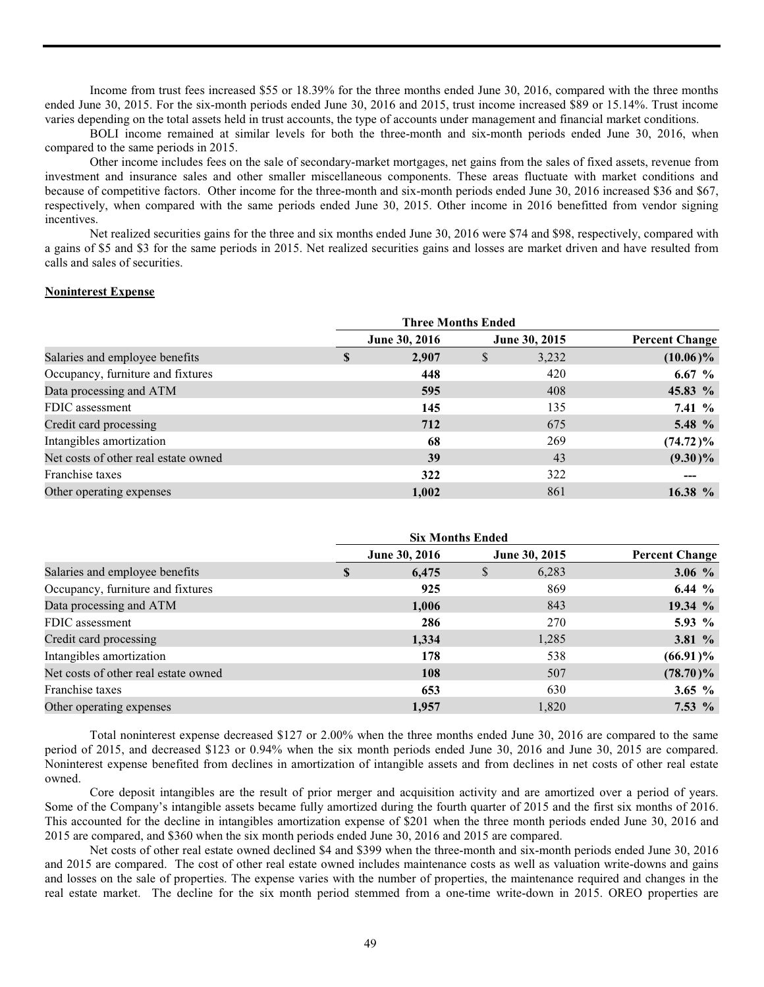Income from trust fees increased \$55 or 18.39% for the three months ended June 30, 2016, compared with the three months ended June 30, 2015. For the six-month periods ended June 30, 2016 and 2015, trust income increased \$89 or 15.14%. Trust income varies depending on the total assets held in trust accounts, the type of accounts under management and financial market conditions.

BOLI income remained at similar levels for both the three-month and six-month periods ended June 30, 2016, when compared to the same periods in 2015.

Other income includes fees on the sale of secondary-market mortgages, net gains from the sales of fixed assets, revenue from investment and insurance sales and other smaller miscellaneous components. These areas fluctuate with market conditions and because of competitive factors. Other income for the three-month and six-month periods ended June 30, 2016 increased \$36 and \$67, respectively, when compared with the same periods ended June 30, 2015. Other income in 2016 benefitted from vendor signing incentives.

Net realized securities gains for the three and six months ended June 30, 2016 were \$74 and \$98, respectively, compared with a gains of \$5 and \$3 for the same periods in 2015. Net realized securities gains and losses are market driven and have resulted from calls and sales of securities.

#### **Noninterest Expense**

|                                      | <b>Three Months Ended</b> |                      |    |               |                       |  |  |  |
|--------------------------------------|---------------------------|----------------------|----|---------------|-----------------------|--|--|--|
|                                      |                           | <b>June 30, 2016</b> |    | June 30, 2015 | <b>Percent Change</b> |  |  |  |
| Salaries and employee benefits       | S                         | 2,907                | \$ | 3,232         | $(10.06)\%$           |  |  |  |
| Occupancy, furniture and fixtures    |                           | 448                  |    | 420           | 6.67 $%$              |  |  |  |
| Data processing and ATM              |                           | 595                  |    | 408           | 45.83 $\%$            |  |  |  |
| FDIC assessment                      |                           | 145                  |    | 135           | $7.41\%$              |  |  |  |
| Credit card processing               |                           | 712                  |    | 675           | 5.48 $%$              |  |  |  |
| Intangibles amortization             |                           | 68                   |    | 269           | $(74.72)\%$           |  |  |  |
| Net costs of other real estate owned |                           | 39                   |    | 43            | $(9.30)\%$            |  |  |  |
| Franchise taxes                      |                           | 322                  |    | 322           | ---                   |  |  |  |
| Other operating expenses             |                           | 1,002                |    | 861           | $16.38 \%$            |  |  |  |

|                                      |   | <b>June 30, 2016</b> |   |       | <b>Percent Change</b> |
|--------------------------------------|---|----------------------|---|-------|-----------------------|
| Salaries and employee benefits       | S | 6,475                | S | 6,283 | 3.06 $%$              |
| Occupancy, furniture and fixtures    |   | 925                  |   | 869   | 6.44 $%$              |
| Data processing and ATM              |   | 1,006                |   | 843   | 19.34 %               |
| FDIC assessment                      |   | 286                  |   | 270   | 5.93 $%$              |
| Credit card processing               |   | 1,334                |   | 1,285 | 3.81 $%$              |
| Intangibles amortization             |   | 178                  |   | 538   | $(66.91)\%$           |
| Net costs of other real estate owned |   | 108                  |   | 507   | $(78.70)\%$           |
| Franchise taxes                      |   | 653                  |   | 630   | 3.65 $%$              |
| Other operating expenses             |   | 1,957                |   | 1,820 | $7.53~\%$             |

Total noninterest expense decreased \$127 or 2.00% when the three months ended June 30, 2016 are compared to the same period of 2015, and decreased \$123 or 0.94% when the six month periods ended June 30, 2016 and June 30, 2015 are compared. Noninterest expense benefited from declines in amortization of intangible assets and from declines in net costs of other real estate owned.

Core deposit intangibles are the result of prior merger and acquisition activity and are amortized over a period of years. Some of the Company's intangible assets became fully amortized during the fourth quarter of 2015 and the first six months of 2016. This accounted for the decline in intangibles amortization expense of \$201 when the three month periods ended June 30, 2016 and 2015 are compared, and \$360 when the six month periods ended June 30, 2016 and 2015 are compared.

Net costs of other real estate owned declined \$4 and \$399 when the three-month and six-month periods ended June 30, 2016 and 2015 are compared. The cost of other real estate owned includes maintenance costs as well as valuation write-downs and gains and losses on the sale of properties. The expense varies with the number of properties, the maintenance required and changes in the real estate market. The decline for the six month period stemmed from a one-time write-down in 2015. OREO properties are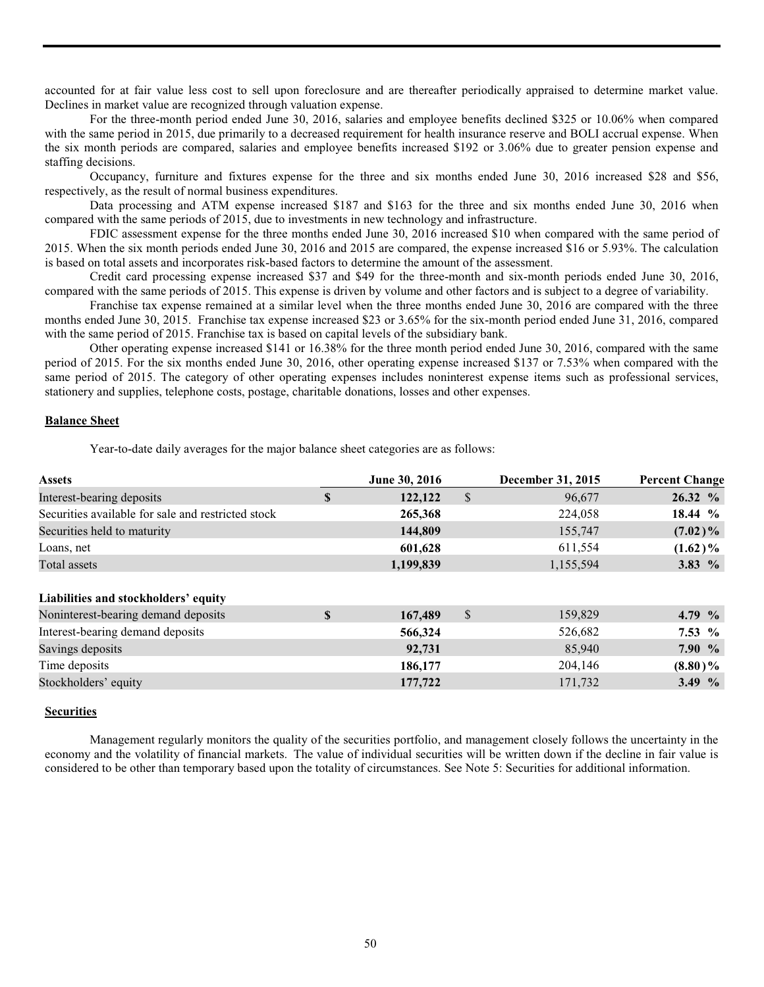accounted for at fair value less cost to sell upon foreclosure and are thereafter periodically appraised to determine market value. Declines in market value are recognized through valuation expense.

For the three-month period ended June 30, 2016, salaries and employee benefits declined \$325 or 10.06% when compared with the same period in 2015, due primarily to a decreased requirement for health insurance reserve and BOLI accrual expense. When the six month periods are compared, salaries and employee benefits increased \$192 or 3.06% due to greater pension expense and staffing decisions.

Occupancy, furniture and fixtures expense for the three and six months ended June 30, 2016 increased \$28 and \$56, respectively, as the result of normal business expenditures.

Data processing and ATM expense increased \$187 and \$163 for the three and six months ended June 30, 2016 when compared with the same periods of 2015, due to investments in new technology and infrastructure.

FDIC assessment expense for the three months ended June 30, 2016 increased \$10 when compared with the same period of 2015. When the six month periods ended June 30, 2016 and 2015 are compared, the expense increased \$16 or 5.93%. The calculation is based on total assets and incorporates risk-based factors to determine the amount of the assessment.

Credit card processing expense increased \$37 and \$49 for the three-month and six-month periods ended June 30, 2016, compared with the same periods of 2015. This expense is driven by volume and other factors and is subject to a degree of variability.

Franchise tax expense remained at a similar level when the three months ended June 30, 2016 are compared with the three months ended June 30, 2015. Franchise tax expense increased \$23 or 3.65% for the six-month period ended June 31, 2016, compared with the same period of 2015. Franchise tax is based on capital levels of the subsidiary bank.

Other operating expense increased \$141 or 16.38% for the three month period ended June 30, 2016, compared with the same period of 2015. For the six months ended June 30, 2016, other operating expense increased \$137 or 7.53% when compared with the same period of 2015. The category of other operating expenses includes noninterest expense items such as professional services, stationery and supplies, telephone costs, postage, charitable donations, losses and other expenses.

#### **Balance Sheet**

Year-to-date daily averages for the major balance sheet categories are as follows:

| <b>Assets</b>                                      | <b>June 30, 2016</b> |               | <b>December 31, 2015</b> | <b>Percent Change</b> |
|----------------------------------------------------|----------------------|---------------|--------------------------|-----------------------|
| Interest-bearing deposits                          | \$<br>122,122        | $\mathcal{S}$ | 96,677                   | $26.32 \%$            |
| Securities available for sale and restricted stock | 265,368              |               | 224,058                  | 18.44 %               |
| Securities held to maturity                        | 144,809              |               | 155,747                  | $(7.02)\%$            |
| Loans, net                                         | 601,628              |               | 611,554                  | $(1.62)\%$            |
| Total assets                                       | 1,199,839            |               | 1,155,594                | 3.83 $%$              |
| Liabilities and stockholders' equity               |                      |               |                          |                       |
| Noninterest-bearing demand deposits                | \$<br>167,489        | $\mathcal{S}$ | 159,829                  | 4.79 $%$              |
| Interest-bearing demand deposits                   | 566,324              |               | 526,682                  | $7.53\,%$             |
| Savings deposits                                   | 92,731               |               | 85,940                   | $7.90\%$              |
| Time deposits                                      | 186,177              |               | 204,146                  | $(8.80)\%$            |
| Stockholders' equity                               | 177,722              |               | 171,732                  | 3.49 $\%$             |

#### **Securities**

Management regularly monitors the quality of the securities portfolio, and management closely follows the uncertainty in the economy and the volatility of financial markets. The value of individual securities will be written down if the decline in fair value is considered to be other than temporary based upon the totality of circumstances. See Note 5: Securities for additional information.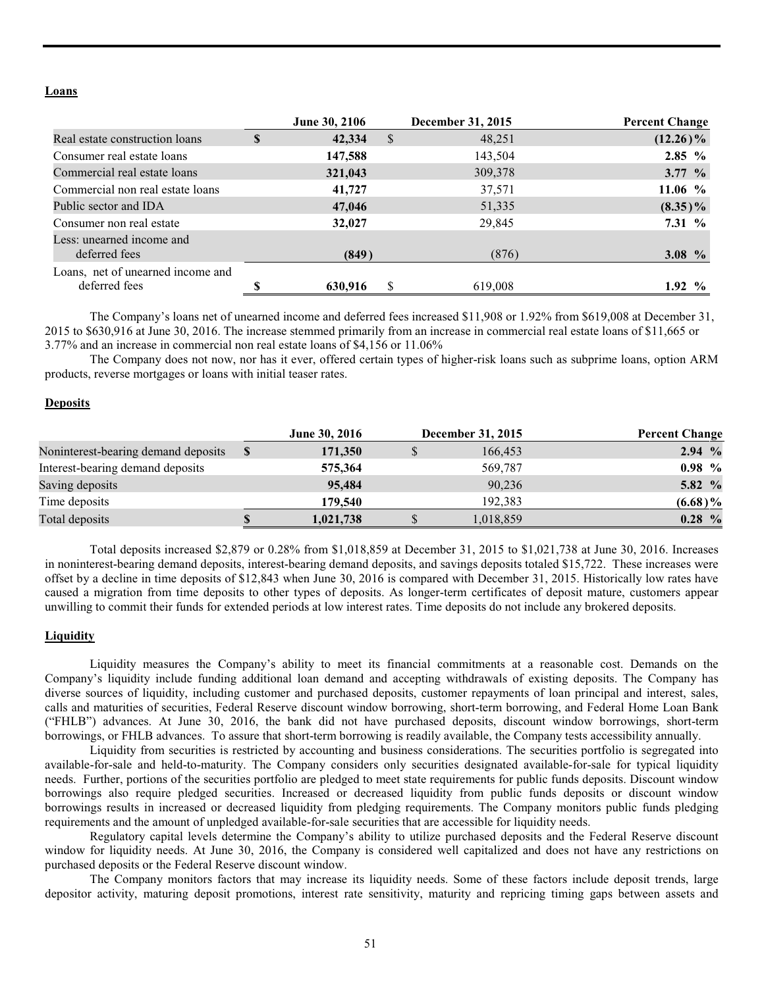#### **Loans**

|                                                    |   | June 30, 2106 |               | December 31, 2015 | <b>Percent Change</b> |
|----------------------------------------------------|---|---------------|---------------|-------------------|-----------------------|
| Real estate construction loans                     | S | 42,334        | $\mathcal{S}$ | 48,251            | $(12.26)\%$           |
| Consumer real estate loans                         |   | 147,588       |               | 143,504           | $2.85\,%$             |
| Commercial real estate loans                       |   | 321,043       |               | 309,378           | 3.77 $\%$             |
| Commercial non real estate loans                   |   | 41,727        |               | 37,571            | 11.06 $%$             |
| Public sector and IDA                              |   | 47,046        |               | 51,335            | $(8.35)\%$            |
| Consumer non real estate                           |   | 32,027        |               | 29,845            | $7.31~\%$             |
| Less: unearned income and<br>deferred fees         |   | (849)         |               | (876)             | 3.08 $%$              |
| Loans, net of unearned income and<br>deferred fees |   | 630,916       | S             | 619,008           | 1.92 $%$              |

The Company's loans net of unearned income and deferred fees increased \$11,908 or 1.92% from \$619,008 at December 31, 2015 to \$630,916 at June 30, 2016. The increase stemmed primarily from an increase in commercial real estate loans of \$11,665 or 3.77% and an increase in commercial non real estate loans of \$4,156 or 11.06%

The Company does not now, nor has it ever, offered certain types of higher-risk loans such as subprime loans, option ARM products, reverse mortgages or loans with initial teaser rates.

# **Deposits**

|                                     | <b>June 30, 2016</b> | December 31, 2015 | <b>Percent Change</b> |
|-------------------------------------|----------------------|-------------------|-----------------------|
| Noninterest-bearing demand deposits | 171,350              | 166,453           | $2.94\%$              |
| Interest-bearing demand deposits    | 575,364              | 569,787           | $0.98\,%$             |
| Saving deposits                     | 95,484               | 90,236            | 5.82 %                |
| Time deposits                       | 179,540              | 192.383           | $(6.68)\%$            |
| Total deposits                      | 1,021,738            | 1,018,859         | $0.28\,%$             |

Total deposits increased \$2,879 or 0.28% from \$1,018,859 at December 31, 2015 to \$1,021,738 at June 30, 2016. Increases in noninterest-bearing demand deposits, interest-bearing demand deposits, and savings deposits totaled \$15,722. These increases were offset by a decline in time deposits of \$12,843 when June 30, 2016 is compared with December 31, 2015. Historically low rates have caused a migration from time deposits to other types of deposits. As longer-term certificates of deposit mature, customers appear unwilling to commit their funds for extended periods at low interest rates. Time deposits do not include any brokered deposits.

# **Liquidity**

Liquidity measures the Company's ability to meet its financial commitments at a reasonable cost. Demands on the Company's liquidity include funding additional loan demand and accepting withdrawals of existing deposits. The Company has diverse sources of liquidity, including customer and purchased deposits, customer repayments of loan principal and interest, sales, calls and maturities of securities, Federal Reserve discount window borrowing, short-term borrowing, and Federal Home Loan Bank ("FHLB") advances. At June 30, 2016, the bank did not have purchased deposits, discount window borrowings, short-term borrowings, or FHLB advances. To assure that short-term borrowing is readily available, the Company tests accessibility annually.

Liquidity from securities is restricted by accounting and business considerations. The securities portfolio is segregated into available-for-sale and held-to-maturity. The Company considers only securities designated available-for-sale for typical liquidity needs. Further, portions of the securities portfolio are pledged to meet state requirements for public funds deposits. Discount window borrowings also require pledged securities. Increased or decreased liquidity from public funds deposits or discount window borrowings results in increased or decreased liquidity from pledging requirements. The Company monitors public funds pledging requirements and the amount of unpledged available-for-sale securities that are accessible for liquidity needs.

Regulatory capital levels determine the Company's ability to utilize purchased deposits and the Federal Reserve discount window for liquidity needs. At June 30, 2016, the Company is considered well capitalized and does not have any restrictions on purchased deposits or the Federal Reserve discount window.

The Company monitors factors that may increase its liquidity needs. Some of these factors include deposit trends, large depositor activity, maturing deposit promotions, interest rate sensitivity, maturity and repricing timing gaps between assets and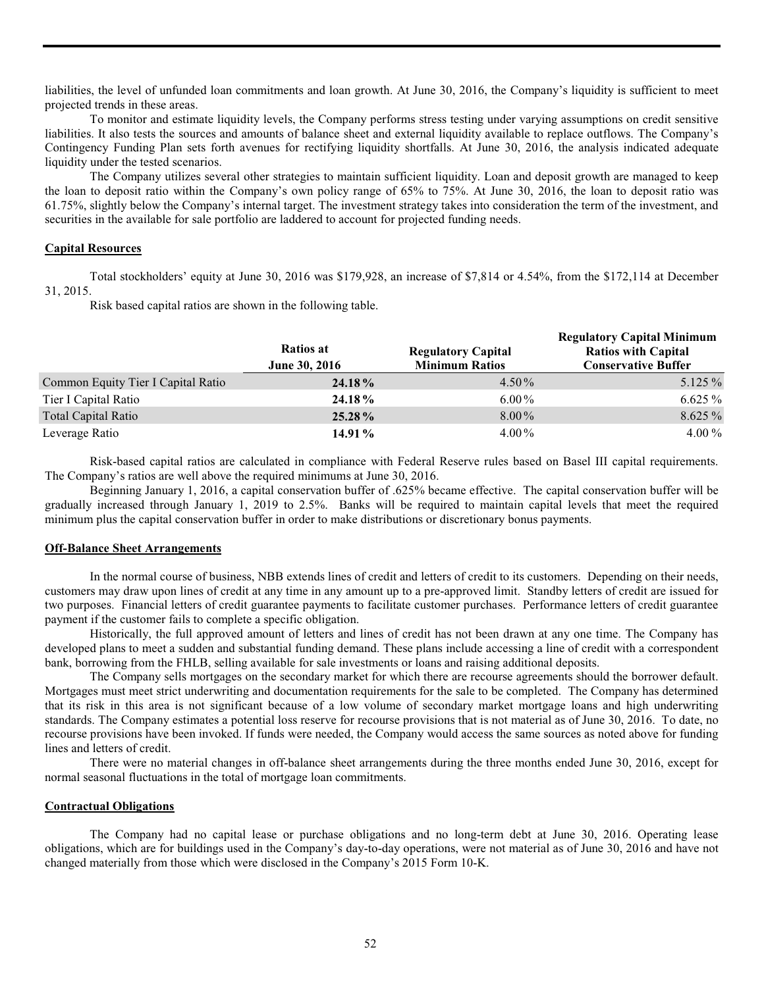liabilities, the level of unfunded loan commitments and loan growth. At June 30, 2016, the Company's liquidity is sufficient to meet projected trends in these areas.

To monitor and estimate liquidity levels, the Company performs stress testing under varying assumptions on credit sensitive liabilities. It also tests the sources and amounts of balance sheet and external liquidity available to replace outflows. The Company's Contingency Funding Plan sets forth avenues for rectifying liquidity shortfalls. At June 30, 2016, the analysis indicated adequate liquidity under the tested scenarios.

The Company utilizes several other strategies to maintain sufficient liquidity. Loan and deposit growth are managed to keep the loan to deposit ratio within the Company's own policy range of 65% to 75%. At June 30, 2016, the loan to deposit ratio was 61.75%, slightly below the Company's internal target. The investment strategy takes into consideration the term of the investment, and securities in the available for sale portfolio are laddered to account for projected funding needs.

#### **Capital Resources**

Total stockholders' equity at June 30, 2016 was \$179,928, an increase of \$7,814 or 4.54%, from the \$172,114 at December 31, 2015.

Risk based capital ratios are shown in the following table.

|                                    | Ratios at<br><b>June 30, 2016</b> | <b>Regulatory Capital</b><br><b>Minimum Ratios</b> | <b>Regulatory Capital Minimum</b><br><b>Ratios with Capital</b><br><b>Conservative Buffer</b> |
|------------------------------------|-----------------------------------|----------------------------------------------------|-----------------------------------------------------------------------------------------------|
| Common Equity Tier I Capital Ratio | <b>24.18%</b>                     | $4.50\%$                                           | $5.125\%$                                                                                     |
| Tier I Capital Ratio               | 24.18%                            | $6.00\%$                                           | $6.625\%$                                                                                     |
| Total Capital Ratio                | 25.28%                            | $8.00\%$                                           | $8.625\%$                                                                                     |
| Leverage Ratio                     | 14.91 %                           | $4.00\%$                                           | 4.00 $\%$                                                                                     |

Risk-based capital ratios are calculated in compliance with Federal Reserve rules based on Basel III capital requirements. The Company's ratios are well above the required minimums at June 30, 2016.

Beginning January 1, 2016, a capital conservation buffer of .625% became effective. The capital conservation buffer will be gradually increased through January 1, 2019 to 2.5%. Banks will be required to maintain capital levels that meet the required minimum plus the capital conservation buffer in order to make distributions or discretionary bonus payments.

#### **Off-Balance Sheet Arrangements**

In the normal course of business, NBB extends lines of credit and letters of credit to its customers. Depending on their needs, customers may draw upon lines of credit at any time in any amount up to a pre-approved limit. Standby letters of credit are issued for two purposes. Financial letters of credit guarantee payments to facilitate customer purchases. Performance letters of credit guarantee payment if the customer fails to complete a specific obligation.

Historically, the full approved amount of letters and lines of credit has not been drawn at any one time. The Company has developed plans to meet a sudden and substantial funding demand. These plans include accessing a line of credit with a correspondent bank, borrowing from the FHLB, selling available for sale investments or loans and raising additional deposits.

The Company sells mortgages on the secondary market for which there are recourse agreements should the borrower default. Mortgages must meet strict underwriting and documentation requirements for the sale to be completed. The Company has determined that its risk in this area is not significant because of a low volume of secondary market mortgage loans and high underwriting standards. The Company estimates a potential loss reserve for recourse provisions that is not material as of June 30, 2016. To date, no recourse provisions have been invoked. If funds were needed, the Company would access the same sources as noted above for funding lines and letters of credit.

There were no material changes in off-balance sheet arrangements during the three months ended June 30, 2016, except for normal seasonal fluctuations in the total of mortgage loan commitments.

#### **Contractual Obligations**

The Company had no capital lease or purchase obligations and no long-term debt at June 30, 2016. Operating lease obligations, which are for buildings used in the Company's day-to-day operations, were not material as of June 30, 2016 and have not changed materially from those which were disclosed in the Company's 2015 Form 10-K.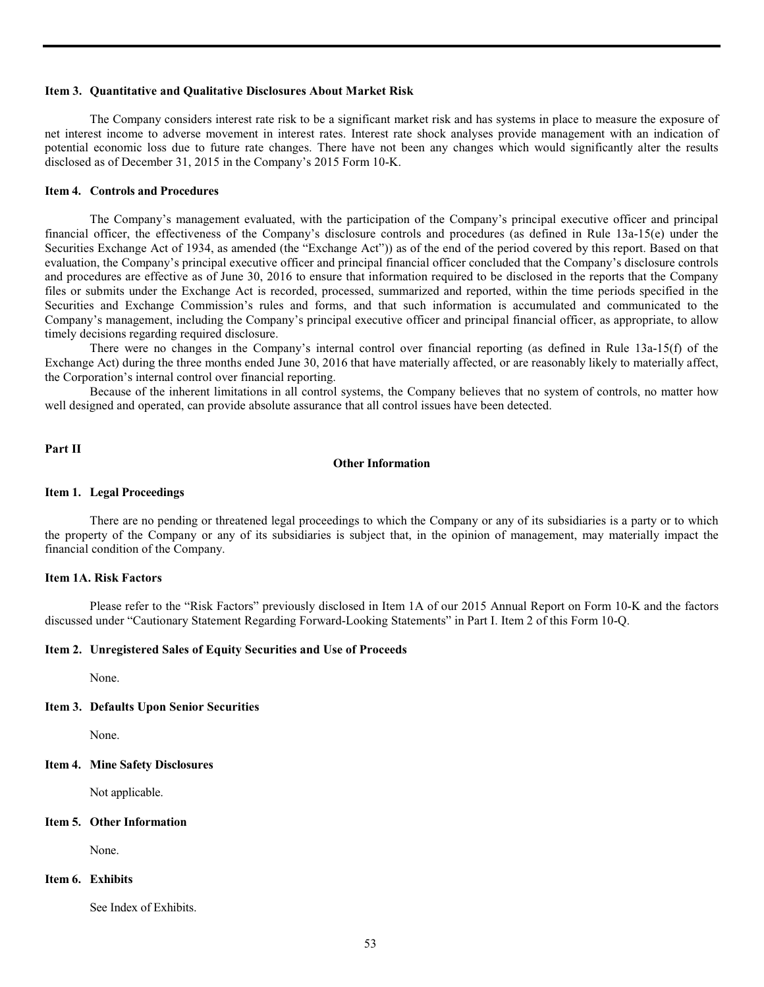#### <span id="page-52-0"></span>**Item 3. Quantitative and Qualitative Disclosures About Market Risk**

The Company considers interest rate risk to be a significant market risk and has systems in place to measure the exposure of net interest income to adverse movement in interest rates. Interest rate shock analyses provide management with an indication of potential economic loss due to future rate changes. There have not been any changes which would significantly alter the results disclosed as of December 31, 2015 in the Company's 2015 Form 10-K.

#### <span id="page-52-1"></span>**Item 4. Controls and Procedures**

The Company's management evaluated, with the participation of the Company's principal executive officer and principal financial officer, the effectiveness of the Company's disclosure controls and procedures (as defined in Rule 13a-15(e) under the Securities Exchange Act of 1934, as amended (the "Exchange Act")) as of the end of the period covered by this report. Based on that evaluation, the Company's principal executive officer and principal financial officer concluded that the Company's disclosure controls and procedures are effective as of June 30, 2016 to ensure that information required to be disclosed in the reports that the Company files or submits under the Exchange Act is recorded, processed, summarized and reported, within the time periods specified in the Securities and Exchange Commission's rules and forms, and that such information is accumulated and communicated to the Company's management, including the Company's principal executive officer and principal financial officer, as appropriate, to allow timely decisions regarding required disclosure.

There were no changes in the Company's internal control over financial reporting (as defined in Rule 13a-15(f) of the Exchange Act) during the three months ended June 30, 2016 that have materially affected, or are reasonably likely to materially affect, the Corporation's internal control over financial reporting.

Because of the inherent limitations in all control systems, the Company believes that no system of controls, no matter how well designed and operated, can provide absolute assurance that all control issues have been detected.

# <span id="page-52-2"></span>**Part II**

#### **Other Information**

#### <span id="page-52-3"></span>**Item 1. Legal Proceedings**

There are no pending or threatened legal proceedings to which the Company or any of its subsidiaries is a party or to which the property of the Company or any of its subsidiaries is subject that, in the opinion of management, may materially impact the financial condition of the Company.

#### <span id="page-52-4"></span>**Item 1A. Risk Factors**

Please refer to the "Risk Factors" previously disclosed in Item 1A of our 2015 Annual Report on Form 10-K and the factors discussed under "Cautionary Statement Regarding Forward-Looking Statements" in Part I. Item 2 of this Form 10-Q.

#### <span id="page-52-5"></span>**Item 2. Unregistered Sales of Equity Securities and Use of Proceeds**

None.

#### <span id="page-52-6"></span>**Item 3. Defaults Upon Senior Securities**

None.

#### <span id="page-52-7"></span>**Item 4. Mine Safety Disclosures**

Not applicable.

#### <span id="page-52-8"></span>**Item 5. Other Information**

None.

#### <span id="page-52-9"></span>**Item 6. Exhibits**

See Index of Exhibits.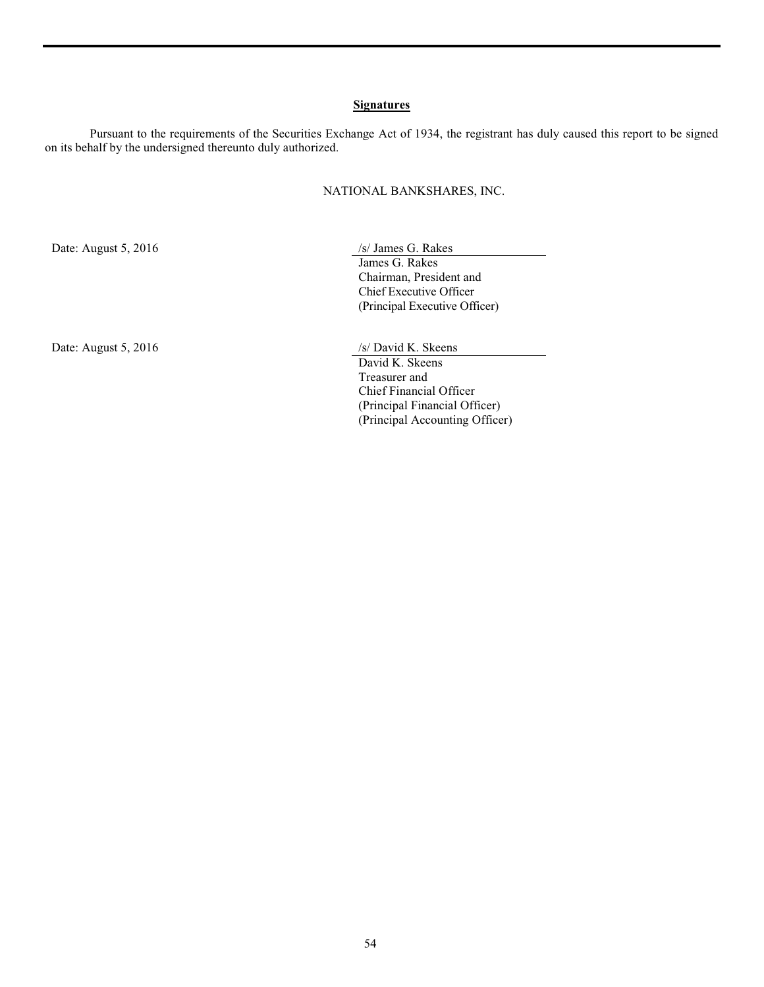#### **Signatures**

<span id="page-53-0"></span>Pursuant to the requirements of the Securities Exchange Act of 1934, the registrant has duly caused this report to be signed on its behalf by the undersigned thereunto duly authorized.

NATIONAL BANKSHARES, INC.

Date: August 5, 2016 /s/ James G. Rakes

James G. Rakes Chairman, President and Chief Executive Officer (Principal Executive Officer)

Date: August 5, 2016 /s/ David K. Skeens

David K. Skeens Treasurer and Chief Financial Officer (Principal Financial Officer) (Principal Accounting Officer)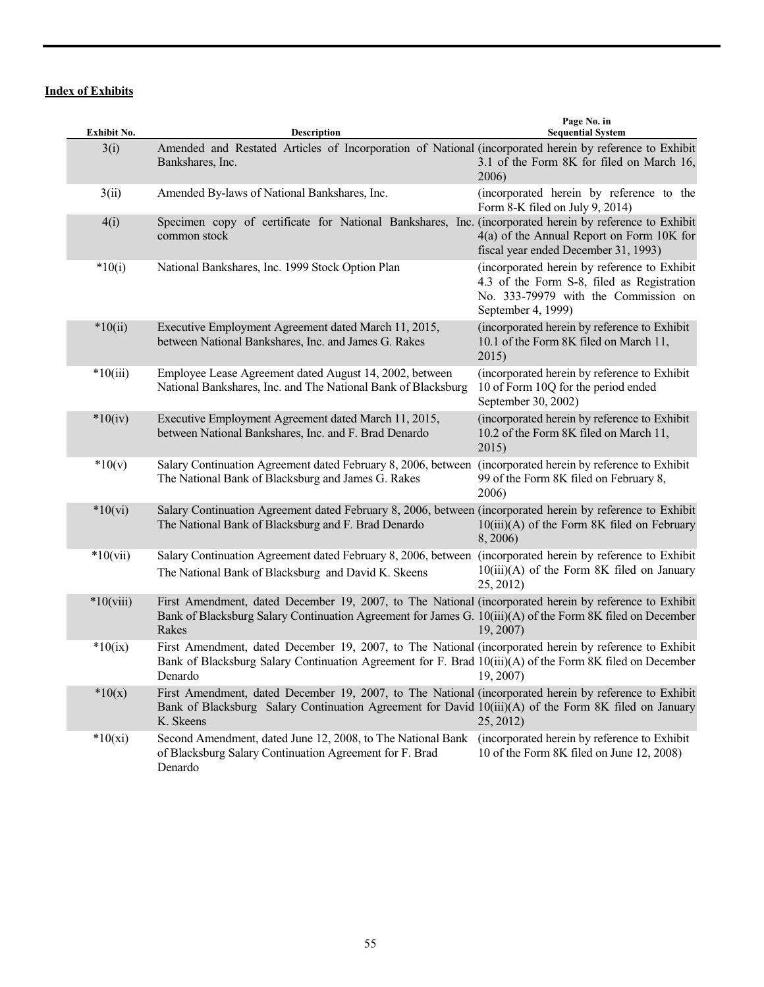# <span id="page-54-0"></span>**Index of Exhibits**

| Exhibit No. | Description                                                                                                                                                                                                                   | Page No. in<br><b>Sequential System</b>                                                                                                                  |
|-------------|-------------------------------------------------------------------------------------------------------------------------------------------------------------------------------------------------------------------------------|----------------------------------------------------------------------------------------------------------------------------------------------------------|
| 3(i)        | Amended and Restated Articles of Incorporation of National (incorporated herein by reference to Exhibit<br>Bankshares, Inc.                                                                                                   | 3.1 of the Form 8K for filed on March 16,<br>2006)                                                                                                       |
| 3(ii)       | Amended By-laws of National Bankshares, Inc.                                                                                                                                                                                  | (incorporated herein by reference to the<br>Form 8-K filed on July 9, 2014)                                                                              |
| 4(i)        | Specimen copy of certificate for National Bankshares, Inc. (incorporated herein by reference to Exhibit<br>common stock                                                                                                       | 4(a) of the Annual Report on Form 10K for<br>fiscal year ended December 31, 1993)                                                                        |
| $*10(i)$    | National Bankshares, Inc. 1999 Stock Option Plan                                                                                                                                                                              | (incorporated herein by reference to Exhibit<br>4.3 of the Form S-8, filed as Registration<br>No. 333-79979 with the Commission on<br>September 4, 1999) |
| $*10(ii)$   | Executive Employment Agreement dated March 11, 2015,<br>between National Bankshares, Inc. and James G. Rakes                                                                                                                  | (incorporated herein by reference to Exhibit<br>10.1 of the Form 8K filed on March 11,<br>2015)                                                          |
| $*10(iii)$  | Employee Lease Agreement dated August 14, 2002, between<br>National Bankshares, Inc. and The National Bank of Blacksburg                                                                                                      | (incorporated herein by reference to Exhibit<br>10 of Form 10Q for the period ended<br>September 30, 2002)                                               |
| $*10(iv)$   | Executive Employment Agreement dated March 11, 2015,<br>between National Bankshares, Inc. and F. Brad Denardo                                                                                                                 | (incorporated herein by reference to Exhibit<br>10.2 of the Form 8K filed on March 11,<br>2015)                                                          |
| $*10(v)$    | Salary Continuation Agreement dated February 8, 2006, between<br>The National Bank of Blacksburg and James G. Rakes                                                                                                           | (incorporated herein by reference to Exhibit<br>99 of the Form 8K filed on February 8,<br>2006)                                                          |
| $*10(vi)$   | Salary Continuation Agreement dated February 8, 2006, between (incorporated herein by reference to Exhibit<br>The National Bank of Blacksburg and F. Brad Denardo                                                             | $10(iii)(A)$ of the Form 8K filed on February<br>8, 2006)                                                                                                |
| $*10(vii)$  | Salary Continuation Agreement dated February 8, 2006, between<br>The National Bank of Blacksburg and David K. Skeens                                                                                                          | (incorporated herein by reference to Exhibit<br>$10(iii)(A)$ of the Form 8K filed on January<br>25, 2012)                                                |
| $*10(viii)$ | First Amendment, dated December 19, 2007, to The National (incorporated herein by reference to Exhibit<br>Bank of Blacksburg Salary Continuation Agreement for James G. 10(iii)(A) of the Form 8K filed on December<br>Rakes  | 19, 2007)                                                                                                                                                |
| $*10(ix)$   | First Amendment, dated December 19, 2007, to The National (incorporated herein by reference to Exhibit<br>Bank of Blacksburg Salary Continuation Agreement for F. Brad 10(iii)(A) of the Form 8K filed on December<br>Denardo | 19, 2007)                                                                                                                                                |
| $*10(x)$    | First Amendment, dated December 19, 2007, to The National (incorporated herein by reference to Exhibit<br>Bank of Blacksburg Salary Continuation Agreement for David 10(iii)(A) of the Form 8K filed on January<br>K. Skeens  | 25, 2012)                                                                                                                                                |
| $*10(xi)$   | Second Amendment, dated June 12, 2008, to The National Bank<br>of Blacksburg Salary Continuation Agreement for F. Brad<br>Denardo                                                                                             | (incorporated herein by reference to Exhibit<br>10 of the Form 8K filed on June 12, 2008)                                                                |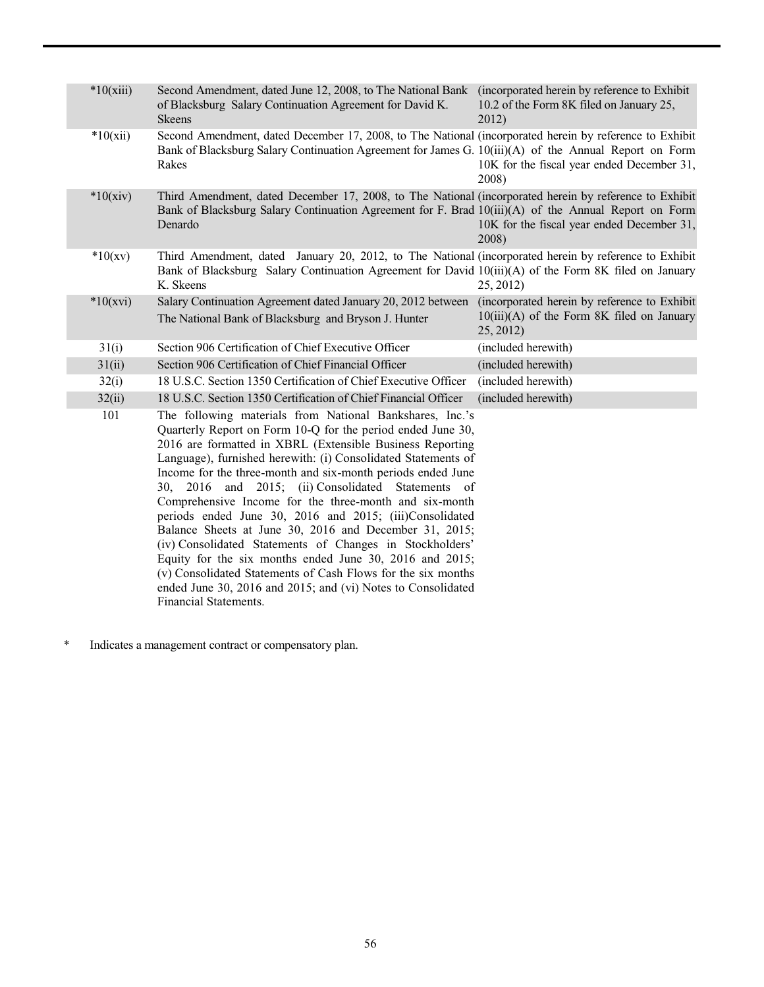| $*10(xiii)$ | Second Amendment, dated June 12, 2008, to The National Bank<br>of Blacksburg Salary Continuation Agreement for David K.<br><b>Skeens</b>                                                                                                                                                                                                                                                                                                                                                                                                                                                                                                                                                                                                                                                                                                     | (incorporated herein by reference to Exhibit)<br>10.2 of the Form 8K filed on January 25,<br>2012)      |
|-------------|----------------------------------------------------------------------------------------------------------------------------------------------------------------------------------------------------------------------------------------------------------------------------------------------------------------------------------------------------------------------------------------------------------------------------------------------------------------------------------------------------------------------------------------------------------------------------------------------------------------------------------------------------------------------------------------------------------------------------------------------------------------------------------------------------------------------------------------------|---------------------------------------------------------------------------------------------------------|
| $*10(xii)$  | Second Amendment, dated December 17, 2008, to The National (incorporated herein by reference to Exhibit<br>Bank of Blacksburg Salary Continuation Agreement for James G. 10(iii)(A) of the Annual Report on Form<br>Rakes                                                                                                                                                                                                                                                                                                                                                                                                                                                                                                                                                                                                                    | 10K for the fiscal year ended December 31,<br>2008)                                                     |
| $*10(xiv)$  | Third Amendment, dated December 17, 2008, to The National (incorporated herein by reference to Exhibit<br>Bank of Blacksburg Salary Continuation Agreement for F. Brad 10(iii)(A) of the Annual Report on Form<br>Denardo                                                                                                                                                                                                                                                                                                                                                                                                                                                                                                                                                                                                                    | 10K for the fiscal year ended December 31,<br>2008)                                                     |
| $*10(xv)$   | Third Amendment, dated January 20, 2012, to The National (incorporated herein by reference to Exhibit<br>Bank of Blacksburg Salary Continuation Agreement for David 10(iii)(A) of the Form 8K filed on January<br>K. Skeens                                                                                                                                                                                                                                                                                                                                                                                                                                                                                                                                                                                                                  | 25, 2012)                                                                                               |
| $*10(xvi)$  | Salary Continuation Agreement dated January 20, 2012 between<br>The National Bank of Blacksburg and Bryson J. Hunter                                                                                                                                                                                                                                                                                                                                                                                                                                                                                                                                                                                                                                                                                                                         | (incorporated herein by reference to Exhibit<br>10(iii)(A) of the Form 8K filed on January<br>25, 2012) |
| 31(i)       | Section 906 Certification of Chief Executive Officer                                                                                                                                                                                                                                                                                                                                                                                                                                                                                                                                                                                                                                                                                                                                                                                         | (included herewith)                                                                                     |
| 31(ii)      | Section 906 Certification of Chief Financial Officer                                                                                                                                                                                                                                                                                                                                                                                                                                                                                                                                                                                                                                                                                                                                                                                         | (included herewith)                                                                                     |
| 32(i)       | 18 U.S.C. Section 1350 Certification of Chief Executive Officer                                                                                                                                                                                                                                                                                                                                                                                                                                                                                                                                                                                                                                                                                                                                                                              | (included herewith)                                                                                     |
| 32(ii)      | 18 U.S.C. Section 1350 Certification of Chief Financial Officer                                                                                                                                                                                                                                                                                                                                                                                                                                                                                                                                                                                                                                                                                                                                                                              | (included herewith)                                                                                     |
| 101         | The following materials from National Bankshares, Inc.'s<br>Quarterly Report on Form 10-Q for the period ended June 30,<br>2016 are formatted in XBRL (Extensible Business Reporting<br>Language), furnished herewith: (i) Consolidated Statements of<br>Income for the three-month and six-month periods ended June<br>and 2015; (ii) Consolidated Statements of<br>30, 2016<br>Comprehensive Income for the three-month and six-month<br>periods ended June 30, 2016 and 2015; (iii)Consolidated<br>Balance Sheets at June 30, 2016 and December 31, 2015;<br>(iv) Consolidated Statements of Changes in Stockholders'<br>Equity for the six months ended June 30, 2016 and 2015;<br>(v) Consolidated Statements of Cash Flows for the six months<br>ended June 30, 2016 and 2015; and (vi) Notes to Consolidated<br>Financial Statements. |                                                                                                         |

\* Indicates a management contract or compensatory plan.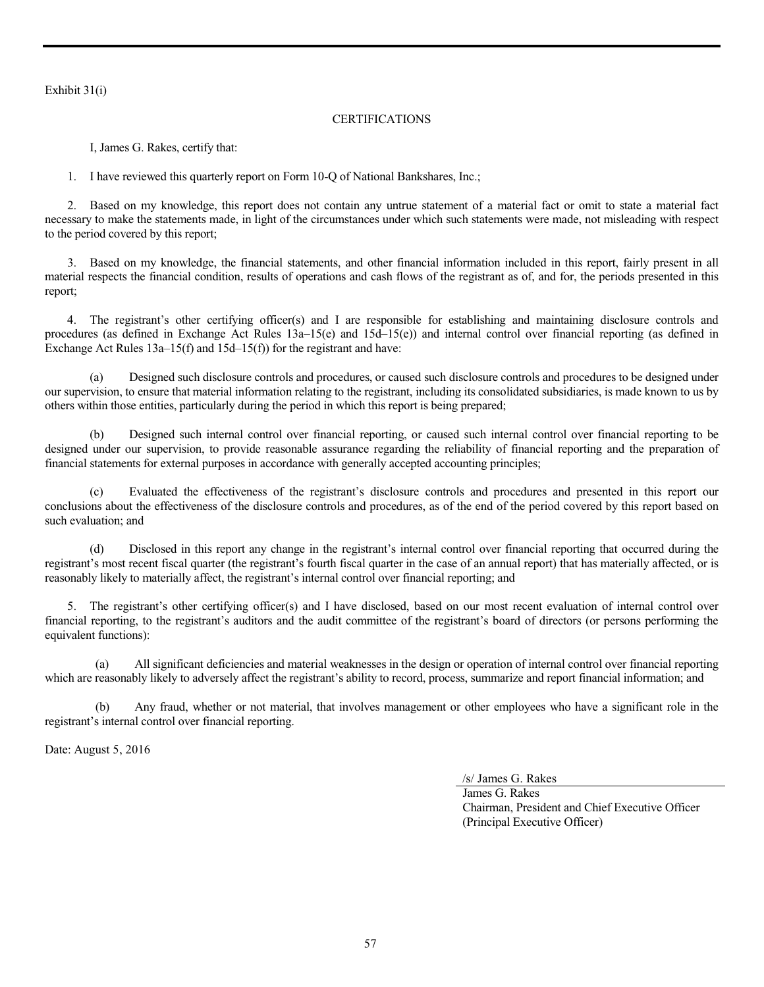<span id="page-56-0"></span>Exhibit 31(i)

# **CERTIFICATIONS**

I, James G. Rakes, certify that:

1. I have reviewed this quarterly report on Form 10-Q of National Bankshares, Inc.;

2. Based on my knowledge, this report does not contain any untrue statement of a material fact or omit to state a material fact necessary to make the statements made, in light of the circumstances under which such statements were made, not misleading with respect to the period covered by this report;

3. Based on my knowledge, the financial statements, and other financial information included in this report, fairly present in all material respects the financial condition, results of operations and cash flows of the registrant as of, and for, the periods presented in this report;

4. The registrant's other certifying officer(s) and I are responsible for establishing and maintaining disclosure controls and procedures (as defined in Exchange Act Rules 13a–15(e) and 15d–15(e)) and internal control over financial reporting (as defined in Exchange Act Rules 13a–15(f) and 15d–15(f)) for the registrant and have:

(a) Designed such disclosure controls and procedures, or caused such disclosure controls and procedures to be designed under our supervision, to ensure that material information relating to the registrant, including its consolidated subsidiaries, is made known to us by others within those entities, particularly during the period in which this report is being prepared;

(b) Designed such internal control over financial reporting, or caused such internal control over financial reporting to be designed under our supervision, to provide reasonable assurance regarding the reliability of financial reporting and the preparation of financial statements for external purposes in accordance with generally accepted accounting principles;

(c) Evaluated the effectiveness of the registrant's disclosure controls and procedures and presented in this report our conclusions about the effectiveness of the disclosure controls and procedures, as of the end of the period covered by this report based on such evaluation; and

(d) Disclosed in this report any change in the registrant's internal control over financial reporting that occurred during the registrant's most recent fiscal quarter (the registrant's fourth fiscal quarter in the case of an annual report) that has materially affected, or is reasonably likely to materially affect, the registrant's internal control over financial reporting; and

5. The registrant's other certifying officer(s) and I have disclosed, based on our most recent evaluation of internal control over financial reporting, to the registrant's auditors and the audit committee of the registrant's board of directors (or persons performing the equivalent functions):

(a) All significant deficiencies and material weaknesses in the design or operation of internal control over financial reporting which are reasonably likely to adversely affect the registrant's ability to record, process, summarize and report financial information; and

Any fraud, whether or not material, that involves management or other employees who have a significant role in the registrant's internal control over financial reporting.

Date: August 5, 2016

/s/ James G. Rakes

James G. Rakes Chairman, President and Chief Executive Officer (Principal Executive Officer)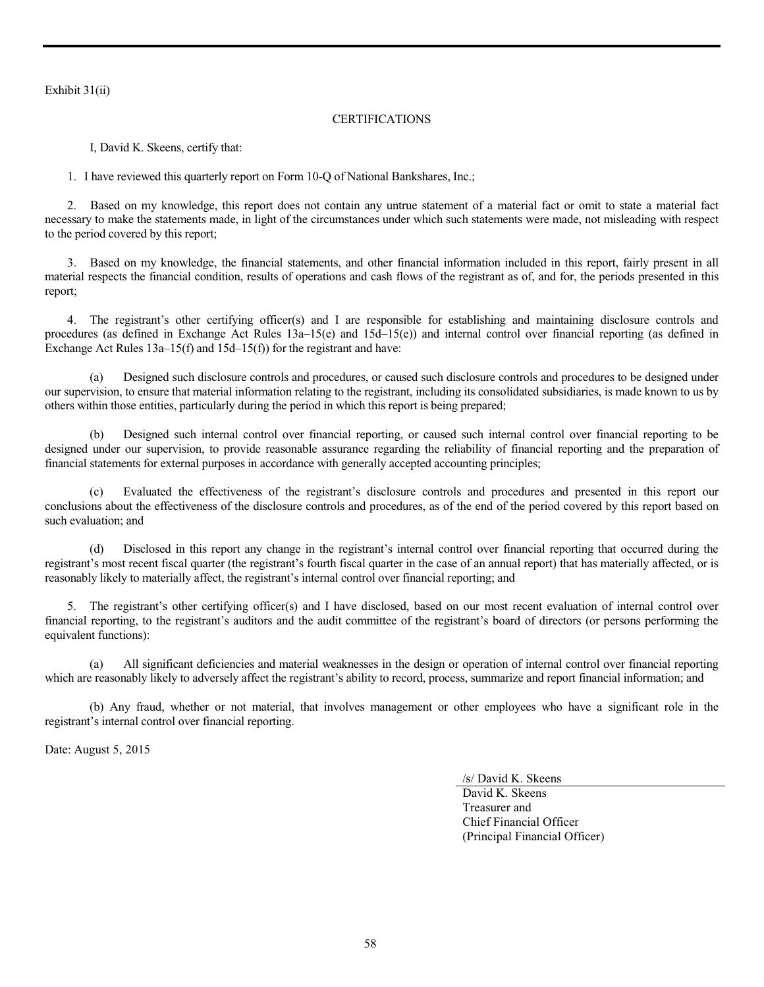Exhibit 31(ii)

#### **CERTIFICATIONS**

I, David K. Skeens, certify that:

1. I have reviewed this quarterly report on Form 10-Q of National Bankshares, Inc.;

2. Based on my knowledge, this report does not contain any untrue statement of a material fact or omit to state a material fact necessary to make the statements made, in light of the circumstances under which such statements were made, not misleading with respect to the period covered by this report;

3. Based on my knowledge, the financial statements, and other financial information included in this report, fairly present in all material respects the financial condition, results of operations and cash flows of the registrant as of, and for, the periods presented in this report;

4. The registrant's other certifying officer(s) and I are responsible for establishing and maintaining disclosure controls and procedures (as defined in Exchange Act Rules 13a–15(e) and 15d–15(e)) and internal control over financial reporting (as defined in Exchange Act Rules 13a–15(f) and 15d–15(f)) for the registrant and have:

(a) Designed such disclosure controls and procedures, or caused such disclosure controls and procedures to be designed under our supervision, to ensure that material information relating to the registrant, including its consolidated subsidiaries, is made known to us by others within those entities, particularly during the period in which this report is being prepared;

(b) Designed such internal control over financial reporting, or caused such internal control over financial reporting to be designed under our supervision, to provide reasonable assurance regarding the reliability of financial reporting and the preparation of financial statements for external purposes in accordance with generally accepted accounting principles;

Evaluated the effectiveness of the registrant's disclosure controls and procedures and presented in this report our conclusions about the effectiveness of the disclosure controls and procedures, as of the end of the period covered by this report based on such evaluation; and

Disclosed in this report any change in the registrant's internal control over financial reporting that occurred during the registrant's most recent fiscal quarter (the registrant's fourth fiscal quarter in the case of an annual report) that has materially affected, or is reasonably likely to materially affect, the registrant's internal control over financial reporting; and

5. The registrant's other certifying officer(s) and I have disclosed, based on our most recent evaluation of internal control over financial reporting, to the registrant's auditors and the audit committee of the registrant's board of directors (or persons performing the equivalent functions):

(a) All significant deficiencies and material weaknesses in the design or operation of internal control over financial reporting which are reasonably likely to adversely affect the registrant's ability to record, process, summarize and report financial information; and

(b) Any fraud, whether or not material, that involves management or other employees who have a significant role in the registrant's internal control over financial reporting.

Date: August 5, 2015

/s/ David K. Skeens

David K. Skeens Treasurer and Chief Financial Officer (Principal Financial Officer)